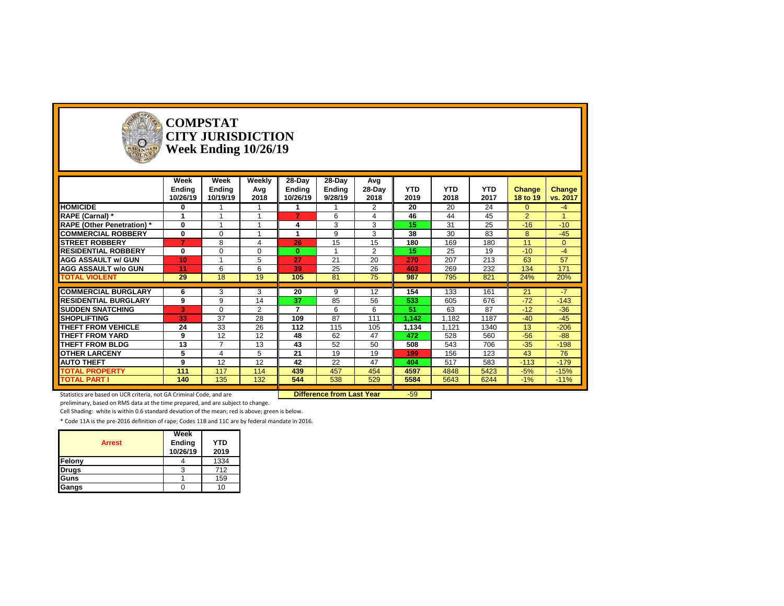

#### **COMPSTAT CITY JURISDICTION Week Ending 10/26/19**

|                                   | Week<br>Ending<br>10/26/19 | Week<br>Ending<br>10/19/19 | Weekly<br>Avg<br>2018 | 28-Day<br>Ending<br>10/26/19 | 28-Day<br>Ending<br>9/28/19 | Avg<br>28-Day<br>2018 | <b>YTD</b><br>2019 | <b>YTD</b><br>2018 | <b>YTD</b><br>2017 | Change<br>18 to 19 | Change<br>vs. 2017 |
|-----------------------------------|----------------------------|----------------------------|-----------------------|------------------------------|-----------------------------|-----------------------|--------------------|--------------------|--------------------|--------------------|--------------------|
| <b>HOMICIDE</b>                   | 0                          |                            |                       |                              |                             | $\overline{2}$        | 20                 | 20                 | 24                 | $\Omega$           | $-4$               |
| RAPE (Carnal) *                   |                            |                            |                       |                              | 6                           | 4                     | 46                 | 44                 | 45                 | $\overline{2}$     |                    |
| <b>RAPE (Other Penetration)</b> * | 0                          |                            |                       |                              | 3                           | 3                     | 15                 | 31                 | 25                 | $-16$              | $-10$              |
| <b>COMMERCIAL ROBBERY</b>         | 0                          | $\Omega$                   |                       |                              | 9                           | 3                     | 38                 | 30                 | 83                 | 8                  | $-45$              |
| <b>STREET ROBBERY</b>             | 7                          | 8                          | 4                     | 26                           | 15                          | 15                    | 180                | 169                | 180                | 11                 | $\Omega$           |
| <b>RESIDENTIAL ROBBERY</b>        | 0                          | $\Omega$                   | $\Omega$              | $\bf{0}$                     |                             | $\overline{2}$        | 15                 | 25                 | 19                 | $-10$              | $-4$               |
| <b>AGG ASSAULT w/ GUN</b>         | 10                         |                            | 5                     | 27                           | 21                          | 20                    | 270                | 207                | 213                | 63                 | 57                 |
| <b>AGG ASSAULT w/o GUN</b>        | 11                         | 6                          | 6                     | 39                           | 25                          | 26                    | 403                | 269                | 232                | 134                | 171                |
| <b>TOTAL VIOLENT</b>              | 29                         | 18                         | 19                    | 105                          | 81                          | 75                    | 987                | 795                | 821                | 24%                | 20%                |
|                                   |                            |                            |                       |                              |                             |                       |                    |                    |                    |                    |                    |
| <b>COMMERCIAL BURGLARY</b>        | 6                          | 3                          | 3                     | 20                           | 9                           | 12                    | 154                | 133                | 161                | 21                 | $-7$               |
| <b>RESIDENTIAL BURGLARY</b>       | 9                          | 9                          | 14                    | 37                           | 85                          | 56                    | 533                | 605                | 676                | $-72$              | $-143$             |
| <b>SUDDEN SNATCHING</b>           | 3                          | $\Omega$                   | $\overline{2}$        | 7                            | 6                           | 6                     | 51                 | 63                 | 87                 | $-12$              | $-36$              |
| <b>SHOPLIFTING</b>                | 33                         | 37                         | 28                    | 109                          | 87                          | 111                   | 1.142              | 1.182              | 1187               | $-40$              | $-45$              |
| <b>THEFT FROM VEHICLE</b>         | 24                         | 33                         | 26                    | 112                          | 115                         | 105                   | 1,134              | 1,121              | 1340               | 13                 | $-206$             |
| <b>THEFT FROM YARD</b>            | 9                          | 12                         | 12                    | 48                           | 62                          | 47                    | 472                | 528                | 560                | $-56$              | $-88-$             |
| <b>THEFT FROM BLDG</b>            | 13                         | $\overline{ }$             | 13                    | 43                           | 52                          | 50                    | 508                | 543                | 706                | $-35$              | $-198$             |
| <b>OTHER LARCENY</b>              | 5                          | 4                          | 5                     | 21                           | 19                          | 19                    | 199                | 156                | 123                | 43                 | 76                 |
| <b>AUTO THEFT</b>                 | 9                          | 12                         | 12                    | 42                           | 22                          | 47                    | 404                | 517                | 583                | $-113$             | $-179$             |
| <b>TOTAL PROPERTY</b>             | 111                        | 117                        | 114                   | 439                          | 457                         | 454                   | 4597               | 4848               | 5423               | $-5%$              | $-15%$             |
| <b>TOTAL PART I</b>               | 140                        | 135                        | 132                   | 544                          | 538                         | 529                   | 5584               | 5643               | 6244               | $-1%$              | $-11%$             |

Statistics are based on UCR criteria, not GA Criminal Code, and are **Difference from Last Year** -59

preliminary, based on RMS data at the time prepared, and are subject to change.

Cell Shading: white is within 0.6 standard deviation of the mean; red is above; green is below.

| <b>Arrest</b> | Week<br><b>Ending</b><br>10/26/19 | <b>YTD</b><br>2019 |
|---------------|-----------------------------------|--------------------|
| Felony        |                                   | 1334               |
| <b>Drugs</b>  |                                   | 712                |
| Guns          |                                   | 159                |
| Gangs         |                                   | 10                 |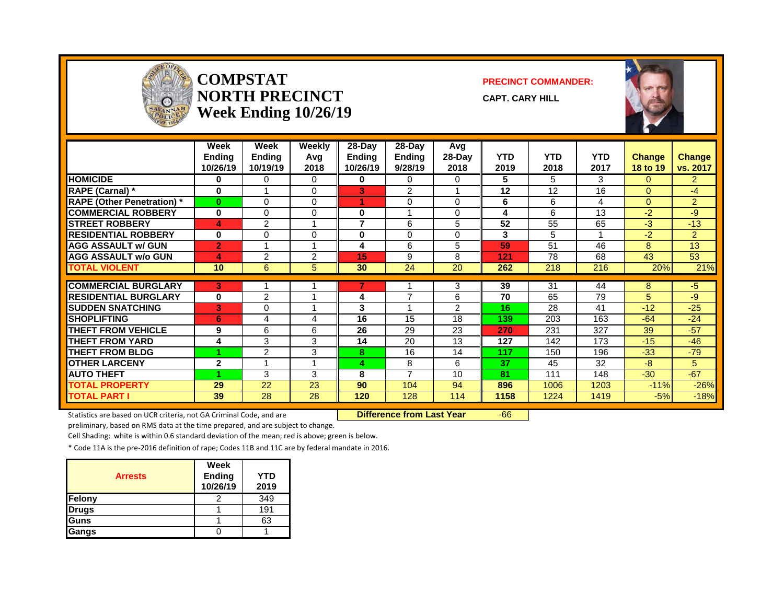

#### **COMPSTAT PRECINCT COMMANDER: NORTH PRECINCT CAPT. CARY HILL Week Ending 10/26/19**



|                                   | Week<br><b>Ending</b><br>10/26/19 | Week<br><b>Endina</b><br>10/19/19 | Weekly<br>Avg<br>2018 | $28-Day$<br>Endina<br>10/26/19 | $28$ -Dav<br><b>Endina</b><br>9/28/19 | Avg<br>28-Day<br>2018 | <b>YTD</b><br>2019 | <b>YTD</b><br>2018 | <b>YTD</b><br>2017 | <b>Change</b><br>18 to 19 | <b>Change</b><br>vs. 2017 |
|-----------------------------------|-----------------------------------|-----------------------------------|-----------------------|--------------------------------|---------------------------------------|-----------------------|--------------------|--------------------|--------------------|---------------------------|---------------------------|
| <b>HOMICIDE</b>                   | 0                                 | 0                                 | 0                     | 0                              | 0                                     | 0                     | 5                  | 5                  | 3                  | $\Omega$                  | $\overline{2}$            |
| <b>RAPE (Carnal) *</b>            | 0                                 |                                   | $\Omega$              | 3                              | $\overline{2}$                        |                       | 12                 | 12                 | 16                 | $\Omega$                  | $-4$                      |
| <b>RAPE (Other Penetration)</b> * | $\bf{0}$                          | $\Omega$                          | $\Omega$              |                                | $\Omega$                              | 0                     | 6                  | 6                  | 4                  | $\Omega$                  | $\overline{2}$            |
| <b>COMMERCIAL ROBBERY</b>         | $\bf{0}$                          | $\Omega$                          | 0                     | 0                              |                                       | $\Omega$              | 4                  | 6                  | 13                 | $-2$                      | $-9$                      |
| <b>STREET ROBBERY</b>             | 4                                 | 2                                 | 4                     | 7                              | 6                                     | 5                     | 52                 | 55                 | 65                 | $-3$                      | $-13$                     |
| <b>RESIDENTIAL ROBBERY</b>        | 0                                 | $\Omega$                          | 0                     | 0                              | $\Omega$                              | 0                     | 3                  | 5                  |                    | $-2$                      | $\overline{2}$            |
| <b>AGG ASSAULT w/ GUN</b>         | $\overline{2}$                    | 4                                 | 4                     | 4                              | 6                                     | 5                     | 59                 | 51                 | 46                 | 8                         | 13                        |
| <b>AGG ASSAULT w/o GUN</b>        | 4                                 | $\overline{c}$                    | 2                     | 15                             | 9                                     | 8                     | 121                | 78                 | 68                 | 43                        | 53                        |
| <b>TOTAL VIOLENT</b>              | 10                                | 6                                 | 5                     | 30                             | 24                                    | 20                    | 262                | 218                | 216                | 20%                       | 21%                       |
| <b>COMMERCIAL BURGLARY</b>        | 3                                 |                                   |                       |                                |                                       | 3                     | 39                 | 31                 | 44                 | 8                         | $-5$                      |
| <b>RESIDENTIAL BURGLARY</b>       | 0                                 | $\overline{c}$                    |                       | 4                              | ⇁                                     | 6                     | 70                 | 65                 | 79                 | 5                         | $-9$                      |
| <b>SUDDEN SNATCHING</b>           | 3                                 | 0                                 |                       | 3                              |                                       | 2                     | 16                 | 28                 | 41                 | $-12$                     | $-25$                     |
| <b>SHOPLIFTING</b>                | 6                                 | 4                                 | 4                     | 16                             | 15                                    | 18                    | 139                | 203                | 163                | $-64$                     | $-24$                     |
| <b>THEFT FROM VEHICLE</b>         | 9                                 | 6                                 | 6                     | 26                             | 29                                    | 23                    | 270                | 231                | 327                | 39                        | $-57$                     |
| <b>THEFT FROM YARD</b>            | 4                                 | 3                                 | 3                     | 14                             | 20                                    | 13                    | 127                | 142                | 173                | $-15$                     | $-46$                     |
| <b>THEFT FROM BLDG</b>            |                                   | $\overline{c}$                    | 3                     | 8                              | 16                                    | 14                    | 117                | 150                | 196                | $-33$                     | $-79$                     |
| <b>OTHER LARCENY</b>              | $\mathbf{2}$                      | 4                                 | 4                     | 4                              | 8                                     | 6                     | 37                 | 45                 | 32                 | $-8$                      | 5.                        |
| <b>AUTO THEFT</b>                 |                                   | 3                                 | 3                     | 8                              | $\overline{ }$                        | 10                    | 81                 | 111                | 148                | $-30$                     | $-67$                     |
| <b>TOTAL PROPERTY</b>             | 29                                | 22                                | 23                    | 90                             | 104                                   | 94                    | 896                | 1006               | 1203               | $-11%$                    | $-26%$                    |
| <b>TOTAL PART I</b>               | 39                                | 28                                | 28                    | 120                            | 128                                   | 114                   | 1158               | 1224               | 1419               | $-5%$                     | $-18%$                    |

Statistics are based on UCR criteria, not GA Criminal Code, and are **Difference from Last Year** -66

preliminary, based on RMS data at the time prepared, and are subject to change.

Cell Shading: white is within 0.6 standard deviation of the mean; red is above; green is below.

| <b>Arrests</b> | Week<br>Ending<br>10/26/19 | YTD<br>2019 |
|----------------|----------------------------|-------------|
| Felony         |                            | 349         |
| <b>Drugs</b>   |                            | 191         |
| Guns           |                            | 63          |
| Gangs          |                            |             |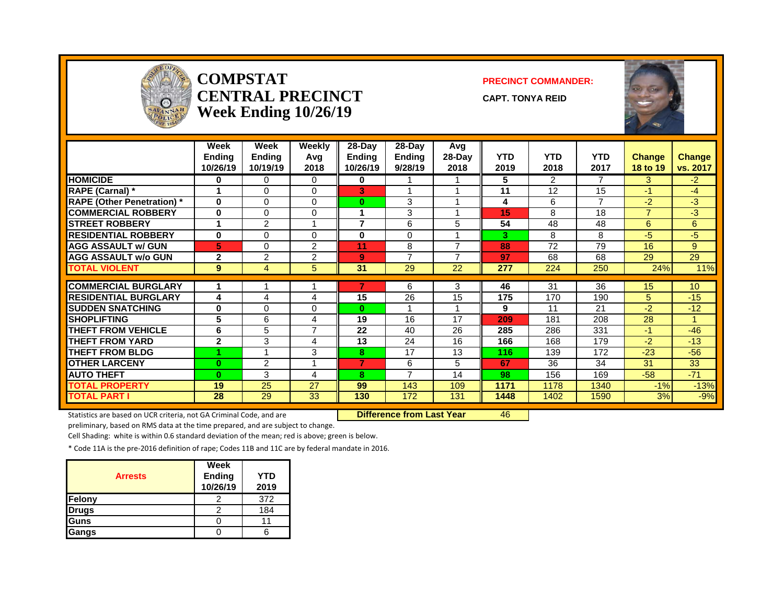

#### **COMPSTAT PRECINCT COMMANDER: CENTRAL PRECINCT** CAPT. TONYA REID **Week Ending 10/26/19**



|                                  | Week<br><b>Ending</b><br>10/26/19 | Week<br><b>Endina</b><br>10/19/19 | Weekly<br>Avq<br>2018 | $28-Day$<br>Endina<br>10/26/19 | 28-Dav<br><b>Ending</b><br>9/28/19 | Avg<br>28-Day<br>2018 | <b>YTD</b><br>2019 | <b>YTD</b><br>2018 | <b>YTD</b><br>2017 | <b>Change</b><br>18 to 19 | <b>Change</b><br>vs. 2017 |
|----------------------------------|-----------------------------------|-----------------------------------|-----------------------|--------------------------------|------------------------------------|-----------------------|--------------------|--------------------|--------------------|---------------------------|---------------------------|
| <b>HOMICIDE</b>                  | 0                                 | 0                                 | 0                     | 0                              |                                    |                       | 5                  | $\overline{2}$     | $\overline{7}$     | 3                         | $-2$                      |
| <b>RAPE (Carnal)</b> *           | 4                                 | 0                                 | $\Omega$              | 3                              |                                    |                       | 11                 | 12                 | 15                 | $-1$                      | $-4$                      |
| <b>RAPE (Other Penetration)*</b> | 0                                 | 0                                 | $\Omega$              | $\bf{0}$                       | 3                                  |                       | 4                  | 6                  | $\overline{7}$     | $-2$                      | $-3$                      |
| <b>COMMERCIAL ROBBERY</b>        | 0                                 | 0                                 | $\mathbf{0}$          |                                | 3                                  |                       | 15                 | 8                  | 18                 | $\overline{7}$            | $-3$                      |
| <b>STREET ROBBERY</b>            | 1                                 | $\overline{2}$                    | 1                     | 7                              | 6                                  | 5                     | 54                 | 48                 | 48                 | 6                         | 6                         |
| <b>RESIDENTIAL ROBBERY</b>       | $\bf{0}$                          | $\Omega$                          | 0                     | 0                              | $\Omega$                           |                       | 3.                 | 8                  | 8                  | $-5$                      | $-5$                      |
| <b>AGG ASSAULT w/ GUN</b>        | 5                                 | $\Omega$                          | $\overline{2}$        | 11                             | 8                                  | 7                     | 88                 | 72                 | 79                 | 16                        | 9                         |
| <b>AGG ASSAULT w/o GUN</b>       | $\overline{2}$                    | $\overline{2}$                    | $\overline{2}$        | 9                              | $\overline{7}$                     | ⇁                     | 97                 | 68                 | 68                 | 29                        | 29                        |
| <b>TOTAL VIOLENT</b>             | 9                                 | 4                                 | 5                     | 31                             | 29                                 | 22                    | 277                | 224                | 250                | 24%                       | 11%                       |
|                                  |                                   |                                   |                       |                                |                                    |                       |                    |                    |                    |                           |                           |
| <b>COMMERCIAL BURGLARY</b>       | 1                                 |                                   | 4                     |                                | 6                                  | 3                     | 46                 | 31                 | 36                 | 15                        | 10 <sup>°</sup>           |
| <b>RESIDENTIAL BURGLARY</b>      | 4                                 | 4                                 | 4                     | 15                             | 26                                 | 15                    | 175                | 170                | 190                | 5                         | $-15$                     |
| <b>SUDDEN SNATCHING</b>          | 0                                 | 0                                 | 0                     | $\mathbf{0}$                   |                                    |                       | 9                  | 11                 | 21                 | $-2$                      | $-12$                     |
| <b>SHOPLIFTING</b>               | 5                                 | 6                                 | 4                     | 19                             | 16                                 | 17                    | 209                | 181                | 208                | 28                        |                           |
| <b>THEFT FROM VEHICLE</b>        | 6                                 | 5                                 | $\overline{7}$        | 22                             | 40                                 | 26                    | 285                | 286                | 331                | $-1$                      | $-46$                     |
| <b>THEFT FROM YARD</b>           | $\overline{2}$                    | 3                                 | 4                     | 13                             | 24                                 | 16                    | 166                | 168                | 179                | $-2$                      | $-13$                     |
| <b>THEFT FROM BLDG</b>           |                                   |                                   | 3                     | 8                              | 17                                 | 13                    | 116                | 139                | 172                | $-23$                     | $-56$                     |
| <b>OTHER LARCENY</b>             | $\bf{0}$                          | $\overline{2}$                    | 1                     | 7                              | 6                                  | 5                     | 67                 | 36                 | 34                 | 31                        | 33                        |
| <b>AUTO THEFT</b>                | $\bf{0}$                          | 3                                 | 4                     | 8                              | $\overline{ }$                     | 14                    | 98                 | 156                | 169                | $-58$                     | $-71$                     |
| TOTAL PROPERTY                   | 19                                | 25                                | 27                    | 99                             | 143                                | 109                   | 1171               | 1178               | 1340               | $-1%$                     | $-13%$                    |
| <b>TOTAL PART I</b>              | 28                                | 29                                | 33                    | 130                            | 172                                | 131                   | 1448               | 1402               | 1590               | 3%                        | $-9%$                     |

Statistics are based on UCR criteria, not GA Criminal Code, and are **Difference from Last Year** 46

preliminary, based on RMS data at the time prepared, and are subject to change.

Cell Shading: white is within 0.6 standard deviation of the mean; red is above; green is below.

| <b>Arrests</b> | Week<br>Ending<br>10/26/19 | YTD<br>2019 |
|----------------|----------------------------|-------------|
| Felony         |                            | 372         |
| <b>Drugs</b>   |                            | 184         |
| Guns           |                            |             |
| Gangs          |                            |             |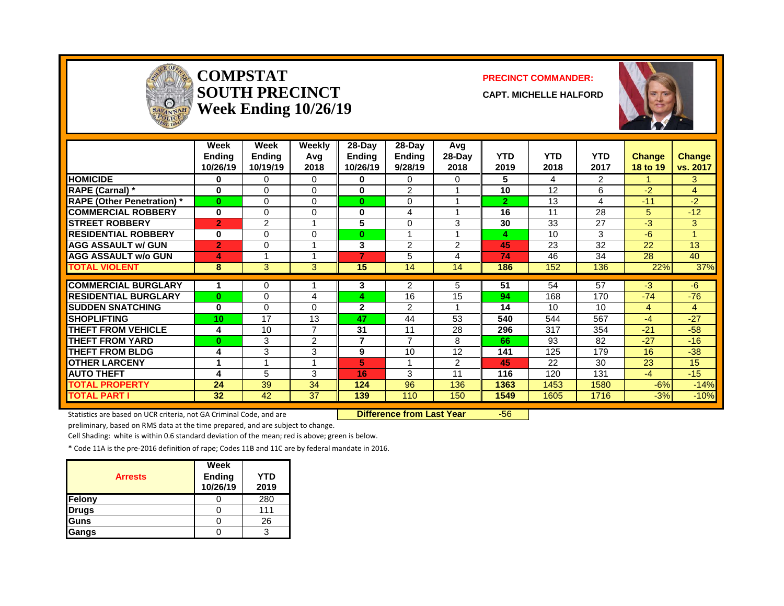

#### **COMPSTAT PRECINCT COMMANDER: SOUTH PRECINCT CAPT. MICHELLE HALFORD Week Ending 10/26/19**



|                                  | Week<br>Endina<br>10/26/19 | Week<br><b>Endina</b><br>10/19/19 | Weekly<br>Avg<br>2018 | $28-Day$<br><b>Endina</b><br>10/26/19 | $28 - Day$<br>Endina<br>9/28/19 | Avg<br>28-Dav<br>2018 | <b>YTD</b><br>2019 | <b>YTD</b><br>2018 | <b>YTD</b><br>2017 | <b>Change</b><br>18 to 19 | <b>Change</b><br>vs. 2017 |
|----------------------------------|----------------------------|-----------------------------------|-----------------------|---------------------------------------|---------------------------------|-----------------------|--------------------|--------------------|--------------------|---------------------------|---------------------------|
| <b>HOMICIDE</b>                  | 0                          | 0                                 | $\Omega$              | 0                                     | 0                               | 0                     | 5                  | 4                  | $\overline{2}$     |                           | 3                         |
| RAPE (Carnal) *                  | $\bf{0}$                   | $\Omega$                          | $\Omega$              | $\bf{0}$                              | $\overline{2}$                  |                       | 10                 | 12                 | 6                  | $-2$                      | 4                         |
| <b>RAPE (Other Penetration)*</b> | $\mathbf{0}$               | $\Omega$                          | $\Omega$              | $\bf{0}$                              | 0                               |                       | $\overline{2}$     | 13                 | 4                  | $-11$                     | $-2$                      |
| <b>COMMERCIAL ROBBERY</b>        | $\bf{0}$                   | $\Omega$                          | $\Omega$              | 0                                     | 4                               |                       | 16                 | 11                 | 28                 | 5                         | $-12$                     |
| <b>STREET ROBBERY</b>            | $\overline{2}$             | $\overline{2}$                    |                       | 5                                     | 0                               | 3                     | 30                 | 33                 | 27                 | -3                        | 3                         |
| <b>RESIDENTIAL ROBBERY</b>       | 0                          | 0                                 | 0                     | $\bf{0}$                              |                                 |                       | 4                  | 10                 | 3                  | -6                        |                           |
| <b>AGG ASSAULT w/ GUN</b>        | $\overline{2}$             | $\Omega$                          |                       | 3                                     | $\overline{2}$                  | $\overline{2}$        | 45                 | 23                 | 32                 | 22                        | 13                        |
| <b>AGG ASSAULT W/o GUN</b>       | 4                          |                                   |                       | 7                                     | 5                               | 4                     | 74                 | 46                 | 34                 | 28                        | 40                        |
| <b>TOTAL VIOLENT</b>             | 8                          | 3                                 | 3                     | 15                                    | 14                              | 14                    | 186                | 152                | 136                | 22%                       | 37%                       |
|                                  |                            |                                   |                       |                                       |                                 |                       |                    |                    |                    |                           |                           |
| <b>COMMERCIAL BURGLARY</b>       |                            | 0                                 |                       | 3                                     | 2                               | 5                     | 51                 | 54                 | 57                 | -3                        | -6                        |
| <b>RESIDENTIAL BURGLARY</b>      | $\mathbf{0}$               | $\Omega$                          | 4                     | 4                                     | 16                              | 15                    | 94                 | 168                | 170                | $-74$                     | $-76$                     |
| <b>SUDDEN SNATCHING</b>          | $\bf{0}$                   | $\Omega$                          | 0                     | 2                                     | $\mathcal{P}$                   |                       | 14                 | 10                 | 10                 | $\overline{4}$            | 4                         |
| <b>SHOPLIFTING</b>               | 10                         | 17                                | 13                    | 47                                    | 44                              | 53                    | 540                | 544                | 567                | $-4$                      | $-27$                     |
| <b>THEFT FROM VEHICLE</b>        | 4                          | 10                                | 7                     | 31                                    | 11                              | 28                    | 296                | 317                | 354                | $-21$                     | $-58$                     |
| <b>THEFT FROM YARD</b>           | $\bf{0}$                   | 3                                 | $\overline{2}$        | $\overline{7}$                        | $\overline{7}$                  | 8                     | 66                 | 93                 | 82                 | $-27$                     | $-16$                     |
| <b>THEFT FROM BLDG</b>           | 4                          | 3                                 | 3                     | 9                                     | 10                              | 12                    | 141                | 125                | 179                | 16                        | $-38$                     |
| <b>OTHER LARCENY</b>             | 4                          |                                   |                       | 5                                     | и                               | $\mathcal{P}$         | 45                 | 22                 | 30                 | 23                        | 15                        |
| <b>AUTO THEFT</b>                | 4                          | 5                                 | 3                     | 16                                    | 3                               | 11                    | 116                | 120                | 131                | $-4$                      | $-15$                     |
| TOTAL PROPERTY                   | 24                         | 39                                | 34                    | 124                                   | 96                              | 136                   | 1363               | 1453               | 1580               | $-6%$                     | $-14%$                    |
| <b>TOTAL PART I</b>              | 32                         | 42                                | 37                    | 139                                   | 110                             | 150                   | 1549               | 1605               | 1716               | $-3%$                     | $-10%$                    |

Statistics are based on UCR criteria, not GA Criminal Code, and are **Difference from Last Year** -56

preliminary, based on RMS data at the time prepared, and are subject to change.

Cell Shading: white is within 0.6 standard deviation of the mean; red is above; green is below.

| <b>Arrests</b> | Week<br><b>Ending</b><br>10/26/19 | YTD<br>2019 |
|----------------|-----------------------------------|-------------|
| Felony         |                                   | 280         |
| <b>Drugs</b>   |                                   | 111         |
| Guns           |                                   | 26          |
| Gangs          |                                   |             |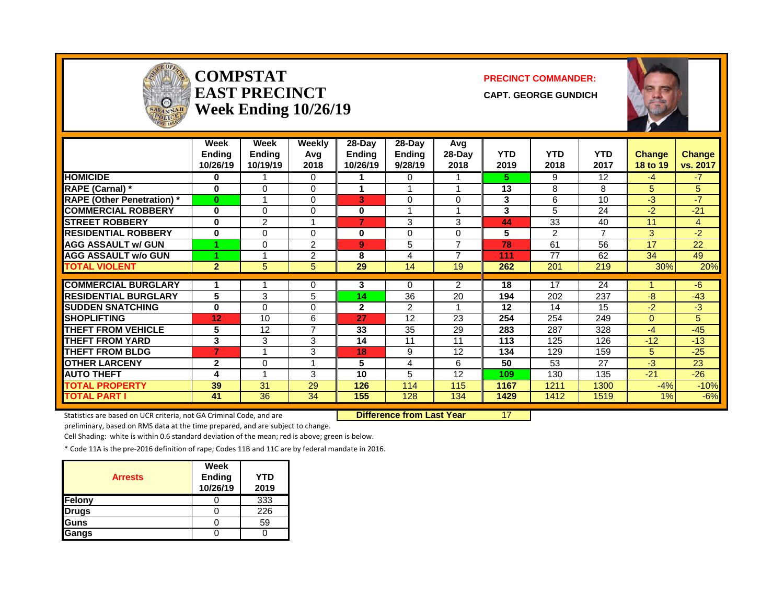| <b>CEOFFI</b><br>$\Omega$<br>SAVANNAH |                            | <b>COMPSTAT</b><br><b>EAST PRECINCT</b><br>Week Ending 10/26/19 | <b>PRECINCT COMMANDER:</b><br><b>CAPT. GEORGE GUNDICH</b> |                                     |                             |                       |                    |                    |                    |                           |                           |
|---------------------------------------|----------------------------|-----------------------------------------------------------------|-----------------------------------------------------------|-------------------------------------|-----------------------------|-----------------------|--------------------|--------------------|--------------------|---------------------------|---------------------------|
|                                       | Week<br>Ending<br>10/26/19 | <b>Week</b><br>Ending<br>10/19/19                               | <b>Weekly</b><br>Avg<br>2018                              | 28-Day<br><b>Ending</b><br>10/26/19 | 28-Day<br>Ending<br>9/28/19 | Avg<br>28-Day<br>2018 | <b>YTD</b><br>2019 | <b>YTD</b><br>2018 | <b>YTD</b><br>2017 | <b>Change</b><br>18 to 19 | <b>Change</b><br>vs. 2017 |
| <b>HOMICIDE</b>                       | $\bf{0}$                   |                                                                 | $\Omega$                                                  | 1.                                  | $\Omega$                    | 1                     | 5.                 | 9                  | $\overline{12}$    | $-4$                      | $-7$                      |
| <b>RAPE (Carnal)</b> *                | $\bf{0}$                   | $\Omega$                                                        | $\Omega$                                                  | 1                                   |                             |                       | 13                 | 8                  | 8                  | 5                         | 5                         |
| <b>RAPE (Other Penetration)*</b>      | $\bf{0}$                   | 1                                                               | $\Omega$                                                  | 3                                   | $\Omega$                    | $\Omega$              | 3                  | 6                  | 10                 | $-3$                      | $-7$                      |
| <b>COMMERCIAL ROBBERY</b>             | $\bf{0}$                   | $\Omega$                                                        | $\mathbf 0$                                               | $\mathbf{0}$                        | 1                           | 1                     | 3                  | 5                  | 24                 | $-2$                      | $-21$                     |
| <b>STREET ROBBERY</b>                 | $\bf{0}$                   | $\overline{2}$                                                  | $\overline{1}$                                            | 7                                   | 3                           | 3                     | 44                 | 33                 | 40                 | 11                        | $\overline{4}$            |
| <b>RESIDENTIAL ROBBERY</b>            | $\bf{0}$                   | $\Omega$                                                        | $\Omega$                                                  | $\mathbf{0}$                        | $\Omega$                    | $\Omega$              | 5                  | $\overline{2}$     | $\overline{7}$     | 3                         | $-2$                      |
| <b>AGG ASSAULT w/ GUN</b>             |                            | $\Omega$                                                        | $\overline{2}$                                            | $\mathbf{Q}$                        | 5                           | $\overline{7}$        | 78                 | 61                 | 56                 | 17                        | $\overline{22}$           |
| <b>AGG ASSAULT w/o GUN</b>            |                            | 1                                                               | $\overline{2}$                                            | 8                                   | $\overline{4}$              | $\overline{7}$        | 111                | 77                 | 62                 | 34                        | 49                        |
| <b>TOTAL VIOLENT</b>                  | $\overline{2}$             | 5                                                               | 5                                                         | 29                                  | 14                          | 19                    | 262                | 201                | 219                | 30%                       | 20%                       |
| <b>COMMERCIAL BURGLARY</b>            | 1                          | 1                                                               | $\Omega$                                                  | 3                                   | $\Omega$                    | $\overline{2}$        | 18                 | 17                 | 24                 |                           | -6                        |
| <b>RESIDENTIAL BURGLARY</b>           | 5                          | 3                                                               | 5                                                         | 14                                  | 36                          | 20                    | 194                | 202                | 237                | -8                        | $-43$                     |
| <b>SUDDEN SNATCHING</b>               | $\bf{0}$                   | $\Omega$                                                        | $\Omega$                                                  | $\overline{2}$                      | 2                           |                       | 12                 | 14                 | 15                 | $-2$                      | $-3$                      |
| <b>SHOPLIFTING</b>                    | 12                         | 10                                                              | 6                                                         | 27                                  | 12                          | 23                    | 254                | 254                | 249                | $\Omega$                  | 5                         |
| <b>THEFT FROM VEHICLE</b>             | 5                          | 12                                                              | $\overline{7}$                                            | 33                                  | 35                          | 29                    | 283                | 287                | 328                | $-4$                      | $-45$                     |
| <b>THEFT FROM YARD</b>                | 3                          | 3                                                               | 3                                                         | 14                                  | 11                          | 11                    | 113                | 125                | 126                | $-12$                     | $-13$                     |
| <b>THEFT FROM BLDG</b>                | $\overline{7}$             | 1                                                               | 3                                                         | 18                                  | 9                           | 12                    | 134                | 129                | 159                | 5                         | $-25$                     |
| <b>OTHER LARCENY</b>                  | $\mathbf{2}$               | $\Omega$                                                        | $\overline{\mathbf{1}}$                                   | 5                                   | 4                           | 6                     | 50                 | 53                 | 27                 | $-3$                      | $\overline{23}$           |
| <b>AUTO THEFT</b>                     | 4                          | 1                                                               | 3                                                         | 10                                  | 5                           | 12                    | 109                | 130                | 135                | $-21$                     | $-26$                     |
| <b>TOTAL PROPERTY</b>                 | 39                         | 31                                                              | 29                                                        | 126                                 | 114                         | 115                   | 1167               | 1211               | 1300               | $-4%$                     | $-10%$                    |
| <b>TOTAL PART I</b>                   | 41                         | $\overline{36}$                                                 | $\overline{34}$                                           | 155                                 | 128                         | 134                   | 1429               | 1412               | 1519               | 1%                        | $-6%$                     |

÷.

**SAV** 

Statistics are based on UCR criteria, not GA Criminal Code, and are **Difference from Last Year** 17

preliminary, based on RMS data at the time prepared, and are subject to change.

Cell Shading: white is within 0.6 standard deviation of the mean; red is above; green is below.

| <b>Arrests</b> | Week<br><b>Ending</b><br>10/26/19 | YTD<br>2019 |
|----------------|-----------------------------------|-------------|
| Felony         |                                   | 333         |
| <b>Drugs</b>   |                                   | 226         |
| Guns           |                                   | 59          |
| Gangs          |                                   |             |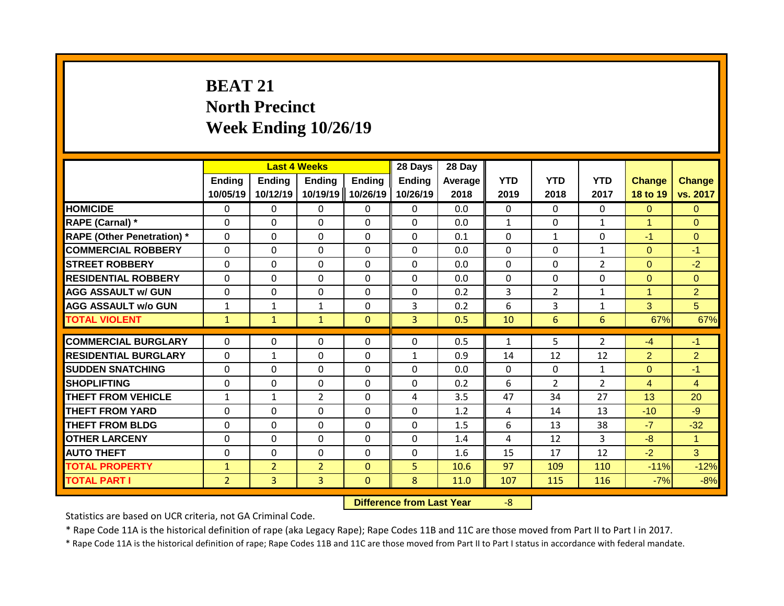# **BEAT 21 North Precinct Week Ending 10/26/19**

|                                   |                           | <b>Last 4 Weeks</b>       |                           |                           | 28 Days                   | 28 Day          |                    |                    |                    |                           |                           |
|-----------------------------------|---------------------------|---------------------------|---------------------------|---------------------------|---------------------------|-----------------|--------------------|--------------------|--------------------|---------------------------|---------------------------|
|                                   | <b>Ending</b><br>10/05/19 | <b>Ending</b><br>10/12/19 | <b>Ending</b><br>10/19/19 | <b>Ending</b><br>10/26/19 | <b>Ending</b><br>10/26/19 | Average<br>2018 | <b>YTD</b><br>2019 | <b>YTD</b><br>2018 | <b>YTD</b><br>2017 | <b>Change</b><br>18 to 19 | <b>Change</b><br>vs. 2017 |
| <b>HOMICIDE</b>                   | 0                         | 0                         | 0                         | $\mathbf{0}$              | $\mathbf{0}$              | 0.0             | $\mathbf{0}$       | $\Omega$           | 0                  | $\Omega$                  | $\Omega$                  |
| RAPE (Carnal) *                   | $\Omega$                  | $\Omega$                  | 0                         | $\mathbf 0$               | $\mathbf 0$               | 0.0             | $\mathbf{1}$       | $\Omega$           | $\mathbf{1}$       | 1                         | $\mathbf{0}$              |
| <b>RAPE (Other Penetration) *</b> | $\mathbf 0$               | 0                         | 0                         | $\mathbf 0$               | $\mathbf 0$               | 0.1             | 0                  | $\mathbf{1}$       | 0                  | $-1$                      | $\overline{0}$            |
| <b>COMMERCIAL ROBBERY</b>         | $\mathbf 0$               | 0                         | 0                         | $\mathbf 0$               | $\mathbf 0$               | 0.0             | $\mathbf 0$        | $\Omega$           | $\mathbf{1}$       | $\Omega$                  | $-1$                      |
| <b>STREET ROBBERY</b>             | $\Omega$                  | $\Omega$                  | $\Omega$                  | $\mathbf{0}$              | $\mathbf 0$               | 0.0             | $\mathbf 0$        | $\Omega$           | $\overline{2}$     | $\Omega$                  | $-2$                      |
| <b>RESIDENTIAL ROBBERY</b>        | $\mathbf{0}$              | 0                         | $\Omega$                  | $\mathbf{0}$              | $\Omega$                  | 0.0             | $\mathbf 0$        | $\Omega$           | $\Omega$           | $\Omega$                  | $\Omega$                  |
| <b>AGG ASSAULT w/ GUN</b>         | $\mathbf{0}$              | 0                         | $\Omega$                  | $\Omega$                  | $\Omega$                  | 0.2             | 3                  | $\overline{2}$     | $\mathbf{1}$       | 1                         | $\overline{2}$            |
| <b>AGG ASSAULT w/o GUN</b>        | $\mathbf{1}$              | 1                         | $\mathbf{1}$              | $\mathbf{0}$              | 3                         | 0.2             | 6                  | 3                  | 1                  | 3                         | 5                         |
| <b>TOTAL VIOLENT</b>              | $\mathbf{1}$              | $\mathbf{1}$              | $\mathbf{1}$              | $\mathbf{0}$              | 3                         | 0.5             | 10                 | 6                  | 6                  | 67%                       | 67%                       |
|                                   |                           |                           |                           |                           |                           |                 |                    |                    |                    |                           |                           |
| <b>COMMERCIAL BURGLARY</b>        | $\Omega$                  | $\Omega$                  | 0                         | $\Omega$                  | $\Omega$                  | 0.5             | 1                  | 5.                 | $\overline{2}$     | $-4$                      | $-1$                      |
| <b>RESIDENTIAL BURGLARY</b>       | $\mathbf{0}$              | $\mathbf{1}$              | 0                         | $\Omega$                  | $\mathbf{1}$              | 0.9             | 14                 | 12                 | 12                 | $\overline{2}$            | $\overline{2}$            |
| <b>SUDDEN SNATCHING</b>           | $\Omega$                  | $\Omega$                  | $\Omega$                  | $\Omega$                  | $\Omega$                  | 0.0             | $\mathbf{0}$       | $\Omega$           | $\mathbf{1}$       | $\Omega$                  | $-1$                      |
| SHOPLIFTING                       | $\Omega$                  | $\Omega$                  | $\Omega$                  | $\Omega$                  | $\Omega$                  | 0.2             | 6                  | $\overline{2}$     | $\overline{2}$     | $\overline{4}$            | $\overline{4}$            |
| <b>THEFT FROM VEHICLE</b>         | $\mathbf{1}$              | $\mathbf{1}$              | $\overline{2}$            | $\mathbf{0}$              | 4                         | 3.5             | 47                 | 34                 | 27                 | 13                        | 20                        |
| <b>THEFT FROM YARD</b>            | 0                         | 0                         | $\Omega$                  | $\mathbf{0}$              | $\Omega$                  | 1.2             | 4                  | 14                 | 13                 | $-10$                     | $-9$                      |
| <b>THEFT FROM BLDG</b>            | $\Omega$                  | 0                         | $\Omega$                  | 0                         | $\Omega$                  | 1.5             | 6                  | 13                 | 38                 | $-7$                      | $-32$                     |
| <b>OTHER LARCENY</b>              | $\Omega$                  | 0                         | $\Omega$                  | $\mathbf{0}$              | $\Omega$                  | 1.4             | 4                  | 12                 | 3                  | $-8$                      | $\mathbf{1}$              |
| <b>AUTO THEFT</b>                 | $\Omega$                  | $\Omega$                  | $\Omega$                  | $\mathbf 0$               | $\mathbf 0$               | 1.6             | 15                 | 17                 | 12                 | $-2$                      | 3                         |
| <b>TOTAL PROPERTY</b>             | $\mathbf{1}$              | $\overline{2}$            | $\overline{2}$            | $\mathbf{0}$              | 5                         | 10.6            | 97                 | 109                | 110                | $-11%$                    | $-12%$                    |
| <b>TOTAL PART I</b>               | $\overline{2}$            | 3                         | 3                         | $\mathbf{0}$              | 8                         | 11.0            | 107                | 115                | 116                | $-7%$                     | $-8%$                     |

**Difference from Last Year** -8

Statistics are based on UCR criteria, not GA Criminal Code.

\* Rape Code 11A is the historical definition of rape (aka Legacy Rape); Rape Codes 11B and 11C are those moved from Part II to Part I in 2017.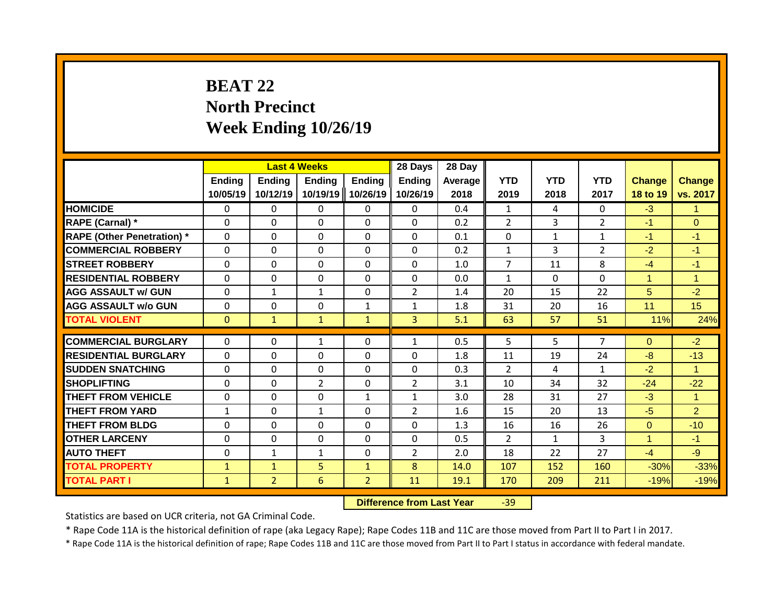# **BEAT 22 North Precinct Week Ending 10/26/19**

|                                   |                           | <b>Last 4 Weeks</b> |                           |                    | 28 Days                   | 28 Day          |                    |                    |                    |                           |                           |
|-----------------------------------|---------------------------|---------------------|---------------------------|--------------------|---------------------------|-----------------|--------------------|--------------------|--------------------|---------------------------|---------------------------|
|                                   | <b>Ending</b><br>10/05/19 | Ending<br>10/12/19  | <b>Ending</b><br>10/19/19 | Ending<br>10/26/19 | <b>Ending</b><br>10/26/19 | Average<br>2018 | <b>YTD</b><br>2019 | <b>YTD</b><br>2018 | <b>YTD</b><br>2017 | <b>Change</b><br>18 to 19 | <b>Change</b><br>vs. 2017 |
| <b>HOMICIDE</b>                   | $\mathbf 0$               | 0                   | 0                         | $\mathbf{0}$       | $\mathbf{0}$              | 0.4             | $\mathbf{1}$       | 4                  | $\Omega$           | $-3$                      | $\blacktriangleleft$      |
| <b>RAPE (Carnal) *</b>            | $\Omega$                  | $\Omega$            | $\Omega$                  | $\mathbf{0}$       | 0                         | 0.2             | $\overline{2}$     | 3                  | $\overline{2}$     | $-1$                      | $\Omega$                  |
| <b>RAPE (Other Penetration) *</b> | $\mathbf 0$               | $\Omega$            | 0                         | $\mathbf 0$        | $\mathbf 0$               | 0.1             | $\mathbf 0$        | $\mathbf{1}$       | $\mathbf{1}$       | $-1$                      | $-1$                      |
| <b>COMMERCIAL ROBBERY</b>         | $\Omega$                  | $\Omega$            | $\Omega$                  | $\mathbf{0}$       | 0                         | 0.2             | $\mathbf{1}$       | 3                  | $\overline{2}$     | $-2$                      | $-1$                      |
| <b>STREET ROBBERY</b>             | $\Omega$                  | 0                   | $\Omega$                  | $\Omega$           | $\Omega$                  | 1.0             | 7                  | 11                 | 8                  | $-4$                      | $-1$                      |
| <b>RESIDENTIAL ROBBERY</b>        | $\Omega$                  | 0                   | $\Omega$                  | $\Omega$           | $\Omega$                  | 0.0             | $\mathbf{1}$       | $\Omega$           | $\Omega$           | 1                         | $\mathbf{1}$              |
| <b>AGG ASSAULT w/ GUN</b>         | 0                         | $\mathbf{1}$        | $\mathbf{1}$              | 0                  | $\overline{2}$            | 1.4             | 20                 | 15                 | 22                 | 5                         | $-2$                      |
| <b>AGG ASSAULT w/o GUN</b>        | 0                         | 0                   | $\Omega$                  | $\mathbf{1}$       | $\mathbf{1}$              | 1.8             | 31                 | 20                 | 16                 | 11                        | 15                        |
| <b>TOTAL VIOLENT</b>              | $\mathbf{0}$              | $\mathbf{1}$        | $\mathbf{1}$              | $\mathbf{1}$       | 3                         | 5.1             | 63                 | 57                 | 51                 | 11%                       | 24%                       |
|                                   |                           |                     |                           |                    |                           |                 |                    |                    | 7                  |                           |                           |
| <b>COMMERCIAL BURGLARY</b>        | $\Omega$                  | 0                   | $\mathbf{1}$              | $\mathbf{0}$       | $\mathbf{1}$              | 0.5             | 5                  | 5                  |                    | $\Omega$                  | $-2$                      |
| <b>RESIDENTIAL BURGLARY</b>       | $\Omega$                  | $\Omega$            | $\Omega$                  | $\mathbf{0}$       | $\Omega$                  | 1.8             | 11                 | 19                 | 24                 | $-8$                      | $-13$                     |
| <b>SUDDEN SNATCHING</b>           | $\Omega$                  | $\Omega$            | $\Omega$                  | $\mathbf{0}$       | $\Omega$                  | 0.3             | $\overline{2}$     | 4                  | $\mathbf{1}$       | $-2$                      | $\blacktriangleleft$      |
| <b>SHOPLIFTING</b>                | $\mathbf{0}$              | 0                   | $\overline{2}$            | $\mathbf{0}$       | $\overline{2}$            | 3.1             | 10                 | 34                 | 32                 | $-24$                     | $-22$                     |
| <b>THEFT FROM VEHICLE</b>         | $\Omega$                  | $\Omega$            | $\Omega$                  | 1                  | $\mathbf{1}$              | 3.0             | 28                 | 31                 | 27                 | $-3$                      | $\mathbf{1}$              |
| <b>THEFT FROM YARD</b>            | $\mathbf{1}$              | 0                   | $\mathbf{1}$              | $\mathbf{0}$       | $\overline{2}$            | 1.6             | 15                 | 20                 | 13                 | $-5$                      | $\overline{2}$            |
| <b>THEFT FROM BLDG</b>            | 0                         | 0                   | 0                         | $\Omega$           | $\Omega$                  | 1.3             | 16                 | 16                 | 26                 | $\Omega$                  | $-10$                     |
| <b>OTHER LARCENY</b>              | 0                         | 0                   | 0                         | $\Omega$           | 0                         | 0.5             | $\overline{2}$     | $\mathbf{1}$       | 3                  | 4                         | $-1$                      |
| <b>AUTO THEFT</b>                 | 0                         | $\mathbf{1}$        | $\mathbf{1}$              | $\mathbf{0}$       | $\overline{2}$            | 2.0             | 18                 | 22                 | 27                 | $-4$                      | $-9$                      |
| <b>TOTAL PROPERTY</b>             | 1                         | $\mathbf{1}$        | 5                         | $\mathbf{1}$       | 8                         | 14.0            | 107                | 152                | 160                | $-30%$                    | $-33%$                    |
| <b>TOTAL PART I</b>               | $\mathbf{1}$              | $\overline{2}$      | 6                         | 2 <sup>1</sup>     | 11                        | 19.1            | 170                | 209                | 211                | $-19%$                    | $-19%$                    |

**Difference from Last Year** -39

Statistics are based on UCR criteria, not GA Criminal Code.

\* Rape Code 11A is the historical definition of rape (aka Legacy Rape); Rape Codes 11B and 11C are those moved from Part II to Part I in 2017.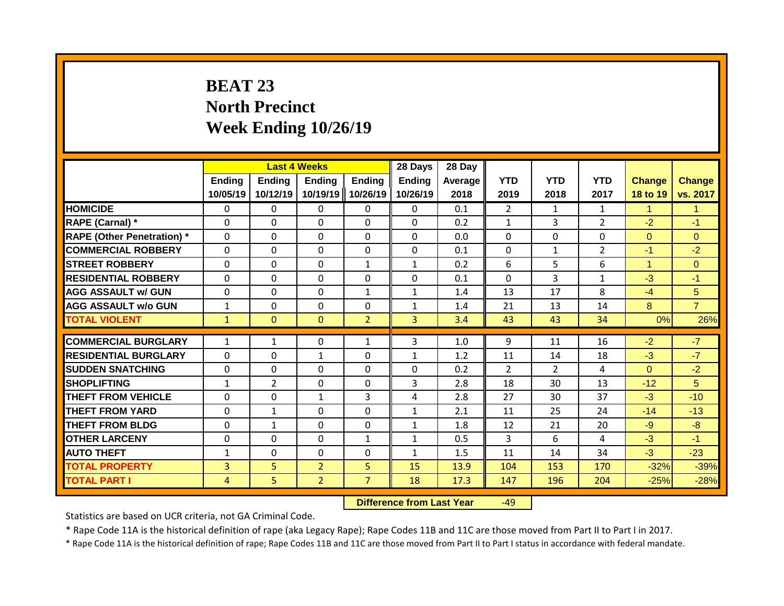# **BEAT 23 North Precinct Week Ending 10/26/19**

|                                   |                           | <b>Last 4 Weeks</b> |                           |                    | 28 Days                   | 28 Day          |                    |                    |                    |                           |                           |
|-----------------------------------|---------------------------|---------------------|---------------------------|--------------------|---------------------------|-----------------|--------------------|--------------------|--------------------|---------------------------|---------------------------|
|                                   | <b>Ending</b><br>10/05/19 | Ending<br>10/12/19  | <b>Ending</b><br>10/19/19 | Ending<br>10/26/19 | <b>Ending</b><br>10/26/19 | Average<br>2018 | <b>YTD</b><br>2019 | <b>YTD</b><br>2018 | <b>YTD</b><br>2017 | <b>Change</b><br>18 to 19 | <b>Change</b><br>vs. 2017 |
| <b>HOMICIDE</b>                   | 0                         | 0                   | 0                         | $\mathbf{0}$       | $\mathbf{0}$              | 0.1             | $\overline{2}$     | $\mathbf{1}$       | $\mathbf{1}$       | 1                         | $\mathbf{1}$              |
| RAPE (Carnal) *                   | $\Omega$                  | $\Omega$            | 0                         | $\Omega$           | $\Omega$                  | 0.2             | $\mathbf{1}$       | 3                  | $\overline{2}$     | $-2$                      | $-1$                      |
| <b>RAPE (Other Penetration) *</b> | $\mathbf{0}$              | $\Omega$            | 0                         | $\Omega$           | $\mathbf 0$               | 0.0             | $\mathbf{0}$       | $\Omega$           | $\Omega$           | $\Omega$                  | $\Omega$                  |
| <b>COMMERCIAL ROBBERY</b>         | $\Omega$                  | $\Omega$            | $\Omega$                  | $\Omega$           | $\Omega$                  | 0.1             | $\Omega$           | $\mathbf{1}$       | $\overline{2}$     | $-1$                      | $-2$                      |
| <b>STREET ROBBERY</b>             | $\Omega$                  | $\Omega$            | $\Omega$                  | $\mathbf{1}$       | $\mathbf{1}$              | 0.2             | 6                  | 5                  | 6                  | 1                         | $\Omega$                  |
| <b>RESIDENTIAL ROBBERY</b>        | $\Omega$                  | $\Omega$            | $\Omega$                  | $\mathbf{0}$       | $\Omega$                  | 0.1             | $\Omega$           | 3                  | $\mathbf{1}$       | $-3$                      | $-1$                      |
| <b>AGG ASSAULT w/ GUN</b>         | $\mathbf{0}$              | $\Omega$            | $\Omega$                  | $\mathbf{1}$       | $\mathbf{1}$              | 1.4             | 13                 | 17                 | 8                  | $-4$                      | 5                         |
| <b>AGG ASSAULT w/o GUN</b>        | $\mathbf{1}$              | $\Omega$            | $\Omega$                  | $\mathbf{0}$       | $\mathbf{1}$              | 1.4             | 21                 | 13                 | 14                 | 8                         | $\overline{7}$            |
| <b>TOTAL VIOLENT</b>              | $\mathbf{1}$              | $\Omega$            | $\Omega$                  | $\overline{2}$     | $\overline{3}$            | 3.4             | 43                 | 43                 | 34                 | 0%                        | 26%                       |
|                                   |                           |                     |                           |                    |                           |                 |                    |                    |                    |                           |                           |
| <b>COMMERCIAL BURGLARY</b>        | $\mathbf{1}$              | $\mathbf{1}$        | 0                         | 1                  | 3                         | 1.0             | 9                  | 11                 | 16                 | $-2$                      | $-7$                      |
| <b>RESIDENTIAL BURGLARY</b>       | $\mathbf{0}$              | $\Omega$            | $\mathbf{1}$              | $\mathbf{0}$       | $\mathbf{1}$              | 1.2             | 11                 | 14                 | 18                 | $-3$                      | $-7$                      |
| <b>SUDDEN SNATCHING</b>           | $\Omega$                  | 0                   | 0                         | $\mathbf{0}$       | 0                         | 0.2             | $\overline{2}$     | $\overline{2}$     | 4                  | $\Omega$                  | $-2$                      |
| <b>SHOPLIFTING</b>                | $\mathbf{1}$              | $\overline{2}$      | 0                         | $\mathbf{0}$       | 3                         | 2.8             | 18                 | 30                 | 13                 | $-12$                     | 5                         |
| THEFT FROM VEHICLE                | $\Omega$                  | $\Omega$            | $\mathbf{1}$              | 3                  | 4                         | 2.8             | 27                 | 30                 | 37                 | $-3$                      | $-10$                     |
| <b>THEFT FROM YARD</b>            | 0                         | $\mathbf{1}$        | $\Omega$                  | $\mathbf{0}$       | $\mathbf{1}$              | 2.1             | 11                 | 25                 | 24                 | $-14$                     | $-13$                     |
| <b>THEFT FROM BLDG</b>            | $\Omega$                  | $\mathbf{1}$        | 0                         | $\Omega$           | 1                         | 1.8             | 12                 | 21                 | 20                 | $-9$                      | $-8$                      |
| <b>OTHER LARCENY</b>              | $\Omega$                  | 0                   | 0                         | 1                  | $\mathbf{1}$              | 0.5             | 3                  | 6                  | 4                  | $-3$                      | $-1$                      |
| <b>AUTO THEFT</b>                 | $\mathbf{1}$              | 0                   | 0                         | $\Omega$           | $\mathbf{1}$              | 1.5             | 11                 | 14                 | 34                 | $-3$                      | $-23$                     |
| <b>TOTAL PROPERTY</b>             | 3                         | 5                   | $\overline{2}$            | 5                  | 15                        | 13.9            | 104                | 153                | 170                | $-32%$                    | $-39%$                    |
| <b>TOTAL PART I</b>               | 4                         | 5                   | $\overline{2}$            | $\overline{7}$     | 18                        | 17.3            | 147                | 196                | 204                | $-25%$                    | $-28%$                    |

**Difference from Last Year** -49

Statistics are based on UCR criteria, not GA Criminal Code.

\* Rape Code 11A is the historical definition of rape (aka Legacy Rape); Rape Codes 11B and 11C are those moved from Part II to Part I in 2017.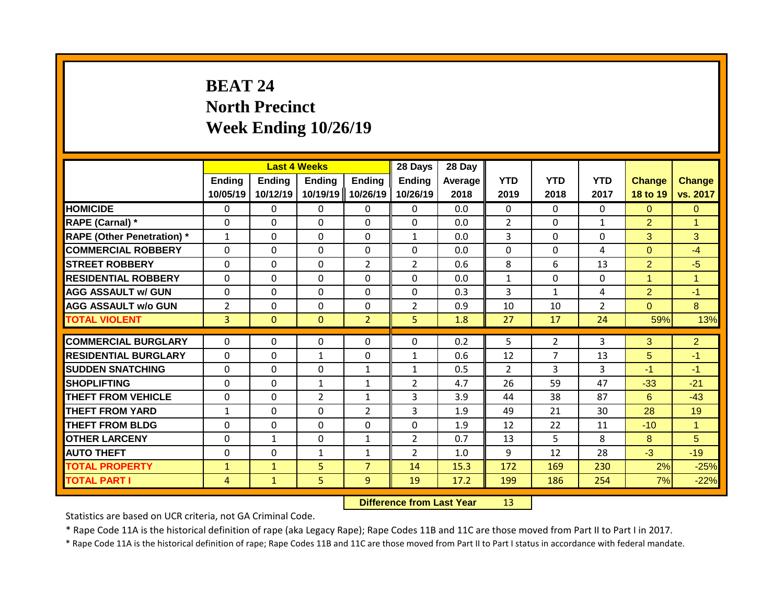# **BEAT 24 North Precinct Week Ending 10/26/19**

|                                   |                           |                           | <b>Last 4 Weeks</b>       |                           | 28 Days                   | 28 Day          |                    |                    |                    |                           |                           |
|-----------------------------------|---------------------------|---------------------------|---------------------------|---------------------------|---------------------------|-----------------|--------------------|--------------------|--------------------|---------------------------|---------------------------|
|                                   | <b>Ending</b><br>10/05/19 | <b>Ending</b><br>10/12/19 | <b>Ending</b><br>10/19/19 | <b>Ending</b><br>10/26/19 | <b>Ending</b><br>10/26/19 | Average<br>2018 | <b>YTD</b><br>2019 | <b>YTD</b><br>2018 | <b>YTD</b><br>2017 | <b>Change</b><br>18 to 19 | <b>Change</b><br>vs. 2017 |
| <b>HOMICIDE</b>                   | 0                         | 0                         | 0                         | 0                         | 0                         | 0.0             | $\mathbf{0}$       | $\Omega$           | 0                  | $\Omega$                  | $\Omega$                  |
| <b>RAPE (Carnal) *</b>            | $\Omega$                  | 0                         | $\Omega$                  | $\Omega$                  | $\Omega$                  | 0.0             | $\overline{2}$     | $\Omega$           | $\mathbf{1}$       | $\overline{2}$            | $\blacktriangleleft$      |
| <b>RAPE (Other Penetration)</b> * | $\mathbf{1}$              | 0                         | $\Omega$                  | $\Omega$                  | 1                         | 0.0             | 3                  | $\Omega$           | $\Omega$           | 3                         | 3                         |
| <b>COMMERCIAL ROBBERY</b>         | $\Omega$                  | 0                         | $\Omega$                  | $\mathbf{0}$              | 0                         | 0.0             | $\Omega$           | $\Omega$           | 4                  | $\Omega$                  | $-4$                      |
| <b>STREET ROBBERY</b>             | 0                         | 0                         | $\Omega$                  | $\overline{2}$            | $\overline{2}$            | 0.6             | 8                  | 6                  | 13                 | $\overline{2}$            | $-5$                      |
| <b>RESIDENTIAL ROBBERY</b>        | $\Omega$                  | 0                         | $\Omega$                  | 0                         | $\Omega$                  | 0.0             | $\mathbf{1}$       | $\Omega$           | $\Omega$           | $\overline{1}$            | $\overline{1}$            |
| <b>AGG ASSAULT w/ GUN</b>         | $\Omega$                  | 0                         | $\Omega$                  | $\mathbf 0$               | $\mathbf 0$               | 0.3             | 3                  | $\mathbf{1}$       | 4                  | $\overline{2}$            | $-1$                      |
| <b>AGG ASSAULT w/o GUN</b>        | $\overline{2}$            | 0                         | $\Omega$                  | $\Omega$                  | $\overline{2}$            | 0.9             | 10                 | 10                 | $\overline{2}$     | $\Omega$                  | 8                         |
| <b>TOTAL VIOLENT</b>              | $\overline{3}$            | $\Omega$                  | $\Omega$                  | $\overline{2}$            | 5                         | 1.8             | 27                 | 17                 | 24                 | 59%                       | 13%                       |
|                                   |                           |                           |                           |                           |                           |                 |                    |                    |                    |                           |                           |
| <b>COMMERCIAL BURGLARY</b>        | $\Omega$                  | 0                         | 0                         | $\mathbf{0}$              | $\Omega$                  | 0.2             | 5                  | $\overline{2}$     | 3                  | 3                         | $\overline{2}$            |
| <b>RESIDENTIAL BURGLARY</b>       | $\Omega$                  | 0                         | $\mathbf{1}$              | 0                         | $\mathbf{1}$              | 0.6             | 12                 | 7                  | 13                 | 5                         | $-1$                      |
| <b>SUDDEN SNATCHING</b>           | $\Omega$                  | 0                         | $\Omega$                  | $\mathbf{1}$              | $\mathbf{1}$              | 0.5             | $\overline{2}$     | 3                  | 3                  | $-1$                      | $-1$                      |
| <b>SHOPLIFTING</b>                | $\Omega$                  | 0                         | $\mathbf{1}$              | 1                         | $\overline{2}$            | 4.7             | 26                 | 59                 | 47                 | $-33$                     | $-21$                     |
| <b>THEFT FROM VEHICLE</b>         | $\Omega$                  | 0                         | $\overline{2}$            | 1                         | 3                         | 3.9             | 44                 | 38                 | 87                 | 6                         | $-43$                     |
| <b>THEFT FROM YARD</b>            | $\mathbf{1}$              | 0                         | $\Omega$                  | $\overline{2}$            | 3                         | 1.9             | 49                 | 21                 | 30                 | 28                        | 19                        |
| <b>THEFT FROM BLDG</b>            | 0                         | 0                         | 0                         | 0                         | 0                         | 1.9             | 12                 | 22                 | 11                 | $-10$                     | $\blacktriangleleft$      |
| <b>OTHER LARCENY</b>              | $\Omega$                  | 1                         | 0                         | $\mathbf{1}$              | $\overline{2}$            | 0.7             | 13                 | 5.                 | 8                  | 8                         | 5                         |
| <b>AUTO THEFT</b>                 | $\Omega$                  | 0                         | $\mathbf{1}$              | 1                         | $\overline{2}$            | 1.0             | 9                  | 12                 | 28                 | $-3$                      | $-19$                     |
| <b>TOTAL PROPERTY</b>             | $\mathbf{1}$              | $\mathbf{1}$              | 5                         | $\overline{7}$            | 14                        | 15.3            | 172                | 169                | 230                | 2%                        | $-25%$                    |
| <b>TOTAL PART I</b>               | 4                         | $\mathbf{1}$              | 5                         | 9                         | 19                        | 17.2            | 199                | 186                | 254                | 7%                        | $-22%$                    |

**Difference from Last Year** 13

Statistics are based on UCR criteria, not GA Criminal Code.

\* Rape Code 11A is the historical definition of rape (aka Legacy Rape); Rape Codes 11B and 11C are those moved from Part II to Part I in 2017.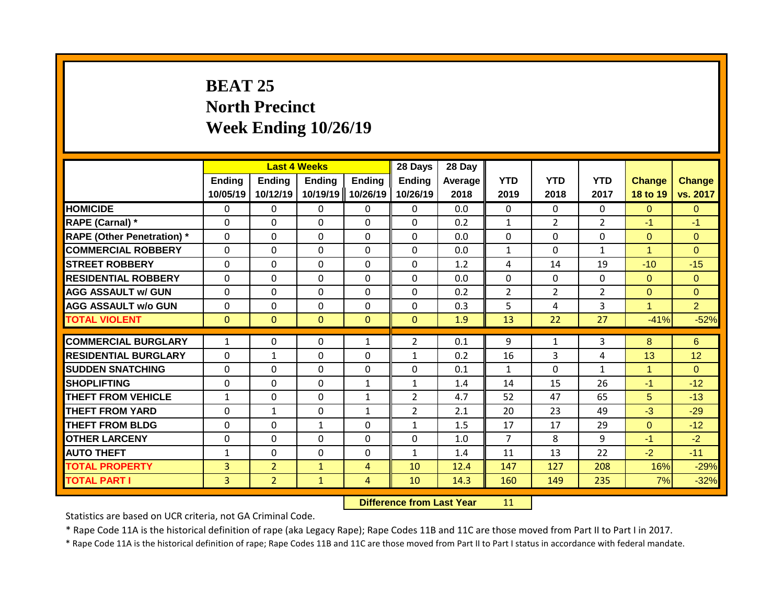# **BEAT 25 North Precinct Week Ending 10/26/19**

|                                   |                           |                           | <b>Last 4 Weeks</b>       |                           | 28 Days                   | 28 Day          |                    |                    |                    |                           |                           |
|-----------------------------------|---------------------------|---------------------------|---------------------------|---------------------------|---------------------------|-----------------|--------------------|--------------------|--------------------|---------------------------|---------------------------|
|                                   | <b>Ending</b><br>10/05/19 | <b>Ending</b><br>10/12/19 | <b>Ending</b><br>10/19/19 | <b>Ending</b><br>10/26/19 | <b>Ending</b><br>10/26/19 | Average<br>2018 | <b>YTD</b><br>2019 | <b>YTD</b><br>2018 | <b>YTD</b><br>2017 | <b>Change</b><br>18 to 19 | <b>Change</b><br>vs. 2017 |
| <b>HOMICIDE</b>                   | $\mathbf{0}$              | 0                         | 0                         | 0                         | $\mathbf{0}$              | 0.0             | $\mathbf 0$        | $\Omega$           | 0                  | $\Omega$                  | $\mathbf{0}$              |
| <b>RAPE (Carnal) *</b>            | $\Omega$                  | 0                         | $\Omega$                  | $\Omega$                  | $\Omega$                  | 0.2             | 1                  | $\overline{2}$     | $\overline{2}$     | $-1$                      | $-1$                      |
| <b>RAPE (Other Penetration) *</b> | $\Omega$                  | 0                         | $\Omega$                  | $\Omega$                  | $\Omega$                  | 0.0             | $\mathbf{0}$       | $\Omega$           | $\Omega$           | $\Omega$                  | $\Omega$                  |
| <b>COMMERCIAL ROBBERY</b>         | $\Omega$                  | 0                         | 0                         | $\Omega$                  | $\Omega$                  | 0.0             | $\mathbf{1}$       | $\Omega$           | $\mathbf{1}$       | 1                         | $\Omega$                  |
| <b>STREET ROBBERY</b>             | $\Omega$                  | 0                         | $\Omega$                  | $\Omega$                  | $\Omega$                  | 1.2             | 4                  | 14                 | 19                 | $-10$                     | $-15$                     |
| <b>RESIDENTIAL ROBBERY</b>        | $\Omega$                  | 0                         | $\Omega$                  | $\Omega$                  | $\Omega$                  | 0.0             | $\mathbf{0}$       | $\Omega$           | 0                  | $\Omega$                  | $\Omega$                  |
| <b>AGG ASSAULT w/ GUN</b>         | $\Omega$                  | 0                         | $\Omega$                  | 0                         | $\Omega$                  | 0.2             | 2                  | $\overline{2}$     | $\overline{2}$     | $\Omega$                  | $\Omega$                  |
| <b>AGG ASSAULT w/o GUN</b>        | $\Omega$                  | 0                         | $\Omega$                  | $\Omega$                  | $\Omega$                  | 0.3             | 5                  | 4                  | 3                  | 1                         | $\overline{2}$            |
| <b>TOTAL VIOLENT</b>              | $\mathbf{0}$              | 0                         | $\Omega$                  | $\mathbf{0}$              | $\Omega$                  | 1.9             | 13                 | 22                 | 27                 | $-41%$                    | $-52%$                    |
| <b>COMMERCIAL BURGLARY</b>        | $\mathbf{1}$              | 0                         | $\Omega$                  | 1                         | $\overline{2}$            | 0.1             | 9                  | $\mathbf{1}$       |                    | 8                         | 6                         |
| <b>RESIDENTIAL BURGLARY</b>       | $\Omega$                  |                           | $\Omega$                  | $\Omega$                  |                           | 0.2             | 16                 | 3                  | 3<br>4             | 13                        | 12                        |
|                                   |                           | 1                         |                           |                           | $\mathbf{1}$              |                 |                    |                    |                    | 1                         |                           |
| <b>SUDDEN SNATCHING</b>           | $\Omega$                  | 0                         | $\Omega$                  | $\Omega$                  | $\Omega$                  | 0.1             | $\mathbf{1}$       | $\Omega$           | $\mathbf{1}$       |                           | $\Omega$                  |
| <b>SHOPLIFTING</b>                | 0                         | 0                         | $\Omega$                  | $\mathbf{1}$              | $\mathbf{1}$              | 1.4             | 14                 | 15                 | 26                 | $-1$                      | $-12$                     |
| <b>THEFT FROM VEHICLE</b>         | $\mathbf{1}$              | 0                         | $\Omega$                  | $\mathbf{1}$              | $\overline{2}$            | 4.7             | 52                 | 47                 | 65                 | 5                         | $-13$                     |
| <b>THEFT FROM YARD</b>            | $\Omega$                  | 1                         | $\Omega$                  | 1                         | $\overline{2}$            | 2.1             | 20                 | 23                 | 49                 | $-3$                      | $-29$                     |
| <b>THEFT FROM BLDG</b>            | 0                         | 0                         | 1                         | 0                         | $\mathbf{1}$              | 1.5             | 17                 | 17                 | 29                 | $\Omega$                  | $-12$                     |
| <b>OTHER LARCENY</b>              | $\Omega$                  | 0                         | $\Omega$                  | 0                         | 0                         | 1.0             | $\overline{7}$     | 8                  | 9                  | $-1$                      | $-2$                      |
| <b>AUTO THEFT</b>                 | $\mathbf{1}$              | 0                         | $\Omega$                  | 0                         | $\mathbf{1}$              | 1.4             | 11                 | 13                 | 22                 | $-2$                      | $-11$                     |
| <b>TOTAL PROPERTY</b>             | $\overline{3}$            | $\overline{2}$            | $\mathbf{1}$              | 4                         | 10                        | 12.4            | 147                | 127                | 208                | 16%                       | $-29%$                    |
| <b>TOTAL PART I</b>               | $\overline{3}$            | $\overline{2}$            | $\mathbf{1}$              | 4                         | 10                        | 14.3            | 160                | 149                | 235                | 7%                        | $-32%$                    |

#### **Difference from Last Year** 11

Statistics are based on UCR criteria, not GA Criminal Code.

\* Rape Code 11A is the historical definition of rape (aka Legacy Rape); Rape Codes 11B and 11C are those moved from Part II to Part I in 2017.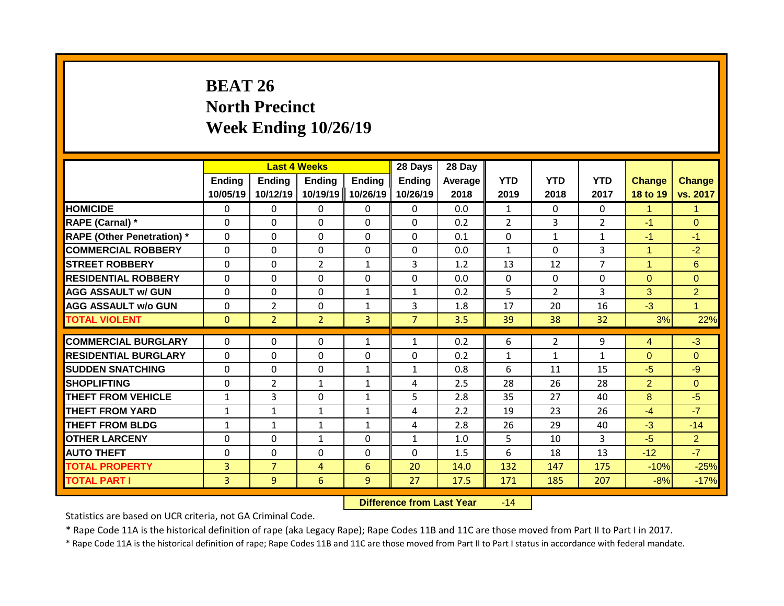# **BEAT 26 North Precinct Week Ending 10/26/19**

|                                   |                           | <b>Last 4 Weeks</b> |                           |                           | 28 Days                   | 28 Day          |                    |                    |                    |                           |                           |
|-----------------------------------|---------------------------|---------------------|---------------------------|---------------------------|---------------------------|-----------------|--------------------|--------------------|--------------------|---------------------------|---------------------------|
|                                   | <b>Ending</b><br>10/05/19 | Ending<br>10/12/19  | <b>Ending</b><br>10/19/19 | <b>Ending</b><br>10/26/19 | <b>Ending</b><br>10/26/19 | Average<br>2018 | <b>YTD</b><br>2019 | <b>YTD</b><br>2018 | <b>YTD</b><br>2017 | <b>Change</b><br>18 to 19 | <b>Change</b><br>vs. 2017 |
| <b>HOMICIDE</b>                   | $\Omega$                  | 0                   | 0                         | $\mathbf{0}$              | $\mathbf{0}$              | 0.0             | $\mathbf{1}$       | $\Omega$           | $\Omega$           | 1                         | $\mathbf{1}$              |
| RAPE (Carnal) *                   | $\Omega$                  | $\Omega$            | 0                         | $\Omega$                  | $\Omega$                  | 0.2             | $\overline{2}$     | 3                  | $\overline{2}$     | $-1$                      | $\Omega$                  |
| <b>RAPE (Other Penetration) *</b> | $\mathbf{0}$              | $\Omega$            | $\Omega$                  | $\mathbf{0}$              | $\Omega$                  | 0.1             | $\Omega$           | $\mathbf{1}$       | $\mathbf{1}$       | $-1$                      | $-1$                      |
| <b>COMMERCIAL ROBBERY</b>         | $\mathbf 0$               | $\Omega$            | 0                         | $\mathbf 0$               | $\mathbf 0$               | 0.0             | $\mathbf{1}$       | $\Omega$           | 3                  | 1                         | $-2$                      |
| <b>STREET ROBBERY</b>             | $\mathbf{0}$              | 0                   | $\overline{2}$            | $\mathbf{1}$              | 3                         | 1.2             | 13                 | 12                 | $\overline{7}$     | 1                         | 6                         |
| <b>RESIDENTIAL ROBBERY</b>        | $\Omega$                  | 0                   | $\Omega$                  | $\mathbf{0}$              | $\Omega$                  | 0.0             | $\Omega$           | $\Omega$           | $\Omega$           | $\Omega$                  | $\Omega$                  |
| <b>AGG ASSAULT w/ GUN</b>         | $\Omega$                  | 0                   | 0                         | $\mathbf{1}$              | $\mathbf{1}$              | 0.2             | 5                  | $\overline{2}$     | 3                  | 3                         | $\overline{2}$            |
| <b>AGG ASSAULT w/o GUN</b>        | $\mathbf{0}$              | $\overline{2}$      | $\Omega$                  | $\mathbf{1}$              | 3                         | 1.8             | 17                 | 20                 | 16                 | $-3$                      | $\mathbf{1}$              |
| <b>TOTAL VIOLENT</b>              | $\mathbf{0}$              | $\overline{2}$      | $\overline{2}$            | $\overline{3}$            | $\overline{7}$            | 3.5             | 39                 | 38                 | 32                 | 3%                        | 22%                       |
| <b>COMMERCIAL BURGLARY</b>        | $\Omega$                  | 0                   | 0                         | 1                         | 1                         | 0.2             | 6                  | $\overline{2}$     | 9                  | $\overline{4}$            | $-3$                      |
| <b>RESIDENTIAL BURGLARY</b>       | $\mathbf{0}$              |                     | $\Omega$                  | $\mathbf{0}$              | $\Omega$                  | 0.2             |                    |                    |                    | $\Omega$                  | $\Omega$                  |
|                                   |                           | 0                   |                           |                           |                           |                 | $\mathbf{1}$       | $\mathbf{1}$       | $\mathbf{1}$       |                           |                           |
| <b>SUDDEN SNATCHING</b>           | $\Omega$                  | 0                   | $\Omega$                  | 1                         | $\mathbf{1}$              | 0.8             | 6                  | 11                 | 15                 | $-5$                      | $-9$                      |
| <b>SHOPLIFTING</b>                | $\mathbf{0}$              | $\overline{2}$      | $\mathbf{1}$              | 1                         | 4                         | 2.5             | 28                 | 26                 | 28                 | $\overline{2}$            | $\Omega$                  |
| <b>THEFT FROM VEHICLE</b>         | $\mathbf{1}$              | 3                   | 0                         | $\mathbf{1}$              | 5                         | 2.8             | 35                 | 27                 | 40                 | 8                         | $-5$                      |
| <b>THEFT FROM YARD</b>            | 1                         | $\mathbf{1}$        | $\mathbf{1}$              | 1                         | 4                         | 2.2             | 19                 | 23                 | 26                 | $-4$                      | $-7$                      |
| <b>THEFT FROM BLDG</b>            | 1                         | 1                   | $\mathbf{1}$              | 1                         | 4                         | 2.8             | 26                 | 29                 | 40                 | $-3$                      | $-14$                     |
| <b>OTHER LARCENY</b>              | $\Omega$                  | 0                   | $\mathbf{1}$              | 0                         | 1                         | 1.0             | 5                  | 10                 | 3                  | $-5$                      | $\overline{2}$            |
| <b>AUTO THEFT</b>                 | $\Omega$                  | $\Omega$            | 0                         | $\Omega$                  | $\Omega$                  | 1.5             | 6                  | 18                 | 13                 | $-12$                     | $-7$                      |
| <b>TOTAL PROPERTY</b>             | 3                         | $\overline{7}$      | 4                         | 6                         | 20                        | 14.0            | 132                | 147                | 175                | $-10%$                    | $-25%$                    |
| <b>TOTAL PART I</b>               | 3.                        | 9                   | 6                         | 9                         | 27                        | 17.5            | 171                | 185                | 207                | $-8%$                     | $-17%$                    |

**Difference from Last Year** -14

Statistics are based on UCR criteria, not GA Criminal Code.

\* Rape Code 11A is the historical definition of rape (aka Legacy Rape); Rape Codes 11B and 11C are those moved from Part II to Part I in 2017.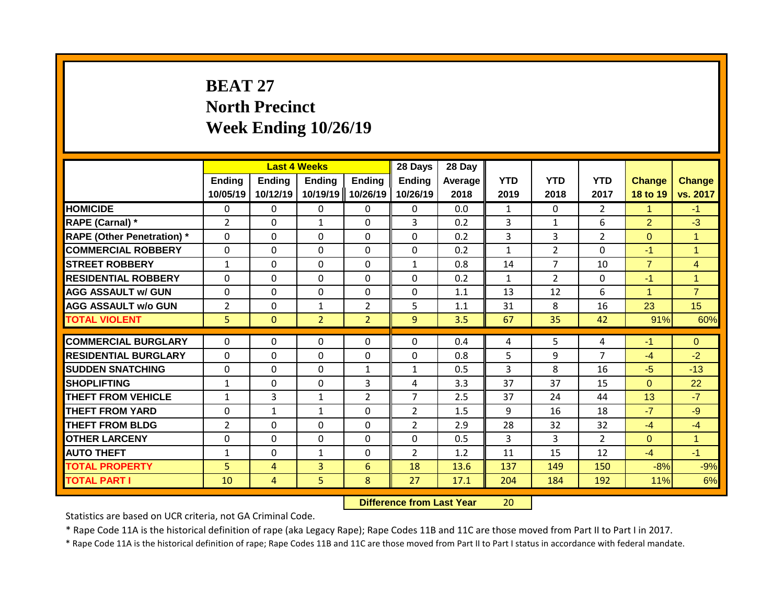# **BEAT 27 North Precinct Week Ending 10/26/19**

|                                   |                           | <b>Last 4 Weeks</b>       |                           |                           | 28 Days                   | 28 Day          |                    |                    |                    |                           |                           |
|-----------------------------------|---------------------------|---------------------------|---------------------------|---------------------------|---------------------------|-----------------|--------------------|--------------------|--------------------|---------------------------|---------------------------|
|                                   | <b>Ending</b><br>10/05/19 | <b>Ending</b><br>10/12/19 | <b>Ending</b><br>10/19/19 | <b>Ending</b><br>10/26/19 | <b>Ending</b><br>10/26/19 | Average<br>2018 | <b>YTD</b><br>2019 | <b>YTD</b><br>2018 | <b>YTD</b><br>2017 | <b>Change</b><br>18 to 19 | <b>Change</b><br>vs. 2017 |
| <b>HOMICIDE</b>                   | $\Omega$                  | 0                         | 0                         | $\mathbf{0}$              | $\mathbf{0}$              | 0.0             | $\mathbf{1}$       | $\Omega$           | $\overline{2}$     | 1                         | $-1$                      |
| RAPE (Carnal) *                   | $\overline{2}$            | $\Omega$                  | $\mathbf{1}$              | $\Omega$                  | 3                         | 0.2             | 3                  | $\mathbf{1}$       | 6                  | $\overline{2}$            | $-3$                      |
| <b>RAPE (Other Penetration) *</b> | $\Omega$                  | $\Omega$                  | $\Omega$                  | $\Omega$                  | $\Omega$                  | 0.2             | 3                  | 3                  | $\overline{2}$     | $\Omega$                  | $\mathbf{1}$              |
| <b>COMMERCIAL ROBBERY</b>         | $\Omega$                  | $\Omega$                  | $\Omega$                  | $\mathbf{0}$              | 0                         | 0.2             | $\mathbf{1}$       | $\overline{2}$     | $\Omega$           | $-1$                      | $\overline{1}$            |
| <b>STREET ROBBERY</b>             | $\mathbf{1}$              | 0                         | 0                         | $\mathbf{0}$              | $\mathbf{1}$              | 0.8             | 14                 | 7                  | 10                 | $\overline{7}$            | $\overline{4}$            |
| <b>RESIDENTIAL ROBBERY</b>        | $\mathbf{0}$              | $\Omega$                  | $\Omega$                  | $\mathbf{0}$              | $\Omega$                  | 0.2             | $\mathbf{1}$       | $\overline{2}$     | 0                  | $-1$                      | $\mathbf 1$               |
| <b>AGG ASSAULT w/ GUN</b>         | $\mathbf{0}$              | $\Omega$                  | $\Omega$                  | $\Omega$                  | $\Omega$                  | 1.1             | 13                 | 12                 | 6                  | 1                         | $\overline{7}$            |
| <b>AGG ASSAULT w/o GUN</b>        | $\overline{2}$            | $\Omega$                  | $\mathbf{1}$              | $\overline{2}$            | 5                         | 1.1             | 31                 | 8                  | 16                 | 23                        | 15                        |
| <b>TOTAL VIOLENT</b>              | 5                         | $\Omega$                  | $\overline{2}$            | $\overline{2}$            | $\overline{9}$            | 3.5             | 67                 | 35                 | 42                 | 91%                       | 60%                       |
|                                   |                           |                           |                           |                           |                           |                 |                    |                    |                    |                           |                           |
| <b>COMMERCIAL BURGLARY</b>        | $\mathbf{0}$              | 0                         | 0                         | $\mathbf{0}$              | $\Omega$                  | 0.4             | 4                  | 5                  | 4                  | $-1$                      | $\Omega$                  |
| <b>RESIDENTIAL BURGLARY</b>       | $\mathbf{0}$              | 0                         | $\Omega$                  | $\mathbf{0}$              | $\Omega$                  | 0.8             | 5                  | 9                  | 7                  | $-4$                      | $-2$                      |
| <b>SUDDEN SNATCHING</b>           | $\Omega$                  | 0                         | $\Omega$                  | $\mathbf{1}$              | $\mathbf{1}$              | 0.5             | 3                  | 8                  | 16                 | $-5$                      | $-13$                     |
| <b>SHOPLIFTING</b>                | $\mathbf{1}$              | 0                         | $\Omega$                  | 3                         | 4                         | 3.3             | 37                 | 37                 | 15                 | $\Omega$                  | 22                        |
| <b>THEFT FROM VEHICLE</b>         | $\mathbf{1}$              | 3                         | $\mathbf{1}$              | $\overline{2}$            | $\overline{7}$            | 2.5             | 37                 | 24                 | 44                 | 13                        | $-7$                      |
| <b>THEFT FROM YARD</b>            | $\Omega$                  | $\mathbf{1}$              | $\mathbf{1}$              | $\Omega$                  | $\overline{2}$            | 1.5             | 9                  | 16                 | 18                 | $-7$                      | $-9$                      |
| <b>THEFT FROM BLDG</b>            | 2                         | 0                         | 0                         | 0                         | $\overline{2}$            | 2.9             | 28                 | 32                 | 32                 | $-4$                      | $-4$                      |
| <b>OTHER LARCENY</b>              | $\Omega$                  | $\Omega$                  | 0                         | $\Omega$                  | $\Omega$                  | 0.5             | 3                  | 3                  | $\overline{2}$     | $\Omega$                  | $\overline{1}$            |
| <b>AUTO THEFT</b>                 | 1                         | $\Omega$                  | $\mathbf{1}$              | $\Omega$                  | $\overline{2}$            | 1.2             | 11                 | 15                 | 12                 | $-4$                      | $-1$                      |
| <b>TOTAL PROPERTY</b>             | 5                         | 4                         | 3                         | 6                         | 18                        | 13.6            | 137                | 149                | 150                | $-8%$                     | $-9%$                     |
| <b>TOTAL PART I</b>               | 10                        | 4                         | 5                         | 8                         | 27                        | 17.1            | 204                | 184                | 192                | 11%                       | 6%                        |

**Difference from Last Year** 20

Statistics are based on UCR criteria, not GA Criminal Code.

\* Rape Code 11A is the historical definition of rape (aka Legacy Rape); Rape Codes 11B and 11C are those moved from Part II to Part I in 2017.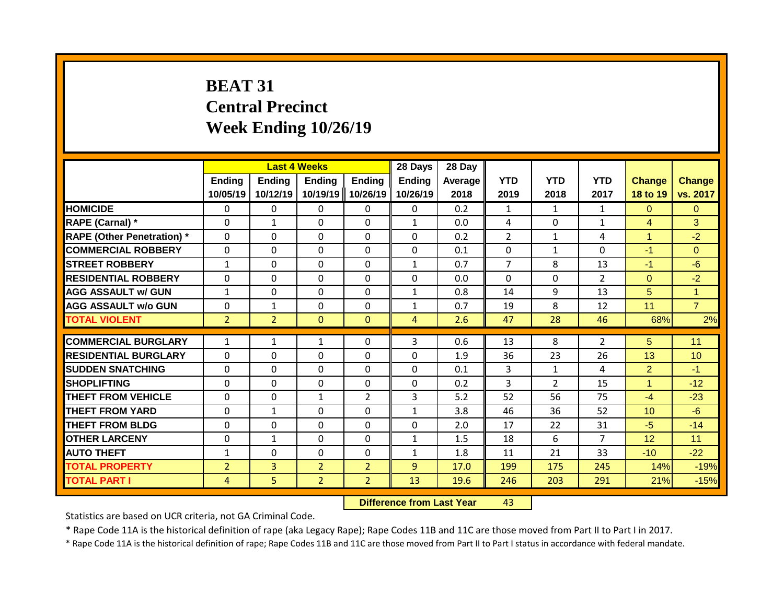# **BEAT 31 Central Precinct Week Ending 10/26/19**

|                                   |                           | <b>Last 4 Weeks</b> |                           |                    | 28 Days                   | 28 Day          |                    |                    |                    |                           |                           |
|-----------------------------------|---------------------------|---------------------|---------------------------|--------------------|---------------------------|-----------------|--------------------|--------------------|--------------------|---------------------------|---------------------------|
|                                   | <b>Ending</b><br>10/05/19 | Ending<br>10/12/19  | <b>Ending</b><br>10/19/19 | Ending<br>10/26/19 | <b>Ending</b><br>10/26/19 | Average<br>2018 | <b>YTD</b><br>2019 | <b>YTD</b><br>2018 | <b>YTD</b><br>2017 | <b>Change</b><br>18 to 19 | <b>Change</b><br>vs. 2017 |
| <b>HOMICIDE</b>                   | $\Omega$                  | 0                   | 0                         | $\mathbf{0}$       | $\mathbf{0}$              | 0.2             | $\mathbf{1}$       | $\mathbf{1}$       | $\mathbf{1}$       | $\Omega$                  | $\mathbf{0}$              |
| <b>RAPE (Carnal) *</b>            | $\Omega$                  | $\mathbf{1}$        | $\Omega$                  | $\mathbf{0}$       | $\mathbf{1}$              | 0.0             | 4                  | $\Omega$           | 1                  | $\overline{4}$            | 3                         |
| <b>RAPE (Other Penetration) *</b> | $\mathbf 0$               | $\Omega$            | 0                         | $\mathbf 0$        | $\mathbf 0$               | 0.2             | $\overline{2}$     | $\mathbf{1}$       | 4                  | 1                         | $-2$                      |
| <b>COMMERCIAL ROBBERY</b>         | $\Omega$                  | $\Omega$            | $\Omega$                  | $\mathbf{0}$       | 0                         | 0.1             | $\Omega$           | $\mathbf{1}$       | 0                  | $-1$                      | $\Omega$                  |
| <b>STREET ROBBERY</b>             | $\mathbf{1}$              | 0                   | $\Omega$                  | $\Omega$           | $\mathbf{1}$              | 0.7             | $\overline{7}$     | 8                  | 13                 | $-1$                      | $-6$                      |
| <b>RESIDENTIAL ROBBERY</b>        | $\Omega$                  | 0                   | $\Omega$                  | $\Omega$           | 0                         | 0.0             | $\Omega$           | $\Omega$           | $\overline{2}$     | $\Omega$                  | $-2$                      |
| <b>AGG ASSAULT w/ GUN</b>         | $\mathbf{1}$              | 0                   | $\Omega$                  | $\mathbf{0}$       | $\mathbf{1}$              | 0.8             | 14                 | 9                  | 13                 | 5                         | $\mathbf{1}$              |
| <b>AGG ASSAULT w/o GUN</b>        | 0                         | $\mathbf{1}$        | $\Omega$                  | 0                  | $\mathbf{1}$              | 0.7             | 19                 | 8                  | 12                 | 11                        | $\overline{7}$            |
| <b>TOTAL VIOLENT</b>              | $\overline{2}$            | $\overline{2}$      | $\mathbf{0}$              | $\mathbf{0}$       | 4                         | 2.6             | 47                 | 28                 | 46                 | 68%                       | 2%                        |
|                                   |                           |                     |                           |                    |                           |                 |                    |                    |                    |                           |                           |
| <b>COMMERCIAL BURGLARY</b>        | $\mathbf{1}$              | $\mathbf{1}$        | $\mathbf{1}$              | $\mathbf{0}$       | 3                         | 0.6             | 13                 | 8                  | 2                  | 5                         | 11                        |
| <b>RESIDENTIAL BURGLARY</b>       | $\Omega$                  | $\Omega$            | $\Omega$                  | $\mathbf{0}$       | 0                         | 1.9             | 36                 | 23                 | 26                 | 13                        | 10                        |
| <b>SUDDEN SNATCHING</b>           | $\Omega$                  | $\Omega$            | $\Omega$                  | $\mathbf{0}$       | $\Omega$                  | 0.1             | 3                  | $\mathbf{1}$       | 4                  | $\overline{2}$            | $-1$                      |
| <b>SHOPLIFTING</b>                | $\mathbf{0}$              | 0                   | $\Omega$                  | $\mathbf{0}$       | $\Omega$                  | 0.2             | 3                  | $\mathcal{P}$      | 15                 | 1                         | $-12$                     |
| <b>THEFT FROM VEHICLE</b>         | $\Omega$                  | $\Omega$            | $\mathbf{1}$              | $\overline{2}$     | 3                         | 5.2             | 52                 | 56                 | 75                 | $-4$                      | $-23$                     |
| <b>THEFT FROM YARD</b>            | $\mathbf{0}$              | $\mathbf{1}$        | $\Omega$                  | $\mathbf{0}$       | $\mathbf{1}$              | 3.8             | 46                 | 36                 | 52                 | 10                        | $-6$                      |
| <b>THEFT FROM BLDG</b>            | 0                         | 0                   | 0                         | $\Omega$           | $\Omega$                  | 2.0             | 17                 | 22                 | 31                 | $-5$                      | $-14$                     |
| <b>OTHER LARCENY</b>              | 0                         | 1                   | 0                         | $\Omega$           | 1                         | 1.5             | 18                 | 6                  | 7                  | 12                        | 11                        |
| <b>AUTO THEFT</b>                 | $\mathbf{1}$              | 0                   | 0                         | 0                  | $\mathbf{1}$              | 1.8             | 11                 | 21                 | 33                 | $-10$                     | $-22$                     |
| <b>TOTAL PROPERTY</b>             | $\overline{2}$            | 3                   | $\overline{2}$            | $\overline{2}$     | 9                         | 17.0            | 199                | 175                | 245                | 14%                       | $-19%$                    |
| <b>TOTAL PART I</b>               | 4                         | 5                   | $\overline{2}$            | $\overline{2}$     | 13                        | 19.6            | 246                | 203                | 291                | 21%                       | $-15%$                    |

**Difference from Last Year** 43

Statistics are based on UCR criteria, not GA Criminal Code.

\* Rape Code 11A is the historical definition of rape (aka Legacy Rape); Rape Codes 11B and 11C are those moved from Part II to Part I in 2017.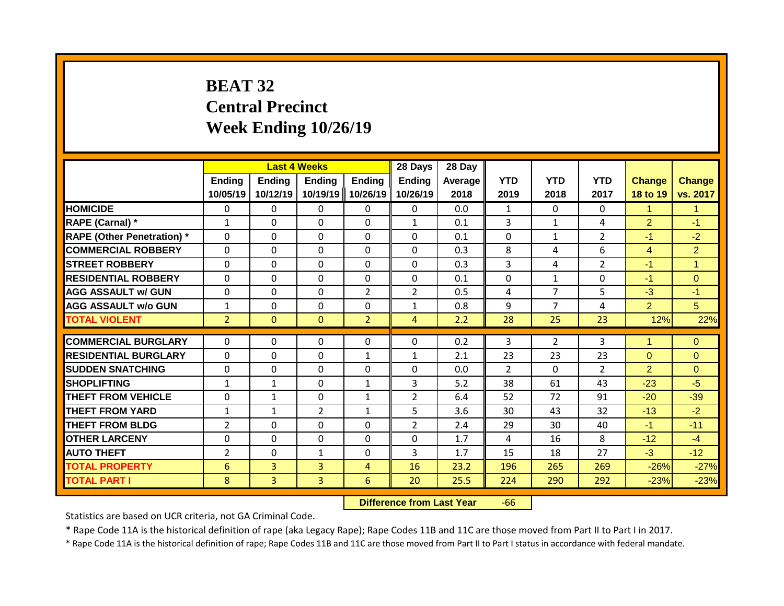# **BEAT 32 Central Precinct Week Ending 10/26/19**

|                                   |                           | <b>Last 4 Weeks</b>       |                           |                           | 28 Days                   | 28 Day          |                    |                    |                    |                           |                           |
|-----------------------------------|---------------------------|---------------------------|---------------------------|---------------------------|---------------------------|-----------------|--------------------|--------------------|--------------------|---------------------------|---------------------------|
|                                   | <b>Ending</b><br>10/05/19 | <b>Ending</b><br>10/12/19 | <b>Ending</b><br>10/19/19 | <b>Ending</b><br>10/26/19 | <b>Ending</b><br>10/26/19 | Average<br>2018 | <b>YTD</b><br>2019 | <b>YTD</b><br>2018 | <b>YTD</b><br>2017 | <b>Change</b><br>18 to 19 | <b>Change</b><br>vs. 2017 |
| <b>HOMICIDE</b>                   | $\mathbf{0}$              | 0                         | 0                         | $\mathbf{0}$              | $\Omega$                  | 0.0             | $\mathbf{1}$       | $\Omega$           | $\Omega$           | $\mathbf{1}$              | $\mathbf{1}$              |
| RAPE (Carnal) *                   | $\mathbf{1}$              | 0                         | $\Omega$                  | $\mathbf{0}$              | $\mathbf{1}$              | 0.1             | 3                  | $\mathbf{1}$       | 4                  | $\overline{2}$            | $-1$                      |
| <b>RAPE (Other Penetration) *</b> | $\Omega$                  | 0                         | $\Omega$                  | $\mathbf{0}$              | 0                         | 0.1             | $\Omega$           | 1                  | $\overline{2}$     | $-1$                      | $-2$                      |
| <b>COMMERCIAL ROBBERY</b>         | $\Omega$                  | 0                         | $\Omega$                  | $\Omega$                  | $\Omega$                  | 0.3             | 8                  | 4                  | 6                  | $\overline{4}$            | $\overline{2}$            |
| <b>STREET ROBBERY</b>             | $\Omega$                  | 0                         | $\Omega$                  | $\mathbf{0}$              | $\Omega$                  | 0.3             | 3                  | 4                  | $\overline{2}$     | $-1$                      | $\mathbf{1}$              |
| <b>RESIDENTIAL ROBBERY</b>        | $\Omega$                  | 0                         | $\Omega$                  | $\mathbf{0}$              | $\Omega$                  | 0.1             | $\Omega$           | $\mathbf{1}$       | 0                  | $-1$                      | $\Omega$                  |
| <b>AGG ASSAULT w/ GUN</b>         | $\Omega$                  | 0                         | $\Omega$                  | $\overline{2}$            | $\overline{2}$            | 0.5             | 4                  | 7                  | 5                  | $-3$                      | $-1$                      |
| <b>AGG ASSAULT w/o GUN</b>        | $\mathbf{1}$              | 0                         | 0                         | $\Omega$                  | $\mathbf{1}$              | 0.8             | 9                  | 7                  | 4                  | $\overline{2}$            | 5                         |
| <b>TOTAL VIOLENT</b>              | $\overline{2}$            | $\Omega$                  | $\Omega$                  | $\overline{2}$            | 4                         | 2.2             | 28                 | 25                 | 23                 | 12%                       | 22%                       |
|                                   |                           |                           |                           |                           |                           |                 |                    |                    |                    |                           |                           |
| <b>COMMERCIAL BURGLARY</b>        | $\Omega$                  | 0                         | 0                         | 0                         | $\Omega$                  | 0.2             | 3                  | $\overline{2}$     | 3                  | 1                         | $\mathbf{0}$              |
| <b>RESIDENTIAL BURGLARY</b>       | $\Omega$                  | 0                         | $\Omega$                  | $\mathbf{1}$              | $\mathbf{1}$              | 2.1             | 23                 | 23                 | 23                 | $\Omega$                  | $\Omega$                  |
| <b>SUDDEN SNATCHING</b>           | $\Omega$                  | 0                         | 0                         | 0                         | $\Omega$                  | 0.0             | $\mathcal{P}$      | $\Omega$           | $\overline{2}$     | $\overline{2}$            | $\Omega$                  |
| <b>SHOPLIFTING</b>                | $\mathbf{1}$              | 1                         | $\Omega$                  | 1                         | 3                         | 5.2             | 38                 | 61                 | 43                 | $-23$                     | $-5$                      |
| <b>THEFT FROM VEHICLE</b>         | $\Omega$                  | 1                         | 0                         | 1                         | $\overline{2}$            | 6.4             | 52                 | 72                 | 91                 | $-20$                     | $-39$                     |
| <b>THEFT FROM YARD</b>            | $\mathbf{1}$              | 1                         | $\overline{2}$            | 1                         | 5                         | 3.6             | 30                 | 43                 | 32                 | $-13$                     | $-2$                      |
| <b>THEFT FROM BLDG</b>            | 2                         | 0                         | 0                         | $\Omega$                  | 2                         | 2.4             | 29                 | 30                 | 40                 | $-1$                      | $-11$                     |
| <b>OTHER LARCENY</b>              | $\Omega$                  | 0                         | 0                         | $\Omega$                  | 0                         | 1.7             | 4                  | 16                 | 8                  | $-12$                     | $-4$                      |
| <b>AUTO THEFT</b>                 | $\overline{2}$            | 0                         | $\mathbf{1}$              | $\Omega$                  | 3                         | 1.7             | 15                 | 18                 | 27                 | $-3$                      | $-12$                     |
| <b>TOTAL PROPERTY</b>             | 6                         | $\overline{3}$            | 3                         | 4                         | 16                        | 23.2            | 196                | 265                | 269                | $-26%$                    | $-27%$                    |
| <b>TOTAL PART I</b>               | 8                         | 3                         | 3                         | 6                         | 20                        | 25.5            | 224                | 290                | 292                | $-23%$                    | $-23%$                    |

**Difference from Last Year** -66

Statistics are based on UCR criteria, not GA Criminal Code.

\* Rape Code 11A is the historical definition of rape (aka Legacy Rape); Rape Codes 11B and 11C are those moved from Part II to Part I in 2017.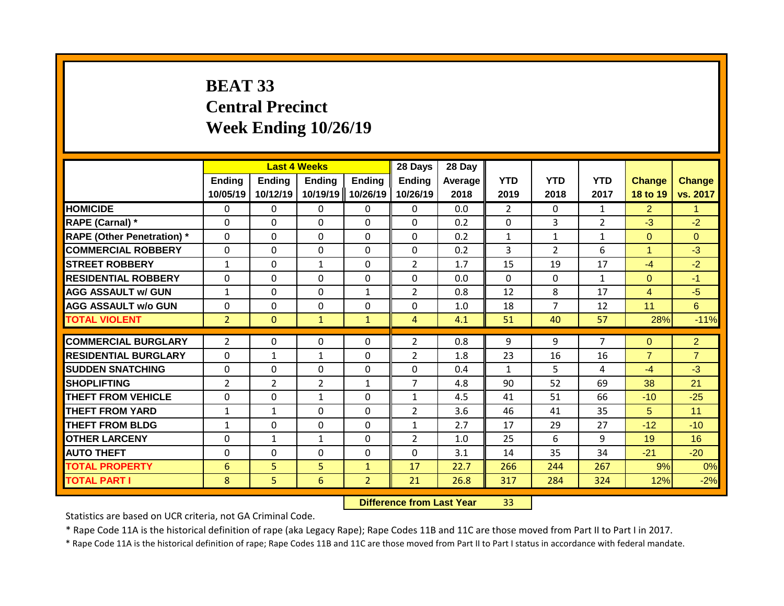# **BEAT 33 Central Precinct Week Ending 10/26/19**

|                                   |                    | <b>Last 4 Weeks</b> |                           |                    | 28 Days                   | 28 Day          |                    |                    |                    |                           |                           |
|-----------------------------------|--------------------|---------------------|---------------------------|--------------------|---------------------------|-----------------|--------------------|--------------------|--------------------|---------------------------|---------------------------|
|                                   | Ending<br>10/05/19 | Ending<br>10/12/19  | <b>Ending</b><br>10/19/19 | Ending<br>10/26/19 | <b>Ending</b><br>10/26/19 | Average<br>2018 | <b>YTD</b><br>2019 | <b>YTD</b><br>2018 | <b>YTD</b><br>2017 | <b>Change</b><br>18 to 19 | <b>Change</b><br>vs. 2017 |
| <b>HOMICIDE</b>                   | $\mathbf{0}$       | 0                   | 0                         | $\mathbf{0}$       | $\mathbf{0}$              | 0.0             | $\overline{2}$     | 0                  | $\mathbf{1}$       | $\overline{2}$            | $\mathbf{1}$              |
| <b>RAPE (Carnal) *</b>            | $\Omega$           | 0                   | 0                         | $\Omega$           | $\Omega$                  | 0.2             | $\mathbf{0}$       | 3                  | $\overline{2}$     | $-3$                      | $-2$                      |
| <b>RAPE (Other Penetration) *</b> | $\Omega$           | 0                   | 0                         | $\mathbf{0}$       | $\Omega$                  | 0.2             | $\mathbf{1}$       | $\mathbf{1}$       | $\mathbf{1}$       | $\overline{0}$            | $\Omega$                  |
| <b>COMMERCIAL ROBBERY</b>         | $\Omega$           | 0                   | 0                         | $\mathbf{0}$       | $\Omega$                  | 0.2             | 3                  | $\overline{2}$     | 6                  | $\blacktriangleleft$      | $-3$                      |
| <b>STREET ROBBERY</b>             | $\mathbf{1}$       | 0                   | $\mathbf{1}$              | $\mathbf{0}$       | $\overline{2}$            | 1.7             | 15                 | 19                 | 17                 | $-4$                      | $-2$                      |
| <b>RESIDENTIAL ROBBERY</b>        | 0                  | 0                   | 0                         | $\mathbf{0}$       | 0                         | 0.0             | $\Omega$           | 0                  | $\mathbf{1}$       | $\Omega$                  | $-1$                      |
| <b>AGG ASSAULT w/ GUN</b>         | $\mathbf{1}$       | 0                   | 0                         | 1                  | $\overline{2}$            | 0.8             | 12                 | 8                  | 17                 | 4                         | $-5$                      |
| <b>AGG ASSAULT w/o GUN</b>        | 0                  | 0                   | $\Omega$                  | 0                  | $\Omega$                  | 1.0             | 18                 | 7                  | 12                 | 11                        | 6                         |
| <b>TOTAL VIOLENT</b>              | $\overline{2}$     | $\mathbf{0}$        | $\mathbf{1}$              | $\mathbf{1}$       | $\overline{4}$            | 4.1             | 51                 | 40                 | 57                 | 28%                       | $-11%$                    |
| <b>COMMERCIAL BURGLARY</b>        | $\overline{2}$     | 0                   | 0                         | $\mathbf{0}$       | $\overline{2}$            | 0.8             | 9                  | 9                  | $\overline{7}$     | $\Omega$                  | $\overline{2}$            |
| <b>RESIDENTIAL BURGLARY</b>       | $\Omega$           | 1                   | $\mathbf{1}$              | $\mathbf{0}$       | $\overline{2}$            | 1.8             | 23                 | 16                 | 16                 | $\overline{7}$            | $\overline{7}$            |
| <b>SUDDEN SNATCHING</b>           | $\Omega$           |                     | $\Omega$                  | $\mathbf{0}$       | $\Omega$                  | 0.4             | $\mathbf{1}$       | 5.                 | 4                  | $-4$                      | $-3$                      |
| <b>SHOPLIFTING</b>                |                    | 0                   |                           | 1                  | 7                         | 4.8             | 90                 | 52                 | 69                 | 38                        | 21                        |
| <b>THEFT FROM VEHICLE</b>         | $\overline{2}$     | 2<br>0              | $\overline{2}$            | 0                  | $\mathbf{1}$              |                 | 41                 | 51                 | 66                 | $-10$                     |                           |
| <b>THEFT FROM YARD</b>            | 0<br>$\mathbf{1}$  | 1                   | $\mathbf{1}$<br>$\Omega$  | 0                  | $\overline{2}$            | 4.5<br>3.6      | 46                 | 41                 | 35                 | 5                         | $-25$<br>11               |
| <b>THEFT FROM BLDG</b>            |                    | 0                   | 0                         | 0                  | 1                         | 2.7             | 17                 | 29                 | 27                 | $-12$                     | $-10$                     |
| <b>OTHER LARCENY</b>              | 1<br>0             |                     |                           | 0                  | $\overline{2}$            |                 | 25                 | 6                  | 9                  | 19                        | 16                        |
| <b>AUTO THEFT</b>                 | 0                  | 1<br>0              | $\mathbf{1}$<br>0         | 0                  | $\Omega$                  | 1.0             |                    | 35                 | 34                 | $-21$                     | $-20$                     |
| <b>TOTAL PROPERTY</b>             |                    |                     |                           |                    |                           | 3.1             | 14                 |                    | 267                |                           |                           |
|                                   | 6                  | 5                   | 5                         | 1                  | 17                        | 22.7            | 266                | 244                |                    | 9%                        | 0%                        |
| <b>TOTAL PART I</b>               | 8                  | 5                   | 6                         | $\overline{2}$     | 21                        | 26.8            | 317                | 284                | 324                | 12%                       | $-2%$                     |

**Difference from Last Year** 33

Statistics are based on UCR criteria, not GA Criminal Code.

\* Rape Code 11A is the historical definition of rape (aka Legacy Rape); Rape Codes 11B and 11C are those moved from Part II to Part I in 2017.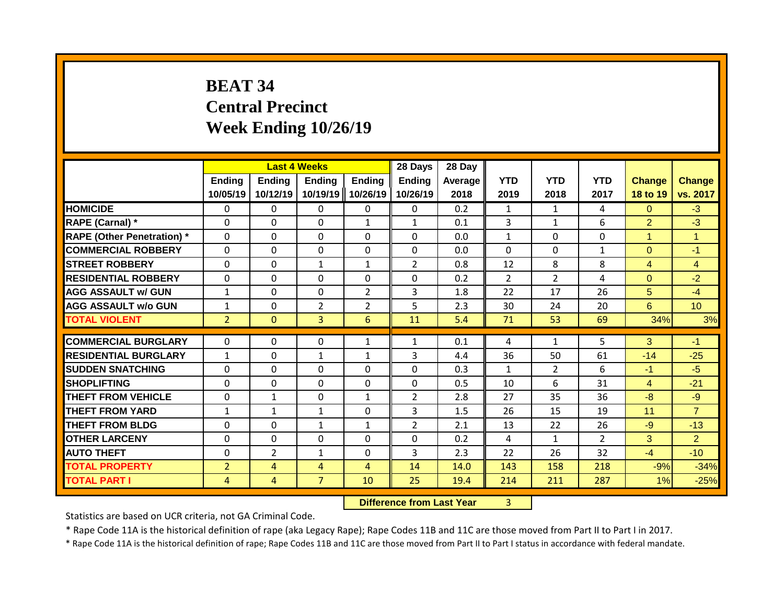# **BEAT 34 Central Precinct Week Ending 10/26/19**

|                                   |                           | <b>Last 4 Weeks</b>       |                           |                           | 28 Days                   | 28 Day          |                    |                    |                    |                           |                           |
|-----------------------------------|---------------------------|---------------------------|---------------------------|---------------------------|---------------------------|-----------------|--------------------|--------------------|--------------------|---------------------------|---------------------------|
|                                   | <b>Ending</b><br>10/05/19 | <b>Ending</b><br>10/12/19 | <b>Ending</b><br>10/19/19 | <b>Ending</b><br>10/26/19 | <b>Ending</b><br>10/26/19 | Average<br>2018 | <b>YTD</b><br>2019 | <b>YTD</b><br>2018 | <b>YTD</b><br>2017 | <b>Change</b><br>18 to 19 | <b>Change</b><br>vs. 2017 |
| <b>HOMICIDE</b>                   | $\mathbf{0}$              | 0                         | 0                         | $\mathbf{0}$              | $\Omega$                  | 0.2             | $\mathbf{1}$       | $\mathbf{1}$       | 4                  | $\Omega$                  | $-3$                      |
| RAPE (Carnal) *                   | $\Omega$                  | 0                         | $\Omega$                  | $\mathbf{1}$              | $\mathbf{1}$              | 0.1             | 3                  | $\mathbf{1}$       | 6                  | $\overline{2}$            | $-3$                      |
| <b>RAPE (Other Penetration) *</b> | $\Omega$                  | 0                         | $\Omega$                  | $\mathbf{0}$              | 0                         | 0.0             | $\mathbf{1}$       | $\Omega$           | $\Omega$           | $\mathbf{1}$              | $\overline{1}$            |
| <b>COMMERCIAL ROBBERY</b>         | $\Omega$                  | 0                         | $\Omega$                  | $\Omega$                  | $\Omega$                  | 0.0             | $\Omega$           | $\Omega$           | $\mathbf{1}$       | $\Omega$                  | $-1$                      |
| <b>STREET ROBBERY</b>             | $\Omega$                  | 0                         | $\mathbf{1}$              | $\mathbf{1}$              | $\overline{2}$            | 0.8             | 12                 | 8                  | 8                  | 4                         | $\overline{4}$            |
| <b>RESIDENTIAL ROBBERY</b>        | $\Omega$                  | 0                         | $\Omega$                  | $\mathbf{0}$              | $\Omega$                  | 0.2             | $\overline{2}$     | $\overline{2}$     | 4                  | $\Omega$                  | $-2$                      |
| <b>AGG ASSAULT w/ GUN</b>         | $\mathbf{1}$              | 0                         | $\Omega$                  | $\overline{2}$            | 3                         | 1.8             | 22                 | 17                 | 26                 | 5                         | $-4$                      |
| <b>AGG ASSAULT w/o GUN</b>        | $\mathbf{1}$              | 0                         | $\overline{2}$            | $\overline{2}$            | 5                         | 2.3             | 30                 | 24                 | 20                 | 6                         | 10 <sup>°</sup>           |
| <b>TOTAL VIOLENT</b>              | $\overline{2}$            | $\Omega$                  | 3                         | 6                         | 11                        | 5.4             | 71                 | 53                 | 69                 | 34%                       | 3%                        |
|                                   |                           |                           |                           |                           |                           |                 |                    |                    |                    |                           |                           |
| <b>COMMERCIAL BURGLARY</b>        | $\Omega$                  | 0                         | 0                         | $\mathbf{1}$              | $\mathbf{1}$              | 0.1             | 4                  | $\mathbf{1}$       | 5                  | 3                         | $-1$                      |
| <b>RESIDENTIAL BURGLARY</b>       | $\mathbf{1}$              | 0                         | $\mathbf{1}$              | $\mathbf{1}$              | 3                         | 4.4             | 36                 | 50                 | 61                 | $-14$                     | $-25$                     |
| <b>SUDDEN SNATCHING</b>           | $\Omega$                  | 0                         | 0                         | 0                         | $\Omega$                  | 0.3             | $\mathbf{1}$       | $\overline{2}$     | 6                  | $-1$                      | $-5$                      |
| <b>SHOPLIFTING</b>                | $\Omega$                  | 0                         | $\Omega$                  | 0                         | 0                         | 0.5             | 10                 | 6                  | 31                 | $\overline{4}$            | $-21$                     |
| <b>THEFT FROM VEHICLE</b>         | $\Omega$                  | 1                         | 0                         | 1                         | $\overline{2}$            | 2.8             | 27                 | 35                 | 36                 | $-8$                      | $-9$                      |
| <b>THEFT FROM YARD</b>            | $\mathbf{1}$              | 1                         | $\mathbf{1}$              | $\Omega$                  | 3                         | 1.5             | 26                 | 15                 | 19                 | 11                        | $\overline{7}$            |
| <b>THEFT FROM BLDG</b>            | $\mathbf{0}$              | 0                         | $\mathbf{1}$              | 1                         | 2                         | 2.1             | 13                 | 22                 | 26                 | $-9$                      | $-13$                     |
| <b>OTHER LARCENY</b>              | $\Omega$                  | 0                         | 0                         | $\Omega$                  | 0                         | 0.2             | 4                  | $\mathbf{1}$       | $\overline{2}$     | 3                         | 2                         |
| <b>AUTO THEFT</b>                 | $\Omega$                  | $\overline{2}$            | $\mathbf{1}$              | $\Omega$                  | 3                         | 2.3             | 22                 | 26                 | 32                 | $-4$                      | $-10$                     |
| <b>TOTAL PROPERTY</b>             | $\overline{2}$            | 4                         | 4                         | 4                         | 14                        | 14.0            | 143                | 158                | 218                | $-9%$                     | $-34%$                    |
| <b>TOTAL PART I</b>               | 4                         | 4                         | $\overline{7}$            | 10                        | 25                        | 19.4            | 214                | 211                | 287                | 1%                        | $-25%$                    |

**Difference from Last Year** 3

Statistics are based on UCR criteria, not GA Criminal Code.

\* Rape Code 11A is the historical definition of rape (aka Legacy Rape); Rape Codes 11B and 11C are those moved from Part II to Part I in 2017.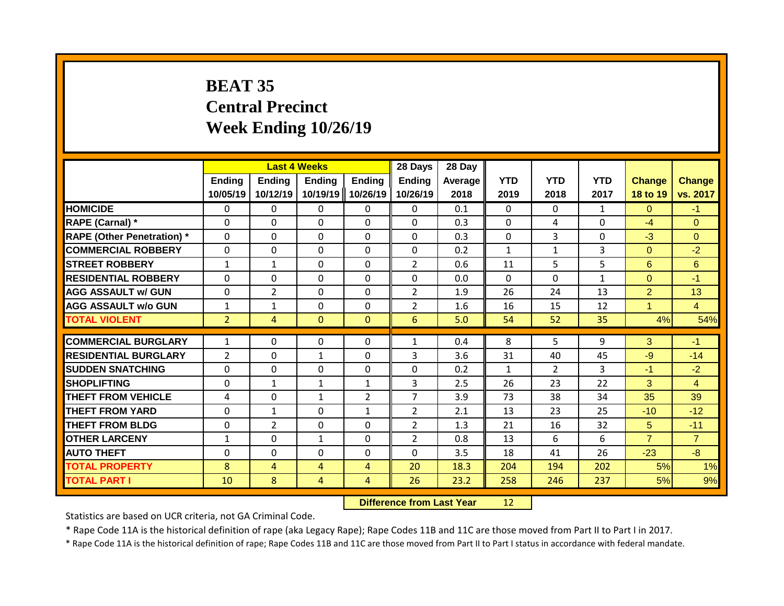# **BEAT 35 Central Precinct Week Ending 10/26/19**

|                                   |                    | <b>Last 4 Weeks</b>       |                           |                           | 28 Days                   | 28 Day          |                    |                    |                    |                           |                           |
|-----------------------------------|--------------------|---------------------------|---------------------------|---------------------------|---------------------------|-----------------|--------------------|--------------------|--------------------|---------------------------|---------------------------|
|                                   | Ending<br>10/05/19 | <b>Ending</b><br>10/12/19 | <b>Ending</b><br>10/19/19 | <b>Ending</b><br>10/26/19 | <b>Ending</b><br>10/26/19 | Average<br>2018 | <b>YTD</b><br>2019 | <b>YTD</b><br>2018 | <b>YTD</b><br>2017 | <b>Change</b><br>18 to 19 | <b>Change</b><br>vs. 2017 |
| <b>HOMICIDE</b>                   | $\mathbf{0}$       | 0                         | 0                         | $\mathbf{0}$              | $\mathbf{0}$              | 0.1             | $\Omega$           | $\Omega$           | $\mathbf{1}$       | $\Omega$                  | $-1$                      |
| RAPE (Carnal) *                   | $\Omega$           | 0                         | 0                         | $\Omega$                  | $\Omega$                  | 0.3             | $\mathbf{0}$       | 4                  | 0                  | $-4$                      | $\Omega$                  |
| <b>RAPE (Other Penetration) *</b> | $\mathbf 0$        | 0                         | $\Omega$                  | $\Omega$                  | $\Omega$                  | 0.3             | $\mathbf 0$        | 3                  | 0                  | $-3$                      | $\Omega$                  |
| <b>COMMERCIAL ROBBERY</b>         | $\Omega$           | 0                         | $\Omega$                  | $\Omega$                  | $\Omega$                  | 0.2             | $\mathbf{1}$       | $\mathbf{1}$       | 3                  | $\Omega$                  | $-2$                      |
| <b>STREET ROBBERY</b>             | $\mathbf{1}$       | $\mathbf 1$               | $\Omega$                  | $\Omega$                  | $\overline{2}$            | 0.6             | 11                 | 5                  | 5                  | 6                         | 6                         |
| <b>RESIDENTIAL ROBBERY</b>        | $\Omega$           | 0                         | $\Omega$                  | $\Omega$                  | $\Omega$                  | 0.0             | $\mathbf{0}$       | $\Omega$           | $\mathbf{1}$       | $\Omega$                  | $-1$                      |
| <b>AGG ASSAULT w/ GUN</b>         | $\Omega$           | $\overline{2}$            | $\Omega$                  | 0                         | $\overline{2}$            | 1.9             | 26                 | 24                 | 13                 | $\overline{2}$            | 13                        |
| <b>AGG ASSAULT w/o GUN</b>        | 1                  | 1                         | 0                         | 0                         | $\overline{2}$            | 1.6             | 16                 | 15                 | 12                 |                           | $\overline{4}$            |
| <b>TOTAL VIOLENT</b>              | $\overline{2}$     | 4                         | $\Omega$                  | $\mathbf{0}$              | 6                         | 5.0             | 54                 | 52                 | 35                 | 4%                        | 54%                       |
|                                   |                    |                           |                           |                           |                           |                 |                    |                    |                    |                           |                           |
| <b>COMMERCIAL BURGLARY</b>        | $\mathbf{1}$       | 0                         | 0                         | 0                         | $\mathbf{1}$              | 0.4             | 8                  | 5.                 | 9                  | 3                         | $-1$                      |
| <b>RESIDENTIAL BURGLARY</b>       | $\overline{2}$     | 0                         | $\mathbf{1}$              | $\Omega$                  | 3                         | 3.6             | 31                 | 40                 | 45                 | $-9$                      | $-14$                     |
| <b>SUDDEN SNATCHING</b>           | $\Omega$           | 0                         | $\Omega$                  | 0                         | $\Omega$                  | 0.2             | $\mathbf{1}$       | $\mathcal{P}$      | 3                  | $-1$                      | $-2$                      |
| <b>SHOPLIFTING</b>                | $\Omega$           | 1                         | 1                         | $\mathbf{1}$              | 3                         | 2.5             | 26                 | 23                 | 22                 | 3                         | $\overline{4}$            |
| <b>THEFT FROM VEHICLE</b>         | 4                  | 0                         | 1                         | $\overline{2}$            | $\overline{7}$            | 3.9             | 73                 | 38                 | 34                 | 35                        | 39                        |
| <b>THEFT FROM YARD</b>            | 0                  | 1                         | $\Omega$                  | $\mathbf{1}$              | $\overline{2}$            | 2.1             | 13                 | 23                 | 25                 | $-10$                     | $-12$                     |
| <b>THEFT FROM BLDG</b>            | 0                  | 2                         | 0                         | 0                         | $\overline{2}$            | 1.3             | 21                 | 16                 | 32                 | 5.                        | $-11$                     |
| <b>OTHER LARCENY</b>              | $\mathbf{1}$       | 0                         | $\mathbf{1}$              | 0                         | $\overline{2}$            | 0.8             | 13                 | 6                  | 6                  | $\overline{7}$            | $\overline{7}$            |
| <b>AUTO THEFT</b>                 | 0                  | 0                         | $\Omega$                  | 0                         | $\Omega$                  | 3.5             | 18                 | 41                 | 26                 | $-23$                     | $-8$                      |
| <b>TOTAL PROPERTY</b>             | 8                  | 4                         | $\overline{4}$            | 4                         | 20                        | 18.3            | 204                | 194                | 202                | 5%                        | 1%                        |
| <b>TOTAL PART I</b>               | 10                 | 8                         | 4                         | 4                         | 26                        | 23.2            | 258                | 246                | 237                | 5%                        | 9%                        |

**Difference from Last Year** 12

Statistics are based on UCR criteria, not GA Criminal Code.

\* Rape Code 11A is the historical definition of rape (aka Legacy Rape); Rape Codes 11B and 11C are those moved from Part II to Part I in 2017.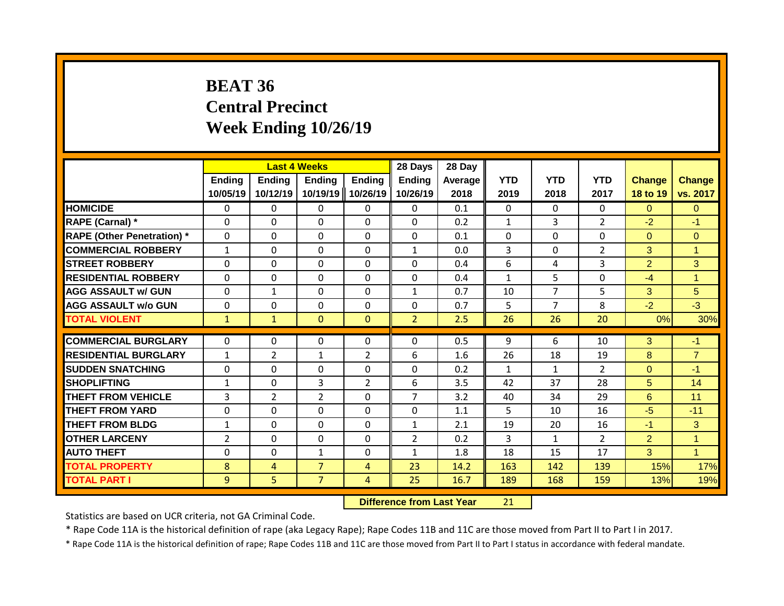# **BEAT 36 Central Precinct Week Ending 10/26/19**

|                                   |                           | <b>Last 4 Weeks</b>       |                           |                    | 28 Days                   | 28 Day          |                    |                    |                    |                           |                           |
|-----------------------------------|---------------------------|---------------------------|---------------------------|--------------------|---------------------------|-----------------|--------------------|--------------------|--------------------|---------------------------|---------------------------|
|                                   | <b>Ending</b><br>10/05/19 | <b>Ending</b><br>10/12/19 | <b>Ending</b><br>10/19/19 | Ending<br>10/26/19 | <b>Ending</b><br>10/26/19 | Average<br>2018 | <b>YTD</b><br>2019 | <b>YTD</b><br>2018 | <b>YTD</b><br>2017 | <b>Change</b><br>18 to 19 | <b>Change</b><br>vs. 2017 |
| <b>HOMICIDE</b>                   | 0                         | 0                         | 0                         | $\mathbf{0}$       | $\mathbf{0}$              | 0.1             | $\mathbf{0}$       | $\Omega$           | $\Omega$           | $\Omega$                  | $\Omega$                  |
| RAPE (Carnal) *                   | $\Omega$                  | $\Omega$                  | 0                         | $\mathbf 0$        | $\mathbf 0$               | 0.2             | $\mathbf{1}$       | 3                  | $\overline{2}$     | $-2$                      | $-1$                      |
| <b>RAPE (Other Penetration) *</b> | $\mathbf 0$               | 0                         | 0                         | $\mathbf 0$        | $\mathbf 0$               | 0.1             | 0                  | $\Omega$           | 0                  | $\Omega$                  | $\mathbf{0}$              |
| <b>COMMERCIAL ROBBERY</b>         | $\mathbf{1}$              | $\Omega$                  | $\Omega$                  | $\mathbf{0}$       | $\mathbf{1}$              | 0.0             | 3                  | $\Omega$           | $\overline{2}$     | 3                         | $\overline{1}$            |
| <b>STREET ROBBERY</b>             | $\Omega$                  | $\Omega$                  | $\Omega$                  | $\mathbf 0$        | $\Omega$                  | 0.4             | 6                  | 4                  | 3                  | $\overline{2}$            | 3                         |
| <b>RESIDENTIAL ROBBERY</b>        | $\mathbf{0}$              | $\Omega$                  | $\Omega$                  | $\mathbf{0}$       | $\Omega$                  | 0.4             | $\mathbf{1}$       | 5                  | $\Omega$           | $-4$                      | $\mathbf{1}$              |
| <b>AGG ASSAULT w/ GUN</b>         | $\mathbf{0}$              | $\mathbf{1}$              | $\Omega$                  | $\Omega$           | $\mathbf{1}$              | 0.7             | 10                 | 7                  | 5                  | 3                         | 5                         |
| <b>AGG ASSAULT w/o GUN</b>        | $\mathbf{0}$              | 0                         | 0                         | $\mathbf{0}$       | $\mathbf{0}$              | 0.7             | 5                  | 7                  | 8                  | $-2$                      | $-3$                      |
| <b>TOTAL VIOLENT</b>              | $\mathbf{1}$              | $\mathbf{1}$              | $\Omega$                  | $\mathbf{0}$       | $\overline{2}$            | 2.5             | 26                 | 26                 | 20                 | 0%                        | 30%                       |
| <b>COMMERCIAL BURGLARY</b>        |                           |                           |                           |                    |                           |                 |                    |                    |                    |                           |                           |
|                                   | $\Omega$                  | $\Omega$                  | 0                         | $\Omega$           | $\Omega$                  | 0.5             | 9                  | 6                  | 10                 | 3                         | $-1$                      |
| <b>RESIDENTIAL BURGLARY</b>       | $\mathbf{1}$              | $\overline{2}$            | $\mathbf{1}$              | $\overline{2}$     | 6                         | 1.6             | 26                 | 18                 | 19                 | 8                         | $\overline{7}$            |
| <b>SUDDEN SNATCHING</b>           | $\Omega$                  | $\Omega$                  | $\Omega$                  | $\mathbf{0}$       | 0                         | 0.2             | $\mathbf{1}$       | $\mathbf{1}$       | $\overline{2}$     | $\Omega$                  | $-1$                      |
| SHOPLIFTING                       | $\mathbf{1}$              | $\Omega$                  | 3                         | $\overline{2}$     | 6                         | 3.5             | 42                 | 37                 | 28                 | 5                         | 14                        |
| <b>THEFT FROM VEHICLE</b>         | 3                         | $\overline{2}$            | $\overline{2}$            | $\mathbf{0}$       | 7                         | 3.2             | 40                 | 34                 | 29                 | 6                         | 11                        |
| <b>THEFT FROM YARD</b>            | $\Omega$                  | 0                         | $\Omega$                  | $\mathbf{0}$       | $\Omega$                  | 1.1             | 5                  | 10                 | 16                 | $-5$                      | $-11$                     |
| <b>THEFT FROM BLDG</b>            | $\mathbf{1}$              | 0                         | $\Omega$                  | 0                  | $\mathbf{1}$              | 2.1             | 19                 | 20                 | 16                 | $-1$                      | 3                         |
| <b>OTHER LARCENY</b>              | 2                         | 0                         | $\Omega$                  | $\mathbf{0}$       | $\overline{2}$            | 0.2             | 3                  | $\mathbf{1}$       | $\overline{2}$     | $\overline{2}$            | $\mathbf{1}$              |
| <b>AUTO THEFT</b>                 | $\Omega$                  | $\Omega$                  | $\mathbf{1}$              | $\Omega$           | $\mathbf{1}$              | 1.8             | 18                 | 15                 | 17                 | 3                         | $\mathbf{1}$              |
| <b>TOTAL PROPERTY</b>             | 8                         | 4                         | $\overline{7}$            | 4                  | 23                        | 14.2            | 163                | 142                | 139                | 15%                       | 17%                       |
| <b>TOTAL PART I</b>               | 9                         | 5                         | $\overline{7}$            | 4                  | 25                        | 16.7            | 189                | 168                | 159                | 13%                       | 19%                       |

**Difference from Last Year** 21

Statistics are based on UCR criteria, not GA Criminal Code.

\* Rape Code 11A is the historical definition of rape (aka Legacy Rape); Rape Codes 11B and 11C are those moved from Part II to Part I in 2017.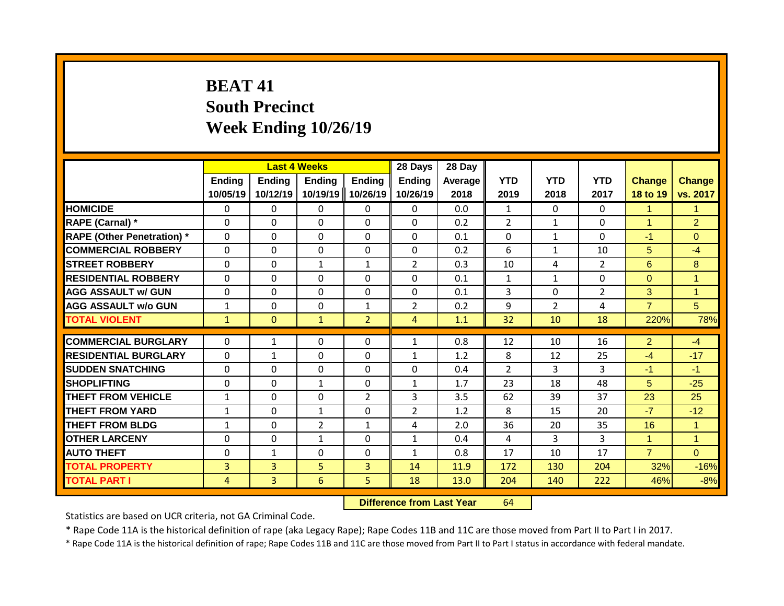# **BEAT 41 South Precinct Week Ending 10/26/19**

|                                   |                    | <b>Last 4 Weeks</b>       |                           |                           | 28 Days                   | 28 Day          |                    |                    |                    |                           |                           |
|-----------------------------------|--------------------|---------------------------|---------------------------|---------------------------|---------------------------|-----------------|--------------------|--------------------|--------------------|---------------------------|---------------------------|
|                                   | Ending<br>10/05/19 | <b>Ending</b><br>10/12/19 | <b>Ending</b><br>10/19/19 | <b>Ending</b><br>10/26/19 | <b>Ending</b><br>10/26/19 | Average<br>2018 | <b>YTD</b><br>2019 | <b>YTD</b><br>2018 | <b>YTD</b><br>2017 | <b>Change</b><br>18 to 19 | <b>Change</b><br>vs. 2017 |
| <b>HOMICIDE</b>                   | $\mathbf{0}$       | 0                         | $\mathbf{0}$              | $\mathbf{0}$              | $\mathbf{0}$              | 0.0             | $\mathbf{1}$       | $\Omega$           | 0                  | 1                         | $\mathbf{1}$              |
| RAPE (Carnal) *                   | $\Omega$           | 0                         | $\mathbf{0}$              | $\Omega$                  | $\Omega$                  | 0.2             | $\overline{2}$     | $\mathbf{1}$       | 0                  | 1                         | $\overline{2}$            |
| <b>RAPE (Other Penetration) *</b> | $\Omega$           | 0                         | $\Omega$                  | $\Omega$                  | $\Omega$                  | 0.1             | $\mathbf{0}$       | $\mathbf{1}$       | 0                  | $-1$                      | $\Omega$                  |
| <b>COMMERCIAL ROBBERY</b>         | $\Omega$           | 0                         | $\Omega$                  | $\Omega$                  | $\Omega$                  | 0.2             | 6                  | $\mathbf{1}$       | 10                 | 5.                        | $-4$                      |
| <b>STREET ROBBERY</b>             | $\Omega$           | 0                         | 1                         | $\mathbf{1}$              | $\overline{2}$            | 0.3             | 10                 | 4                  | 2                  | 6                         | 8                         |
| <b>RESIDENTIAL ROBBERY</b>        | $\Omega$           | 0                         | $\Omega$                  | $\Omega$                  | $\Omega$                  | 0.1             | $\mathbf{1}$       | $\mathbf{1}$       | 0                  | $\Omega$                  | $\overline{1}$            |
| <b>AGG ASSAULT w/ GUN</b>         | $\Omega$           | 0                         | $\Omega$                  | 0                         | $\Omega$                  | 0.1             | 3                  | $\Omega$           | $\overline{2}$     | 3                         | $\overline{1}$            |
| <b>AGG ASSAULT w/o GUN</b>        | 1                  | 0                         | $\mathbf{0}$              | 1                         | $\overline{2}$            | 0.2             | 9                  | $\overline{2}$     | 4                  | $\overline{7}$            | 5                         |
| <b>TOTAL VIOLENT</b>              | $\mathbf{1}$       | $\Omega$                  | $\mathbf{1}$              | $\overline{2}$            | 4                         | 1.1             | 32                 | 10                 | 18                 | 220%                      | 78%                       |
|                                   |                    |                           |                           |                           |                           |                 |                    |                    |                    |                           |                           |
| <b>COMMERCIAL BURGLARY</b>        | $\Omega$           | 1                         | $\mathbf{0}$              | 0                         | $\mathbf{1}$              | 0.8             | 12                 | 10                 | 16                 | $\overline{2}$            | $-4$                      |
| <b>RESIDENTIAL BURGLARY</b>       | $\Omega$           | 1                         | $\Omega$                  | $\Omega$                  | $\mathbf{1}$              | 1.2             | 8                  | 12                 | 25                 | $-4$                      | $-17$                     |
| <b>SUDDEN SNATCHING</b>           | $\Omega$           | 0                         | $\Omega$                  | 0                         | $\Omega$                  | 0.4             | $\overline{2}$     | 3                  | 3                  | $-1$                      | $-1$                      |
| <b>SHOPLIFTING</b>                | $\Omega$           | 0                         | 1                         | 0                         | $\mathbf{1}$              | 1.7             | 23                 | 18                 | 48                 | 5                         | $-25$                     |
| <b>THEFT FROM VEHICLE</b>         | $\mathbf{1}$       | 0                         | $\Omega$                  | $\overline{2}$            | 3                         | 3.5             | 62                 | 39                 | 37                 | 23                        | 25                        |
| <b>THEFT FROM YARD</b>            | $\mathbf{1}$       | 0                         | $\mathbf{1}$              | 0                         | $\overline{2}$            | 1.2             | 8                  | 15                 | 20                 | $-7$                      | $-12$                     |
| <b>THEFT FROM BLDG</b>            | $\mathbf{1}$       | 0                         | 2                         | 1                         | 4                         | 2.0             | 36                 | 20                 | 35                 | 16                        | $\mathbf{1}$              |
| <b>OTHER LARCENY</b>              | $\Omega$           | 0                         | $\mathbf{1}$              | 0                         | $\mathbf{1}$              | 0.4             | 4                  | 3                  | 3                  | 1                         | $\overline{1}$            |
| <b>AUTO THEFT</b>                 | $\Omega$           | $\mathbf{1}$              | $\Omega$                  | 0                         | $\mathbf{1}$              | 0.8             | 17                 | 10                 | 17                 | $\overline{7}$            | $\Omega$                  |
| <b>TOTAL PROPERTY</b>             | 3                  | $\overline{3}$            | 5                         | 3                         | 14                        | 11.9            | 172                | 130                | 204                | 32%                       | $-16%$                    |
| <b>TOTAL PART I</b>               | 4                  | 3                         | 6                         | 5.                        | 18                        | 13.0            | 204                | 140                | 222                | 46%                       | $-8%$                     |

**Difference from Last Year** 64

Statistics are based on UCR criteria, not GA Criminal Code.

\* Rape Code 11A is the historical definition of rape (aka Legacy Rape); Rape Codes 11B and 11C are those moved from Part II to Part I in 2017.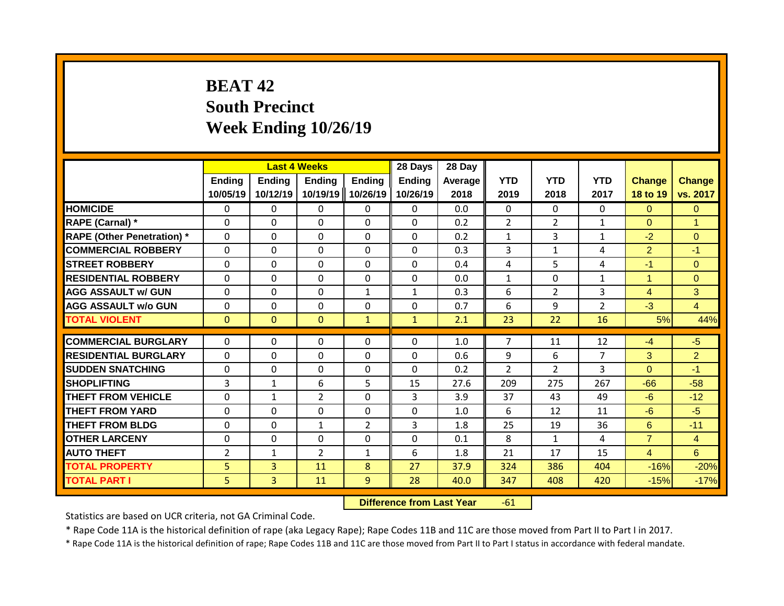# **BEAT 42 South Precinct Week Ending 10/26/19**

|                                   |                    | <b>Last 4 Weeks</b>       |                           |                           | 28 Days                   | 28 Day          |                    |                    |                    |                           |                           |
|-----------------------------------|--------------------|---------------------------|---------------------------|---------------------------|---------------------------|-----------------|--------------------|--------------------|--------------------|---------------------------|---------------------------|
|                                   | Ending<br>10/05/19 | <b>Ending</b><br>10/12/19 | <b>Ending</b><br>10/19/19 | <b>Ending</b><br>10/26/19 | <b>Ending</b><br>10/26/19 | Average<br>2018 | <b>YTD</b><br>2019 | <b>YTD</b><br>2018 | <b>YTD</b><br>2017 | <b>Change</b><br>18 to 19 | <b>Change</b><br>vs. 2017 |
| <b>HOMICIDE</b>                   | $\mathbf{0}$       | 0                         | 0                         | $\mathbf{0}$              | $\mathbf{0}$              | 0.0             | $\Omega$           | $\Omega$           | $\Omega$           | $\Omega$                  | $\Omega$                  |
| <b>RAPE (Carnal) *</b>            | $\Omega$           | 0                         | $\Omega$                  | $\Omega$                  | $\Omega$                  | 0.2             | $\overline{2}$     | $\overline{2}$     | $\mathbf{1}$       | $\Omega$                  | $\overline{1}$            |
| <b>RAPE (Other Penetration)</b> * | $\Omega$           | 0                         | $\Omega$                  | $\mathbf{0}$              | $\Omega$                  | 0.2             | $\mathbf{1}$       | 3                  | $\mathbf{1}$       | $-2$                      | $\Omega$                  |
| <b>COMMERCIAL ROBBERY</b>         | $\Omega$           | 0                         | $\Omega$                  | $\mathbf{0}$              | 0                         | 0.3             | 3                  | $\mathbf{1}$       | 4                  | $\overline{2}$            | $-1$                      |
| <b>STREET ROBBERY</b>             | $\Omega$           | 0                         | $\Omega$                  | $\mathbf{0}$              | $\Omega$                  | 0.4             | 4                  | 5                  | 4                  | $-1$                      | $\Omega$                  |
| <b>RESIDENTIAL ROBBERY</b>        | $\Omega$           | 0                         | 0                         | $\mathbf{0}$              | $\Omega$                  | 0.0             | $\mathbf{1}$       | $\Omega$           | $\mathbf{1}$       | $\blacktriangleleft$      | $\Omega$                  |
| <b>AGG ASSAULT w/ GUN</b>         | 0                  | 0                         | $\Omega$                  | $\mathbf{1}$              | $\mathbf{1}$              | 0.3             | 6                  | 2                  | 3                  | $\overline{4}$            | 3                         |
| <b>AGG ASSAULT w/o GUN</b>        | $\Omega$           | 0                         | $\Omega$                  | $\Omega$                  | 0                         | 0.7             | 6                  | 9                  | $\overline{2}$     | $-3$                      | $\overline{4}$            |
| <b>TOTAL VIOLENT</b>              | $\mathbf{0}$       | $\Omega$                  | $\Omega$                  | $\mathbf{1}$              | $\mathbf{1}$              | 2.1             | 23                 | 22                 | 16                 | 5%                        | 44%                       |
|                                   |                    |                           |                           |                           |                           |                 |                    |                    |                    |                           |                           |
| <b>COMMERCIAL BURGLARY</b>        | $\Omega$           | 0                         | 0                         | $\mathbf{0}$              | 0                         | 1.0             | 7                  | 11                 | 12                 | $-4$                      | $-5$                      |
| <b>RESIDENTIAL BURGLARY</b>       | $\Omega$           | 0                         | 0                         | $\mathbf{0}$              | $\Omega$                  | 0.6             | 9                  | 6                  | $\overline{7}$     | 3                         | $\overline{2}$            |
| <b>SUDDEN SNATCHING</b>           | $\Omega$           | 0                         | 0                         | $\mathbf{0}$              | $\Omega$                  | 0.2             | $\overline{2}$     | $\overline{2}$     | 3                  | $\Omega$                  | $-1$                      |
| <b>SHOPLIFTING</b>                | 3                  | $\mathbf{1}$              | 6                         | 5                         | 15                        | 27.6            | 209                | 275                | 267                | $-66$                     | $-58$                     |
| <b>THEFT FROM VEHICLE</b>         | $\Omega$           | $\mathbf{1}$              | $\overline{2}$            | $\Omega$                  | 3                         | 3.9             | 37                 | 43                 | 49                 | $-6$                      | $-12$                     |
| <b>THEFT FROM YARD</b>            | $\Omega$           | 0                         | 0                         | $\Omega$                  | 0                         | 1.0             | 6                  | 12                 | 11                 | $-6$                      | $-5$                      |
| <b>THEFT FROM BLDG</b>            | $\mathbf{0}$       | 0                         | $\mathbf{1}$              | $\overline{2}$            | 3                         | 1.8             | 25                 | 19                 | 36                 | 6                         | $-11$                     |
| <b>OTHER LARCENY</b>              | $\Omega$           | 0                         | 0                         | $\Omega$                  | $\Omega$                  | 0.1             | 8                  | 1                  | 4                  | $\overline{7}$            | $\overline{4}$            |
| <b>AUTO THEFT</b>                 | $\overline{2}$     | $\mathbf 1$               | $\overline{2}$            | 1                         | 6                         | 1.8             | 21                 | 17                 | 15                 | $\overline{4}$            | 6                         |
| <b>TOTAL PROPERTY</b>             | 5                  | 3                         | 11                        | 8                         | 27                        | 37.9            | 324                | 386                | 404                | $-16%$                    | $-20%$                    |
| <b>TOTAL PART I</b>               | 5.                 | 3                         | 11                        | 9                         | 28                        | 40.0            | 347                | 408                | 420                | $-15%$                    | $-17%$                    |

**Difference from Last Year** -61

Statistics are based on UCR criteria, not GA Criminal Code.

\* Rape Code 11A is the historical definition of rape (aka Legacy Rape); Rape Codes 11B and 11C are those moved from Part II to Part I in 2017.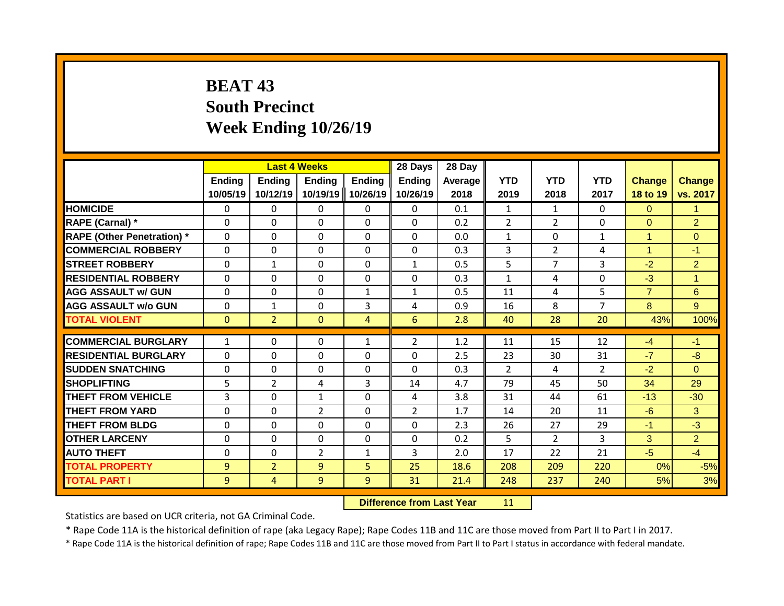# **BEAT 43 South Precinct Week Ending 10/26/19**

|                                   |                    | <b>Last 4 Weeks</b>       |                           |                    | 28 Days                   | 28 Day             |                    |                    |                    |                           |                           |
|-----------------------------------|--------------------|---------------------------|---------------------------|--------------------|---------------------------|--------------------|--------------------|--------------------|--------------------|---------------------------|---------------------------|
|                                   | Ending<br>10/05/19 | <b>Ending</b><br>10/12/19 | <b>Ending</b><br>10/19/19 | Ending<br>10/26/19 | <b>Ending</b><br>10/26/19 | Average   <br>2018 | <b>YTD</b><br>2019 | <b>YTD</b><br>2018 | <b>YTD</b><br>2017 | <b>Change</b><br>18 to 19 | <b>Change</b><br>vs. 2017 |
| <b>HOMICIDE</b>                   | $\mathbf{0}$       | 0                         | $\mathbf{0}$              | $\mathbf{0}$       | 0                         | 0.1                | $\mathbf{1}$       | $\mathbf{1}$       | 0                  | $\Omega$                  | $\mathbf{1}$              |
| RAPE (Carnal) *                   | $\Omega$           | 0                         | $\Omega$                  | 0                  | 0                         | 0.2                | $\overline{2}$     | $\overline{2}$     | 0                  | $\Omega$                  | $\overline{2}$            |
| <b>RAPE (Other Penetration) *</b> | $\mathbf 0$        | 0                         | $\Omega$                  | 0                  | 0                         | 0.0                | $\mathbf{1}$       | $\Omega$           | $\mathbf{1}$       | 1                         | $\overline{0}$            |
| <b>COMMERCIAL ROBBERY</b>         | $\Omega$           | 0                         | $\mathbf{0}$              | $\Omega$           | $\Omega$                  | 0.3                | 3                  | $\overline{2}$     | 4                  | 1                         | $-1$                      |
| <b>ISTREET ROBBERY</b>            | $\Omega$           | $\mathbf 1$               | $\Omega$                  | $\Omega$           | $\mathbf{1}$              | 0.5                | 5                  | 7                  | 3                  | $-2$                      | $\overline{2}$            |
| <b>RESIDENTIAL ROBBERY</b>        | $\Omega$           | 0                         | $\mathbf{0}$              | $\Omega$           | $\Omega$                  | 0.3                | $\mathbf{1}$       | 4                  | 0                  | $-3$                      | $\overline{1}$            |
| <b>AGG ASSAULT w/ GUN</b>         | $\Omega$           | 0                         | $\Omega$                  | $\mathbf{1}$       | $\mathbf{1}$              | 0.5                | 11                 | 4                  | 5                  | $\overline{7}$            | 6                         |
| <b>AGG ASSAULT w/o GUN</b>        | 0                  | 1                         | $\Omega$                  | 3                  | 4                         | 0.9                | 16                 | 8                  | $\overline{7}$     | 8                         | 9 <sup>°</sup>            |
| <b>TOTAL VIOLENT</b>              | $\mathbf{0}$       | $\overline{2}$            | $\Omega$                  | 4                  | 6                         | 2.8                | 40                 | 28                 | 20                 | 43%                       | 100%                      |
|                                   |                    |                           |                           |                    |                           |                    |                    |                    |                    |                           |                           |
| <b>COMMERCIAL BURGLARY</b>        | $\mathbf{1}$       | 0                         | $\Omega$                  | $\mathbf{1}$       | $\overline{2}$            | 1.2                | 11                 | 15                 | 12                 | $-4$                      | $-1$                      |
| <b>RESIDENTIAL BURGLARY</b>       | $\Omega$           | 0                         | $\mathbf{0}$              | 0                  | $\Omega$                  | 2.5                | 23                 | 30                 | 31                 | $-7$                      | $-8$                      |
| <b>SUDDEN SNATCHING</b>           | $\Omega$           | 0                         | $\Omega$                  | $\Omega$           | $\Omega$                  | 0.3                | $\overline{2}$     | 4                  | $\overline{2}$     | $-2$                      | $\Omega$                  |
| <b>SHOPLIFTING</b>                | 5                  | $\overline{2}$            | 4                         | 3                  | 14                        | 4.7                | 79                 | 45                 | 50                 | 34                        | 29                        |
| <b>THEFT FROM VEHICLE</b>         | 3                  | 0                         | 1                         | 0                  | 4                         | 3.8                | 31                 | 44                 | 61                 | $-13$                     | $-30$                     |
| <b>THEFT FROM YARD</b>            | 0                  | 0                         | 2                         | 0                  | $\overline{2}$            | 1.7                | 14                 | 20                 | 11                 | $-6$                      | 3                         |
| <b>THEFT FROM BLDG</b>            | $\Omega$           | 0                         | $\Omega$                  | $\Omega$           | $\Omega$                  | 2.3                | 26                 | 27                 | 29                 | $-1$                      | $-3$                      |
| <b>OTHER LARCENY</b>              | 0                  | 0                         | $\mathbf{0}$              | 0                  | $\Omega$                  | 0.2                | 5                  | $\overline{2}$     | 3                  | 3                         | $\overline{2}$            |
| <b>AUTO THEFT</b>                 | 0                  | 0                         | $\overline{2}$            | 1                  | 3                         | 2.0                | 17                 | 22                 | 21                 | $-5$                      | $-4$                      |
| <b>TOTAL PROPERTY</b>             | 9                  | $\overline{2}$            | 9                         | 5                  | 25                        | 18.6               | 208                | 209                | 220                | 0%                        | $-5%$                     |
| <b>TOTAL PART I</b>               | 9                  | 4                         | 9                         | 9                  | 31                        | 21.4               | 248                | 237                | 240                | 5%                        | 3%                        |

**Difference from Last Year** 11

Statistics are based on UCR criteria, not GA Criminal Code.

\* Rape Code 11A is the historical definition of rape (aka Legacy Rape); Rape Codes 11B and 11C are those moved from Part II to Part I in 2017.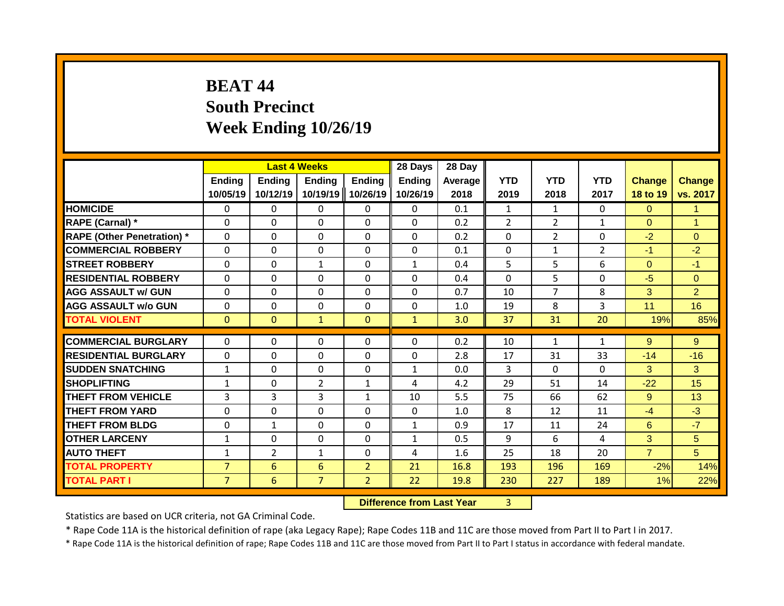# **BEAT 44 South Precinct Week Ending 10/26/19**

|                                   |                           | <b>Last 4 Weeks</b> |                           |                           | 28 Days                   | 28 Day          |                    |                    |                    |                           |                           |
|-----------------------------------|---------------------------|---------------------|---------------------------|---------------------------|---------------------------|-----------------|--------------------|--------------------|--------------------|---------------------------|---------------------------|
|                                   | <b>Ending</b><br>10/05/19 | Ending<br>10/12/19  | <b>Ending</b><br>10/19/19 | <b>Ending</b><br>10/26/19 | <b>Ending</b><br>10/26/19 | Average<br>2018 | <b>YTD</b><br>2019 | <b>YTD</b><br>2018 | <b>YTD</b><br>2017 | <b>Change</b><br>18 to 19 | <b>Change</b><br>vs. 2017 |
| <b>HOMICIDE</b>                   | $\Omega$                  | 0                   | 0                         | $\mathbf{0}$              | $\mathbf{0}$              | 0.1             | $\mathbf{1}$       | $\mathbf{1}$       | $\Omega$           | $\Omega$                  | $\mathbf{1}$              |
| RAPE (Carnal) *                   | $\Omega$                  | $\Omega$            | 0                         | $\Omega$                  | $\Omega$                  | 0.2             | $\overline{2}$     | $\overline{2}$     | $\mathbf{1}$       | $\Omega$                  | $\mathbf 1$               |
| <b>RAPE (Other Penetration) *</b> | $\mathbf{0}$              | $\Omega$            | 0                         | $\mathbf{0}$              | $\Omega$                  | 0.2             | $\Omega$           | $\overline{2}$     | $\Omega$           | $-2$                      | $\Omega$                  |
| <b>COMMERCIAL ROBBERY</b>         | $\mathbf{0}$              | $\Omega$            | 0                         | $\Omega$                  | $\Omega$                  | 0.1             | $\mathbf{0}$       | $\mathbf{1}$       | $\overline{2}$     | $-1$                      | $-2$                      |
| <b>STREET ROBBERY</b>             | $\Omega$                  | $\Omega$            | $\mathbf{1}$              | $\mathbf{0}$              | $\mathbf{1}$              | 0.4             | 5                  | 5                  | 6                  | $\Omega$                  | $-1$                      |
| <b>RESIDENTIAL ROBBERY</b>        | 0                         | 0                   | 0                         | $\mathbf{0}$              | 0                         | 0.4             | $\Omega$           | 5                  | 0                  | $-5$                      | $\Omega$                  |
| <b>AGG ASSAULT w/ GUN</b>         | 0                         | 0                   | 0                         | $\mathbf{0}$              | $\Omega$                  | 0.7             | 10                 | 7                  | 8                  | 3                         | $\overline{2}$            |
| <b>AGG ASSAULT w/o GUN</b>        | $\mathbf{0}$              | 0                   | $\Omega$                  | $\mathbf{0}$              | $\Omega$                  | 1.0             | 19                 | 8                  | 3                  | 11                        | 16                        |
| <b>TOTAL VIOLENT</b>              | $\mathbf{0}$              | $\mathbf{0}$        | $\mathbf{1}$              | $\mathbf{0}$              | $\mathbf{1}$              | 3.0             | 37                 | 31                 | 20                 | 19%                       | 85%                       |
| <b>COMMERCIAL BURGLARY</b>        |                           |                     |                           |                           | $\Omega$                  | 0.2             |                    | $\mathbf{1}$       |                    | 9                         | 9                         |
|                                   | 0                         | 0                   | 0                         | $\mathbf{0}$              |                           |                 | 10                 |                    | $\mathbf{1}$       |                           |                           |
| <b>RESIDENTIAL BURGLARY</b>       | $\Omega$                  | $\Omega$            | $\Omega$                  | $\mathbf{0}$              | $\Omega$                  | 2.8             | 17                 | 31                 | 33                 | $-14$                     | $-16$                     |
| <b>SUDDEN SNATCHING</b>           | $\mathbf{1}$              | 0                   | $\Omega$                  | $\mathbf{0}$              | 1                         | 0.0             | 3                  | $\Omega$           | $\Omega$           | 3                         | 3                         |
| <b>SHOPLIFTING</b>                | $\mathbf{1}$              | 0                   | $\overline{2}$            | 1                         | 4                         | 4.2             | 29                 | 51                 | 14                 | $-22$                     | 15                        |
| THEFT FROM VEHICLE                | $\overline{3}$            | 3                   | 3                         | $\mathbf{1}$              | 10                        | 5.5             | 75                 | 66                 | 62                 | 9                         | 13                        |
| <b>THEFT FROM YARD</b>            | 0                         | $\Omega$            | $\Omega$                  | $\Omega$                  | $\Omega$                  | 1.0             | 8                  | 12                 | 11                 | $-4$                      | $-3$                      |
| <b>THEFT FROM BLDG</b>            | $\Omega$                  | $\mathbf{1}$        | 0                         | $\Omega$                  | $\mathbf{1}$              | 0.9             | 17                 | 11                 | 24                 | 6                         | $-7$                      |
| <b>OTHER LARCENY</b>              | $\mathbf{1}$              | 0                   | 0                         | 0                         | 1                         | 0.5             | 9                  | 6                  | 4                  | 3                         | 5                         |
| <b>AUTO THEFT</b>                 | 1                         | $\overline{2}$      | $\mathbf{1}$              | 0                         | 4                         | 1.6             | 25                 | 18                 | 20                 | $\overline{7}$            | 5                         |
| <b>TOTAL PROPERTY</b>             | $\overline{7}$            | 6                   | 6                         | $\overline{2}$            | 21                        | 16.8            | 193                | 196                | 169                | $-2%$                     | 14%                       |
| <b>TOTAL PART I</b>               | $\overline{7}$            | 6                   | $\overline{7}$            | $\overline{2}$            | 22                        | 19.8            | 230                | 227                | 189                | 1%                        | 22%                       |

**Difference from Last Year** 3

Statistics are based on UCR criteria, not GA Criminal Code.

\* Rape Code 11A is the historical definition of rape (aka Legacy Rape); Rape Codes 11B and 11C are those moved from Part II to Part I in 2017.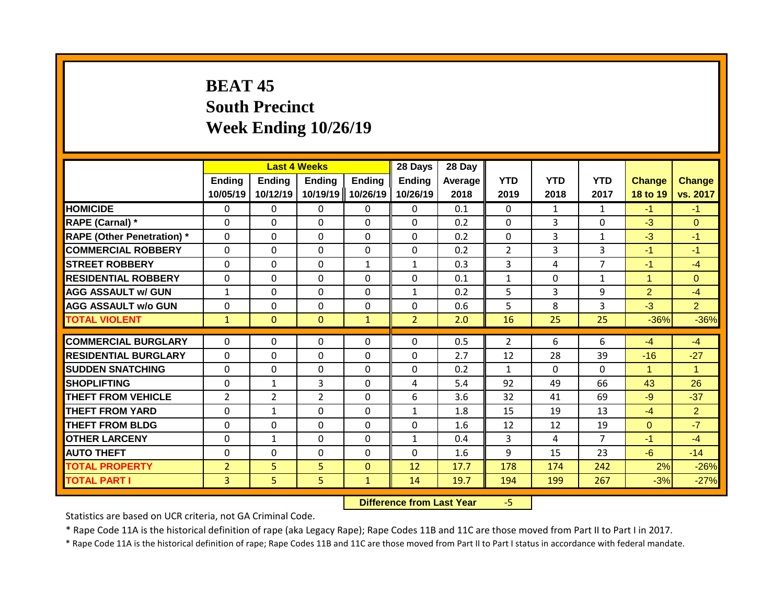## **BEAT 45 South Precinct Week Ending 10/26/19**

|                                   |                           | <b>Last 4 Weeks</b>       |                           |                           | 28 Days                   | 28 Day          |                    |                    |                    |                           |                           |
|-----------------------------------|---------------------------|---------------------------|---------------------------|---------------------------|---------------------------|-----------------|--------------------|--------------------|--------------------|---------------------------|---------------------------|
|                                   | <b>Ending</b><br>10/05/19 | <b>Ending</b><br>10/12/19 | <b>Ending</b><br>10/19/19 | <b>Ending</b><br>10/26/19 | <b>Ending</b><br>10/26/19 | Average<br>2018 | <b>YTD</b><br>2019 | <b>YTD</b><br>2018 | <b>YTD</b><br>2017 | <b>Change</b><br>18 to 19 | <b>Change</b><br>vs. 2017 |
| <b>HOMICIDE</b>                   | $\Omega$                  | 0                         | 0                         | $\mathbf{0}$              | $\Omega$                  | 0.1             | $\Omega$           | $\mathbf{1}$       | $\mathbf{1}$       | $-1$                      | $-1$                      |
| RAPE (Carnal) *                   | $\Omega$                  | 0                         | $\Omega$                  | $\mathbf{0}$              | $\Omega$                  | 0.2             | $\mathbf{0}$       | 3                  | $\Omega$           | $-3$                      | $\Omega$                  |
| <b>RAPE (Other Penetration)</b> * | $\mathbf 0$               | $\Omega$                  | 0                         | $\mathbf 0$               | $\mathbf 0$               | 0.2             | $\mathbf 0$        | 3                  | $\mathbf{1}$       | $-3$                      | $-1$                      |
| <b>COMMERCIAL ROBBERY</b>         | $\Omega$                  | $\Omega$                  | $\Omega$                  | $\Omega$                  | $\Omega$                  | 0.2             | $\overline{2}$     | 3                  | 3                  | $-1$                      | $-1$                      |
| <b>STREET ROBBERY</b>             | $\Omega$                  | 0                         | $\Omega$                  | 1                         | $\mathbf{1}$              | 0.3             | 3                  | 4                  | 7                  | $-1$                      | $-4$                      |
| <b>RESIDENTIAL ROBBERY</b>        | $\mathbf{0}$              | $\Omega$                  | $\Omega$                  | $\mathbf{0}$              | $\Omega$                  | 0.1             | $\mathbf{1}$       | $\Omega$           | $\mathbf{1}$       | 4                         | $\Omega$                  |
| <b>AGG ASSAULT w/ GUN</b>         | $\mathbf{1}$              | 0                         | $\Omega$                  | $\Omega$                  | $\mathbf{1}$              | 0.2             | 5                  | 3                  | 9                  | $\overline{2}$            | $-4$                      |
| <b>AGG ASSAULT w/o GUN</b>        | 0                         | 0                         | 0                         | $\Omega$                  | 0                         | 0.6             | 5                  | 8                  | 3                  | $-3$                      | $\overline{2}$            |
| <b>TOTAL VIOLENT</b>              | $\mathbf{1}$              | $\Omega$                  | $\Omega$                  | $\mathbf{1}$              | $\overline{2}$            | 2.0             | 16                 | 25                 | 25                 | $-36%$                    | $-36%$                    |
|                                   |                           |                           |                           |                           |                           |                 |                    |                    |                    |                           |                           |
| <b>COMMERCIAL BURGLARY</b>        | $\mathbf{0}$              | 0                         | $\Omega$                  | $\Omega$                  | $\Omega$                  | 0.5             | $\overline{2}$     | 6                  | 6                  | $-4$                      | $-4$                      |
| <b>RESIDENTIAL BURGLARY</b>       | $\mathbf{0}$              | $\Omega$                  | $\Omega$                  | $\mathbf{0}$              | $\mathbf 0$               | 2.7             | 12                 | 28                 | 39                 | $-16$                     | $-27$                     |
| <b>SUDDEN SNATCHING</b>           | $\Omega$                  | 0                         | 0                         | 0                         | $\Omega$                  | 0.2             | 1                  | $\Omega$           | $\Omega$           |                           | $\blacktriangleleft$      |
| <b>SHOPLIFTING</b>                | 0                         | 1                         | 3                         | $\Omega$                  | 4                         | 5.4             | 92                 | 49                 | 66                 | 43                        | 26                        |
| <b>THEFT FROM VEHICLE</b>         | 2                         | $\overline{2}$            | $\overline{2}$            | $\Omega$                  | 6                         | 3.6             | 32                 | 41                 | 69                 | $-9$                      | $-37$                     |
| <b>THEFT FROM YARD</b>            | $\Omega$                  | $\mathbf{1}$              | 0                         | $\Omega$                  | 1                         | 1.8             | 15                 | 19                 | 13                 | $-4$                      | $\overline{2}$            |
| <b>THEFT FROM BLDG</b>            | 0                         | 0                         | 0                         | $\Omega$                  | 0                         | 1.6             | 12                 | 12                 | 19                 | $\Omega$                  | $-7$                      |
| <b>OTHER LARCENY</b>              | 0                         | $\mathbf{1}$              | 0                         | $\Omega$                  | 1                         | 0.4             | 3                  | 4                  | 7                  | $-1$                      | $-4$                      |
| <b>AUTO THEFT</b>                 | $\Omega$                  | $\Omega$                  | 0                         | $\Omega$                  | 0                         | 1.6             | 9                  | 15                 | 23                 | $-6$                      | $-14$                     |
| <b>TOTAL PROPERTY</b>             | 2                         | 5                         | 5                         | $\mathbf{0}$              | 12                        | 17.7            | 178                | 174                | 242                | 2%                        | $-26%$                    |
| <b>TOTAL PART I</b>               | 3.                        | 5.                        | 5                         | $\mathbf{1}$              | 14                        | 19.7            | 194                | 199                | 267                | $-3%$                     | $-27%$                    |

**Difference from Last Year** -5

Statistics are based on UCR criteria, not GA Criminal Code.

\* Rape Code 11A is the historical definition of rape (aka Legacy Rape); Rape Codes 11B and 11C are those moved from Part II to Part I in 2017.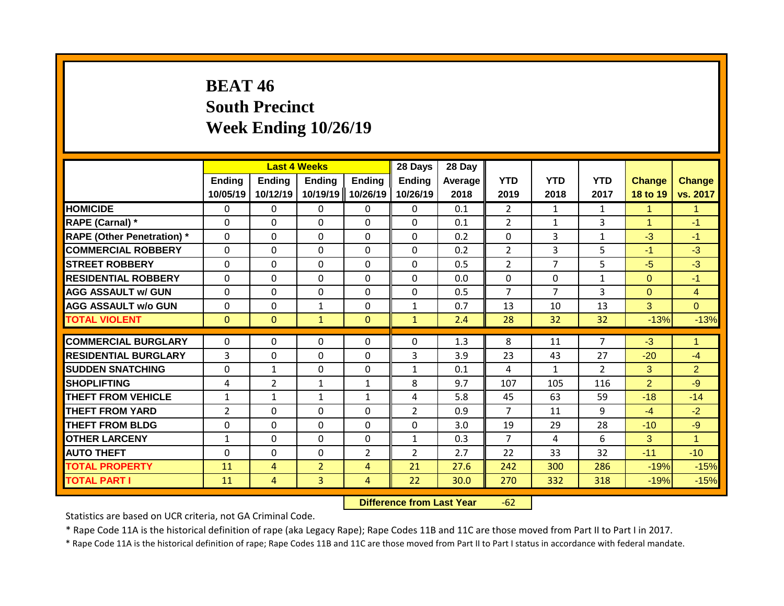## **BEAT 46 South Precinct Week Ending 10/26/19**

|                                   |                    |                           | <b>Last 4 Weeks</b>       |                           | 28 Days                   | 28 Day          |                    |                    |                    |                           |                           |
|-----------------------------------|--------------------|---------------------------|---------------------------|---------------------------|---------------------------|-----------------|--------------------|--------------------|--------------------|---------------------------|---------------------------|
|                                   | Ending<br>10/05/19 | <b>Ending</b><br>10/12/19 | <b>Ending</b><br>10/19/19 | <b>Ending</b><br>10/26/19 | <b>Ending</b><br>10/26/19 | Average<br>2018 | <b>YTD</b><br>2019 | <b>YTD</b><br>2018 | <b>YTD</b><br>2017 | <b>Change</b><br>18 to 19 | <b>Change</b><br>vs. 2017 |
| <b>HOMICIDE</b>                   | $\mathbf{0}$       | 0                         | $\mathbf{0}$              | $\mathbf{0}$              | $\mathbf{0}$              | 0.1             | $\overline{2}$     | $\mathbf{1}$       | $\mathbf{1}$       | 1                         | $\mathbf{1}$              |
| RAPE (Carnal) *                   | $\Omega$           | 0                         | $\mathbf{0}$              | $\Omega$                  | $\Omega$                  | 0.1             | $\overline{2}$     | $\mathbf{1}$       | 3                  | 1                         | $-1$                      |
| <b>RAPE (Other Penetration) *</b> | $\Omega$           | 0                         | $\Omega$                  | $\Omega$                  | $\Omega$                  | 0.2             | $\mathbf{0}$       | 3                  | $\mathbf{1}$       | $-3$                      | $-1$                      |
| <b>COMMERCIAL ROBBERY</b>         | $\Omega$           | 0                         | $\Omega$                  | $\Omega$                  | $\Omega$                  | 0.2             | 2                  | 3                  | 5                  | $-1$                      | $-3$                      |
| <b>STREET ROBBERY</b>             | $\Omega$           | 0                         | $\Omega$                  | $\Omega$                  | $\Omega$                  | 0.5             | $\overline{2}$     | 7                  | 5                  | $-5$                      | $-3$                      |
| <b>RESIDENTIAL ROBBERY</b>        | $\Omega$           | 0                         | $\Omega$                  | $\Omega$                  | $\Omega$                  | 0.0             | $\mathbf{0}$       | $\Omega$           | $\mathbf{1}$       | $\Omega$                  | $-1$                      |
| <b>AGG ASSAULT w/ GUN</b>         | $\Omega$           | 0                         | $\Omega$                  | 0                         | $\Omega$                  | 0.5             | $\overline{7}$     | 7                  | 3                  | $\Omega$                  | $\overline{4}$            |
| <b>AGG ASSAULT w/o GUN</b>        | $\Omega$           | 0                         | 1                         | 0                         | $\mathbf{1}$              | 0.7             | 13                 | 10                 | 13                 | 3                         | $\Omega$                  |
| <b>TOTAL VIOLENT</b>              | $\mathbf{0}$       | $\Omega$                  | $\mathbf{1}$              | $\mathbf{0}$              | $\mathbf{1}$              | 2.4             | 28                 | 32                 | 32                 | $-13%$                    | $-13%$                    |
|                                   |                    |                           |                           |                           |                           |                 |                    |                    |                    |                           |                           |
| <b>COMMERCIAL BURGLARY</b>        | $\Omega$           | 0                         | $\mathbf{0}$              | 0                         | $\Omega$                  | 1.3             | 8                  | 11                 | 7                  | $-3$                      | -1                        |
| <b>RESIDENTIAL BURGLARY</b>       | 3                  | 0                         | $\mathbf 0$               | $\Omega$                  | 3                         | 3.9             | 23                 | 43                 | 27                 | $-20$                     | $-4$                      |
| <b>SUDDEN SNATCHING</b>           | $\Omega$           | 1                         | $\Omega$                  | 0                         | $\mathbf{1}$              | 0.1             | 4                  | $\mathbf{1}$       | $\mathcal{P}$      | 3                         | $\overline{2}$            |
| <b>SHOPLIFTING</b>                | 4                  | 2                         | 1                         | $\mathbf{1}$              | 8                         | 9.7             | 107                | 105                | 116                | $\overline{2}$            | $-9$                      |
| <b>THEFT FROM VEHICLE</b>         | $\mathbf{1}$       | 1                         | 1                         | 1                         | 4                         | 5.8             | 45                 | 63                 | 59                 | $-18$                     | $-14$                     |
| <b>THEFT FROM YARD</b>            | $\overline{2}$     | 0                         | $\Omega$                  | 0                         | $\overline{2}$            | 0.9             | $\overline{7}$     | 11                 | 9                  | $-4$                      | $-2$                      |
| <b>THEFT FROM BLDG</b>            | 0                  | 0                         | $\Omega$                  | 0                         | $\Omega$                  | 3.0             | 19                 | 29                 | 28                 | $-10$                     | $-9$                      |
| <b>OTHER LARCENY</b>              | $\mathbf{1}$       | 0                         | $\Omega$                  | 0                         | $\mathbf{1}$              | 0.3             | $\overline{7}$     | 4                  | 6                  | 3                         | $\overline{1}$            |
| <b>AUTO THEFT</b>                 | 0                  | 0                         | $\Omega$                  | $\overline{2}$            | $\overline{2}$            | 2.7             | 22                 | 33                 | 32                 | $-11$                     | $-10$                     |
| <b>TOTAL PROPERTY</b>             | 11                 | 4                         | $\overline{2}$            | 4                         | 21                        | 27.6            | 242                | 300                | 286                | $-19%$                    | $-15%$                    |
| <b>TOTAL PART I</b>               | 11                 | 4                         | 3                         | 4                         | 22                        | 30.0            | 270                | 332                | 318                | $-19%$                    | $-15%$                    |

**Difference from Last Year** -62

Statistics are based on UCR criteria, not GA Criminal Code.

\* Rape Code 11A is the historical definition of rape (aka Legacy Rape); Rape Codes 11B and 11C are those moved from Part II to Part I in 2017.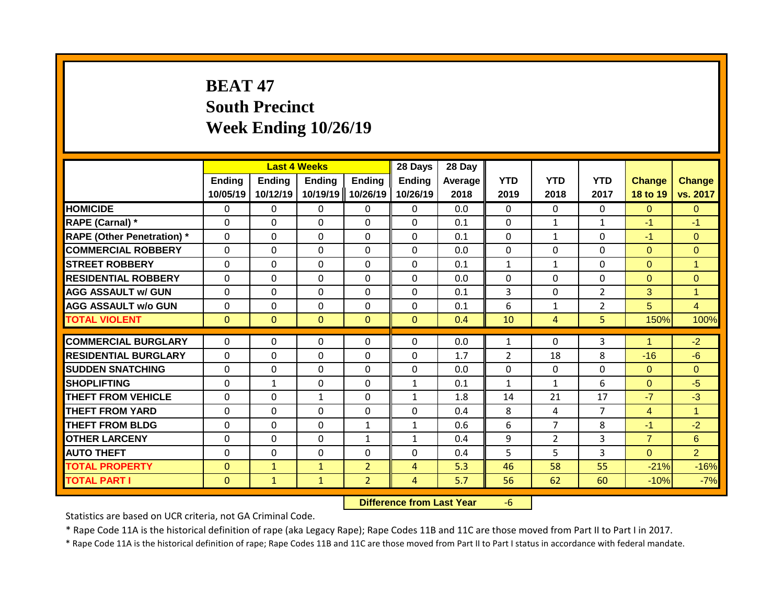# **BEAT 47 South Precinct Week Ending 10/26/19**

|                                   |                           | <b>Last 4 Weeks</b>       |                           |                           | 28 Days                   | 28 Day          |                    |                    |                    |                           |                           |
|-----------------------------------|---------------------------|---------------------------|---------------------------|---------------------------|---------------------------|-----------------|--------------------|--------------------|--------------------|---------------------------|---------------------------|
|                                   | <b>Ending</b><br>10/05/19 | <b>Ending</b><br>10/12/19 | <b>Ending</b><br>10/19/19 | <b>Ending</b><br>10/26/19 | <b>Ending</b><br>10/26/19 | Average<br>2018 | <b>YTD</b><br>2019 | <b>YTD</b><br>2018 | <b>YTD</b><br>2017 | <b>Change</b><br>18 to 19 | <b>Change</b><br>vs. 2017 |
| <b>HOMICIDE</b>                   | 0                         | 0                         | 0                         | $\mathbf{0}$              | $\mathbf{0}$              | 0.0             | $\Omega$           | $\Omega$           | $\Omega$           | $\Omega$                  | $\Omega$                  |
| RAPE (Carnal) *                   | $\Omega$                  | $\Omega$                  | 0                         | $\mathbf 0$               | $\mathbf 0$               | 0.1             | $\mathbf{0}$       | $\mathbf{1}$       | $\mathbf{1}$       | $-1$                      | $-1$                      |
| <b>RAPE (Other Penetration)</b> * | $\mathbf 0$               | 0                         | 0                         | $\mathbf 0$               | $\mathbf 0$               | 0.1             | $\mathbf 0$        | $\mathbf{1}$       | $\Omega$           | $-1$                      | $\mathbf{0}$              |
| <b>COMMERCIAL ROBBERY</b>         | $\mathbf 0$               | 0                         | 0                         | $\mathbf 0$               | $\mathbf 0$               | 0.0             | $\mathbf 0$        | $\Omega$           | $\Omega$           | $\Omega$                  | $\overline{0}$            |
| <b>STREET ROBBERY</b>             | $\Omega$                  | $\Omega$                  | $\Omega$                  | $\mathbf 0$               | $\mathbf 0$               | 0.1             | $\mathbf{1}$       | $\mathbf{1}$       | $\Omega$           | $\Omega$                  | $\overline{1}$            |
| <b>RESIDENTIAL ROBBERY</b>        | $\mathbf{0}$              | $\Omega$                  | $\Omega$                  | $\mathbf{0}$              | $\Omega$                  | 0.0             | $\mathbf{0}$       | $\Omega$           | 0                  | $\Omega$                  | $\Omega$                  |
| <b>AGG ASSAULT w/ GUN</b>         | $\mathbf{0}$              | 0                         | $\Omega$                  | $\Omega$                  | $\Omega$                  | 0.1             | 3                  | $\Omega$           | $\overline{2}$     | 3                         | $\mathbf{1}$              |
| <b>AGG ASSAULT w/o GUN</b>        | $\mathbf{0}$              | 0                         | 0                         | $\mathbf{0}$              | $\mathbf{0}$              | 0.1             | 6                  | $\mathbf{1}$       | 2                  | 5                         | $\overline{4}$            |
| <b>TOTAL VIOLENT</b>              | $\Omega$                  | $\Omega$                  | $\Omega$                  | $\mathbf{0}$              | $\mathbf{0}$              | 0.4             | 10                 | $\overline{4}$     | 5.                 | 150%                      | 100%                      |
|                                   |                           |                           |                           |                           |                           |                 |                    |                    |                    | 4                         |                           |
| <b>COMMERCIAL BURGLARY</b>        | $\Omega$                  | $\Omega$                  | 0                         | $\Omega$                  | $\Omega$                  | 0.0             | 1                  | $\Omega$           | 3                  |                           | $-2$                      |
| <b>RESIDENTIAL BURGLARY</b>       | $\mathbf{0}$              | 0                         | 0                         | $\Omega$                  | $\Omega$                  | 1.7             | $\overline{2}$     | 18                 | 8                  | $-16$                     | $-6$                      |
| <b>SUDDEN SNATCHING</b>           | $\Omega$                  | $\Omega$                  | $\Omega$                  | $\Omega$                  | $\Omega$                  | 0.0             | $\Omega$           | $\Omega$           | $\Omega$           | $\Omega$                  | $\Omega$                  |
| SHOPLIFTING                       | $\Omega$                  | $\mathbf{1}$              | $\Omega$                  | $\Omega$                  | 1                         | 0.1             | $\mathbf{1}$       | $\mathbf{1}$       | 6                  | $\Omega$                  | $-5$                      |
| <b>THEFT FROM VEHICLE</b>         | $\Omega$                  | $\Omega$                  | $\mathbf{1}$              | $\mathbf{0}$              | $\mathbf{1}$              | 1.8             | 14                 | 21                 | 17                 | $-7$                      | $-3$                      |
| <b>THEFT FROM YARD</b>            | 0                         | 0                         | $\Omega$                  | $\mathbf{0}$              | $\Omega$                  | 0.4             | 8                  | 4                  | 7                  | $\overline{4}$            | $\overline{1}$            |
| <b>THEFT FROM BLDG</b>            | $\Omega$                  | 0                         | $\Omega$                  | $\mathbf{1}$              | $\mathbf{1}$              | 0.6             | 6                  | 7                  | 8                  | $-1$                      | $-2$                      |
| <b>OTHER LARCENY</b>              | $\Omega$                  | 0                         | $\Omega$                  | $\mathbf{1}$              | $\mathbf{1}$              | 0.4             | 9                  | $\overline{2}$     | 3                  | $\overline{7}$            | 6                         |
| <b>AUTO THEFT</b>                 | $\Omega$                  | $\Omega$                  | 0                         | $\mathbf 0$               | $\mathbf 0$               | 0.4             | 5                  | 5                  | 3                  | $\Omega$                  | $\overline{2}$            |
| <b>TOTAL PROPERTY</b>             | $\Omega$                  | $\mathbf{1}$              | $\mathbf{1}$              | $\overline{2}$            | 4                         | 5.3             | 46                 | 58                 | 55                 | $-21%$                    | $-16%$                    |
| <b>TOTAL PART I</b>               | $\mathbf{0}$              | $\mathbf{1}$              | $\mathbf{1}$              | $\overline{2}$            | 4                         | 5.7             | 56                 | 62                 | 60                 | $-10%$                    | $-7%$                     |

**Difference from Last Year** -6

Statistics are based on UCR criteria, not GA Criminal Code.

\* Rape Code 11A is the historical definition of rape (aka Legacy Rape); Rape Codes 11B and 11C are those moved from Part II to Part I in 2017.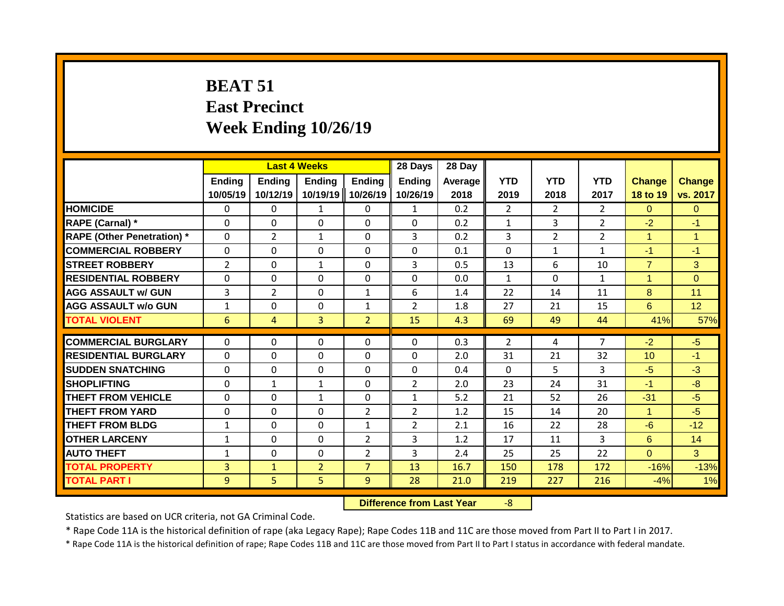# **BEAT 51 East Precinct Week Ending 10/26/19**

|                                   |                |                | <b>Last 4 Weeks</b> |                   | 28 Days        | 28 Day  |                |                |                |                |                |
|-----------------------------------|----------------|----------------|---------------------|-------------------|----------------|---------|----------------|----------------|----------------|----------------|----------------|
|                                   | <b>Ending</b>  | Ending         | <b>Ending</b>       | <b>Ending</b>     | <b>Ending</b>  | Average | <b>YTD</b>     | <b>YTD</b>     | <b>YTD</b>     | <b>Change</b>  | <b>Change</b>  |
|                                   | 10/05/19       | 10/12/19       |                     | 10/19/19 10/26/19 | 10/26/19       | 2018    | 2019           | 2018           | 2017           | 18 to 19       | vs. 2017       |
| <b>HOMICIDE</b>                   | $\Omega$       | 0              | 1                   | $\mathbf{0}$      | $\mathbf{1}$   | 0.2     | $\overline{2}$ | $\overline{2}$ | $\overline{2}$ | $\Omega$       | $\mathbf{0}$   |
| RAPE (Carnal) *                   | $\Omega$       | $\Omega$       | $\Omega$            | $\Omega$          | $\Omega$       | 0.2     | $\mathbf{1}$   | 3              | 2              | $-2$           | $-1$           |
| <b>RAPE (Other Penetration) *</b> | $\Omega$       | $\overline{2}$ | $\mathbf{1}$        | $\Omega$          | 3              | 0.2     | 3              | $\overline{2}$ | $\overline{2}$ | $\mathbf{1}$   | $\overline{1}$ |
| <b>COMMERCIAL ROBBERY</b>         | $\Omega$       | 0              | 0                   | $\Omega$          | $\Omega$       | 0.1     | $\Omega$       | $\mathbf{1}$   | 1              | $-1$           | $-1$           |
| <b>STREET ROBBERY</b>             | $\overline{2}$ | 0              | $\mathbf{1}$        | $\Omega$          | 3              | 0.5     | 13             | 6              | 10             | $\overline{7}$ | 3              |
| <b>RESIDENTIAL ROBBERY</b>        | $\Omega$       | 0              | 0                   | $\Omega$          | $\Omega$       | 0.0     | $\mathbf{1}$   | $\Omega$       | $\mathbf{1}$   | 1              | $\Omega$       |
| <b>AGG ASSAULT w/ GUN</b>         | 3              | $\overline{2}$ | 0                   | 1                 | 6              | 1.4     | 22             | 14             | 11             | 8              | 11             |
| <b>AGG ASSAULT w/o GUN</b>        | $\mathbf{1}$   | 0              | $\Omega$            | 1                 | $\overline{2}$ | 1.8     | 27             | 21             | 15             | 6              | 12             |
| <b>TOTAL VIOLENT</b>              | 6              | 4              | $\overline{3}$      | $\overline{2}$    | 15             | 4.3     | 69             | 49             | 44             | 41%            | 57%            |
|                                   |                |                |                     |                   |                |         |                |                |                |                |                |
| <b>COMMERCIAL BURGLARY</b>        | $\Omega$       | 0              | 0                   | $\Omega$          | $\Omega$       | 0.3     | $\overline{2}$ | 4              | 7              | $-2$           | $-5$           |
| <b>RESIDENTIAL BURGLARY</b>       | $\Omega$       | 0              | $\Omega$            | $\Omega$          | $\Omega$       | 2.0     | 31             | 21             | 32             | 10             | $-1$           |
| <b>SUDDEN SNATCHING</b>           | $\Omega$       | 0              | $\Omega$            | $\Omega$          | $\Omega$       | 0.4     | $\Omega$       | 5              | 3              | $-5$           | $-3$           |
| <b>SHOPLIFTING</b>                | $\Omega$       | $\mathbf{1}$   | $\mathbf{1}$        | $\Omega$          | $\overline{2}$ | 2.0     | 23             | 24             | 31             | $-1$           | $-8$           |
| <b>THEFT FROM VEHICLE</b>         | $\Omega$       | 0              | $\mathbf{1}$        | $\Omega$          | $\mathbf{1}$   | 5.2     | 21             | 52             | 26             | $-31$          | $-5$           |
| <b>THEFT FROM YARD</b>            | $\Omega$       | 0              | $\Omega$            | $\overline{2}$    | 2              | 1.2     | 15             | 14             | 20             | $\overline{1}$ | $-5$           |
| THEFT FROM BLDG                   | 1              | 0              | 0                   | 1                 | 2              | 2.1     | 16             | 22             | 28             | -6             | $-12$          |
| <b>OTHER LARCENY</b>              | 1              | 0              | $\Omega$            | $\overline{2}$    | 3              | 1.2     | 17             | 11             | 3              | 6              | 14             |
| <b>AUTO THEFT</b>                 | $\mathbf{1}$   | 0              | 0                   | $\overline{2}$    | 3              | 2.4     | 25             | 25             | 22             | $\Omega$       | 3              |
| <b>TOTAL PROPERTY</b>             | 3              | $\mathbf{1}$   | $\overline{2}$      | $\overline{7}$    | 13             | 16.7    | 150            | 178            | 172            | $-16%$         | $-13%$         |
| <b>TOTAL PART I</b>               | 9              | 5              | 5                   | 9                 | 28             | 21.0    | 219            | 227            | 216            | $-4%$          | 1%             |

**Difference from Last Year** -8

Statistics are based on UCR criteria, not GA Criminal Code.

\* Rape Code 11A is the historical definition of rape (aka Legacy Rape); Rape Codes 11B and 11C are those moved from Part II to Part I in 2017.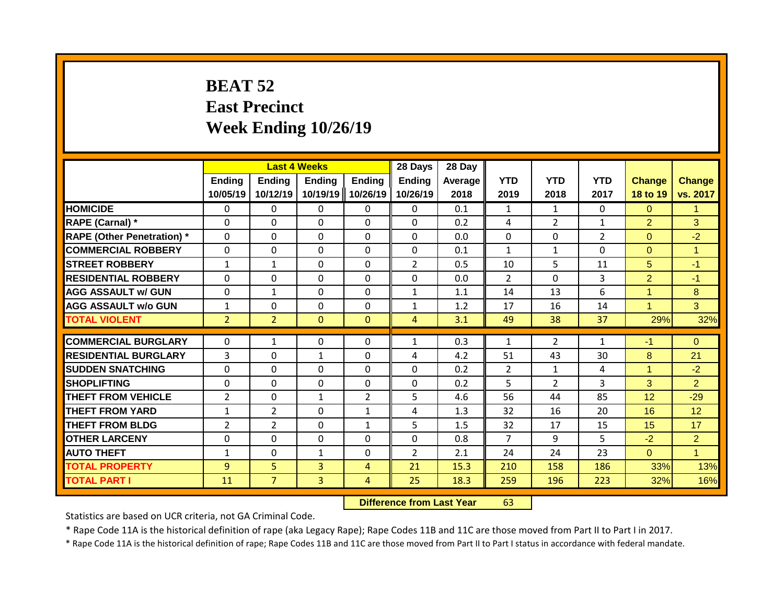# **BEAT 52 East Precinct Week Ending 10/26/19**

|                                   |                           | <b>Last 4 Weeks</b>       |                           |                           | 28 Days                   | 28 Day          |                    |                    |                    |                           |                           |
|-----------------------------------|---------------------------|---------------------------|---------------------------|---------------------------|---------------------------|-----------------|--------------------|--------------------|--------------------|---------------------------|---------------------------|
|                                   | <b>Ending</b><br>10/05/19 | <b>Ending</b><br>10/12/19 | <b>Ending</b><br>10/19/19 | <b>Ending</b><br>10/26/19 | <b>Ending</b><br>10/26/19 | Average<br>2018 | <b>YTD</b><br>2019 | <b>YTD</b><br>2018 | <b>YTD</b><br>2017 | <b>Change</b><br>18 to 19 | <b>Change</b><br>vs. 2017 |
| <b>HOMICIDE</b>                   | $\mathbf{0}$              | $\mathbf{0}$              | $\mathbf{0}$              | 0                         | $\mathbf{0}$              | 0.1             | $\mathbf{1}$       | $\mathbf{1}$       | 0                  | $\Omega$                  | $\mathbf{1}$              |
| RAPE (Carnal) *                   | $\Omega$                  | 0                         | $\Omega$                  | $\Omega$                  | $\Omega$                  | 0.2             | 4                  | $\overline{2}$     | $\mathbf{1}$       | $\overline{2}$            | 3                         |
| <b>RAPE (Other Penetration) *</b> | $\Omega$                  | 0                         | $\Omega$                  | $\Omega$                  | $\Omega$                  | 0.0             | $\mathbf{0}$       | $\Omega$           | $\overline{2}$     | $\Omega$                  | $-2$                      |
| <b>COMMERCIAL ROBBERY</b>         | $\Omega$                  | 0                         | $\Omega$                  | $\Omega$                  | $\Omega$                  | 0.1             | $\mathbf{1}$       | $\mathbf{1}$       | $\Omega$           | $\Omega$                  | $\mathbf{1}$              |
| <b>STREET ROBBERY</b>             | $\mathbf{1}$              | $\mathbf{1}$              | $\Omega$                  | $\Omega$                  | $\overline{2}$            | 0.5             | 10                 | 5                  | 11                 | 5                         | $-1$                      |
| <b>RESIDENTIAL ROBBERY</b>        | 0                         | 0                         | $\mathbf{0}$              | 0                         | 0                         | 0.0             | 2                  | $\Omega$           | 3                  | $\overline{2}$            | $-1$                      |
| <b>AGG ASSAULT w/ GUN</b>         | $\Omega$                  | 1                         | $\mathbf{0}$              | 0                         | $\mathbf{1}$              | 1.1             | 14                 | 13                 | 6                  | 4                         | 8                         |
| <b>AGG ASSAULT w/o GUN</b>        | $\mathbf{1}$              | 0                         | $\Omega$                  | 0                         | $\mathbf{1}$              | 1.2             | 17                 | 16                 | 14                 | $\blacktriangleleft$      | 3                         |
| <b>TOTAL VIOLENT</b>              | $\overline{2}$            | $\overline{2}$            | $\mathbf{0}$              | $\mathbf{0}$              | $\overline{4}$            | 3.1             | 49                 | 38                 | 37                 | 29%                       | 32%                       |
| <b>COMMERCIAL BURGLARY</b>        |                           |                           |                           |                           |                           | 0.3             |                    | $\overline{2}$     |                    |                           |                           |
|                                   | $\Omega$                  | 1                         | $\mathbf{0}$              | 0                         | $\mathbf{1}$              |                 | 1                  |                    | $\mathbf{1}$       | $-1$                      | $\Omega$                  |
| <b>RESIDENTIAL BURGLARY</b>       | 3                         | 0                         | 1                         | $\Omega$                  | 4                         | 4.2             | 51                 | 43                 | 30                 | 8                         | 21                        |
| <b>SUDDEN SNATCHING</b>           | $\Omega$                  | 0                         | $\Omega$                  | 0                         | $\Omega$                  | 0.2             | $\overline{2}$     | $\mathbf{1}$       | 4                  | 4                         | $-2$                      |
| <b>SHOPLIFTING</b>                | $\Omega$                  | 0                         | $\mathbf{0}$              | 0                         | $\Omega$                  | 0.2             | 5                  | $\overline{2}$     | 3                  | 3                         | $\overline{2}$            |
| <b>THEFT FROM VEHICLE</b>         | $\overline{2}$            | 0                         | $\mathbf{1}$              | $\overline{2}$            | 5                         | 4.6             | 56                 | 44                 | 85                 | 12                        | $-29$                     |
| <b>THEFT FROM YARD</b>            | $\mathbf{1}$              | 2                         | $\Omega$                  | $\mathbf{1}$              | 4                         | 1.3             | 32                 | 16                 | 20                 | 16                        | 12                        |
| <b>THEFT FROM BLDG</b>            | $\overline{2}$            | $\overline{2}$            | $\Omega$                  | $\mathbf{1}$              | 5                         | 1.5             | 32                 | 17                 | 15                 | 15                        | 17                        |
| <b>OTHER LARCENY</b>              | $\Omega$                  | 0                         | 0                         | 0                         | 0                         | 0.8             | $\overline{7}$     | 9                  | 5                  | $-2$                      | $\overline{2}$            |
| <b>AUTO THEFT</b>                 | $\mathbf{1}$              | 0                         | 1                         | 0                         | $\overline{2}$            | 2.1             | 24                 | 24                 | 23                 | $\Omega$                  | $\blacktriangleleft$      |
| <b>TOTAL PROPERTY</b>             | 9                         | 5                         | 3                         | 4                         | 21                        | 15.3            | 210                | 158                | 186                | 33%                       | 13%                       |
| <b>TOTAL PART I</b>               | 11                        | $\overline{7}$            | $\overline{3}$            | 4                         | 25                        | 18.3            | 259                | 196                | 223                | 32%                       | 16%                       |

#### **Difference from Last Year** 63

Statistics are based on UCR criteria, not GA Criminal Code.

\* Rape Code 11A is the historical definition of rape (aka Legacy Rape); Rape Codes 11B and 11C are those moved from Part II to Part I in 2017.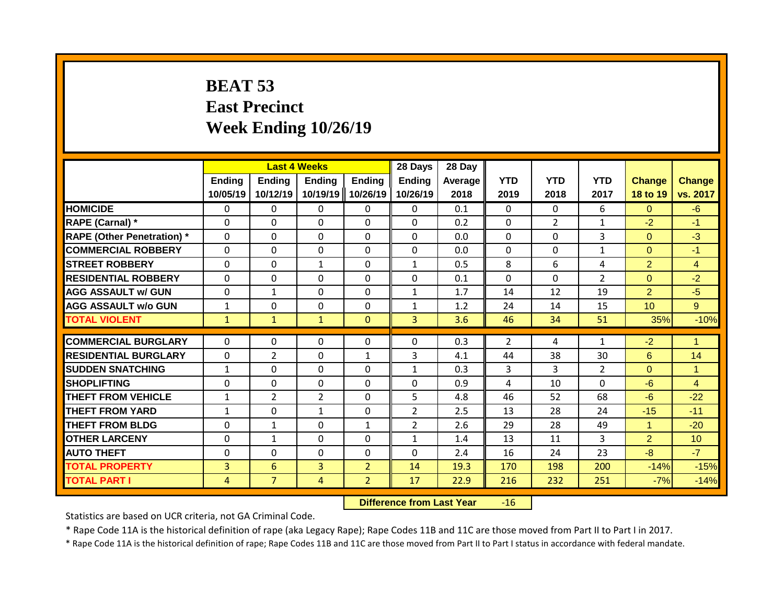## **BEAT 53 East Precinct Week Ending 10/26/19**

|                                   |                    |                           | <b>Last 4 Weeks</b>       |                           | 28 Days            | 28 Day          |                    |                    |                    |                           |                           |
|-----------------------------------|--------------------|---------------------------|---------------------------|---------------------------|--------------------|-----------------|--------------------|--------------------|--------------------|---------------------------|---------------------------|
|                                   | Ending<br>10/05/19 | <b>Ending</b><br>10/12/19 | <b>Ending</b><br>10/19/19 | <b>Ending</b><br>10/26/19 | Ending<br>10/26/19 | Average<br>2018 | <b>YTD</b><br>2019 | <b>YTD</b><br>2018 | <b>YTD</b><br>2017 | <b>Change</b><br>18 to 19 | <b>Change</b><br>vs. 2017 |
| <b>HOMICIDE</b>                   | $\mathbf{0}$       | 0                         | 0                         | 0                         | $\mathbf{0}$       | 0.1             | $\Omega$           | $\Omega$           | 6                  | $\Omega$                  | $-6$                      |
| RAPE (Carnal) *                   | $\Omega$           | 0                         | 0                         | $\Omega$                  | $\Omega$           | 0.2             | $\mathbf{0}$       | $\overline{2}$     | $\mathbf{1}$       | $-2$                      | $-1$                      |
| <b>RAPE (Other Penetration) *</b> | $\Omega$           | 0                         | $\Omega$                  | $\Omega$                  | $\Omega$           | 0.0             | $\mathbf{0}$       | $\Omega$           | 3                  | $\Omega$                  | $-3$                      |
| <b>COMMERCIAL ROBBERY</b>         | $\Omega$           | 0                         | $\Omega$                  | $\Omega$                  | $\Omega$           | 0.0             | $\mathbf{0}$       | $\Omega$           | $\mathbf{1}$       | $\Omega$                  | $-1$                      |
| <b>STREET ROBBERY</b>             | $\Omega$           | 0                         | $\mathbf{1}$              | $\Omega$                  | $\mathbf{1}$       | 0.5             | 8                  | 6                  | 4                  | $\overline{2}$            | $\overline{4}$            |
| <b>RESIDENTIAL ROBBERY</b>        | $\Omega$           | 0                         | 0                         | 0                         | 0                  | 0.1             | $\mathbf{0}$       | $\Omega$           | $\overline{2}$     | $\Omega$                  | $-2$                      |
| <b>AGG ASSAULT w/ GUN</b>         | $\Omega$           | 1                         | 0                         | 0                         | $\mathbf{1}$       | 1.7             | 14                 | 12                 | 19                 | $\overline{2}$            | $-5$                      |
| <b>AGG ASSAULT w/o GUN</b>        | $\mathbf{1}$       | 0                         | $\Omega$                  | 0                         | $\mathbf{1}$       | 1.2             | 24                 | 14                 | 15                 | 10                        | 9                         |
| <b>TOTAL VIOLENT</b>              | $\mathbf{1}$       | $\mathbf{1}$              | $\mathbf{1}$              | $\mathbf{0}$              | $\overline{3}$     | 3.6             | 46                 | 34                 | 51                 | 35%                       | $-10%$                    |
| <b>COMMERCIAL BURGLARY</b>        | $\Omega$           | 0                         | 0                         | 0                         | $\Omega$           | 0.3             | $\overline{2}$     | 4                  | $\mathbf{1}$       | $-2$                      | $\blacktriangleleft$      |
| <b>RESIDENTIAL BURGLARY</b>       | $\Omega$           | 2                         | $\Omega$                  | $\mathbf{1}$              | 3                  | 4.1             | 44                 | 38                 | 30                 | 6                         | 14                        |
| <b>SUDDEN SNATCHING</b>           | $\mathbf{1}$       |                           | $\Omega$                  |                           |                    | 0.3             | 3                  | 3                  | $\overline{2}$     | $\Omega$                  | $\overline{1}$            |
| <b>SHOPLIFTING</b>                | $\Omega$           | 0<br>0                    | 0                         | 0<br>0                    | $\mathbf{1}$<br>0  | 0.9             | 4                  | 10                 | 0                  | $-6$                      | $\overline{4}$            |
| <b>THEFT FROM VEHICLE</b>         | $\mathbf{1}$       | $\overline{2}$            | $\overline{2}$            | 0                         | 5                  | 4.8             | 46                 | 52                 | 68                 | $-6$                      | $-22$                     |
| <b>THEFT FROM YARD</b>            | $\mathbf{1}$       | 0                         | $\mathbf{1}$              | $\Omega$                  | $\overline{2}$     | 2.5             | 13                 | 28                 | 24                 | $-15$                     | $-11$                     |
| <b>THEFT FROM BLDG</b>            | 0                  | 1                         | $\Omega$                  | $\mathbf{1}$              | $\overline{2}$     | 2.6             | 29                 | 28                 | 49                 | 1                         | $-20$                     |
| <b>OTHER LARCENY</b>              | 0                  | 1                         | 0                         | 0                         | $\mathbf{1}$       | 1.4             | 13                 | 11                 | 3                  | $\overline{2}$            | 10                        |
| <b>AUTO THEFT</b>                 | 0                  | 0                         | $\Omega$                  | 0                         | $\Omega$           | 2.4             | 16                 | 24                 | 23                 | -8                        | $-7$                      |
| <b>TOTAL PROPERTY</b>             | $\overline{3}$     | 6                         | 3                         | $\overline{2}$            | 14                 | 19.3            | 170                | 198                | 200                | $-14%$                    | $-15%$                    |
| <b>TOTAL PART I</b>               |                    | $\overline{7}$            | 4                         | $\overline{2}$            | 17                 | 22.9            | 216                | 232                | 251                | $-7%$                     |                           |
|                                   | 4                  |                           |                           |                           |                    |                 |                    |                    |                    |                           | $-14%$                    |

**Difference from Last Year** -16

Statistics are based on UCR criteria, not GA Criminal Code.

\* Rape Code 11A is the historical definition of rape (aka Legacy Rape); Rape Codes 11B and 11C are those moved from Part II to Part I in 2017.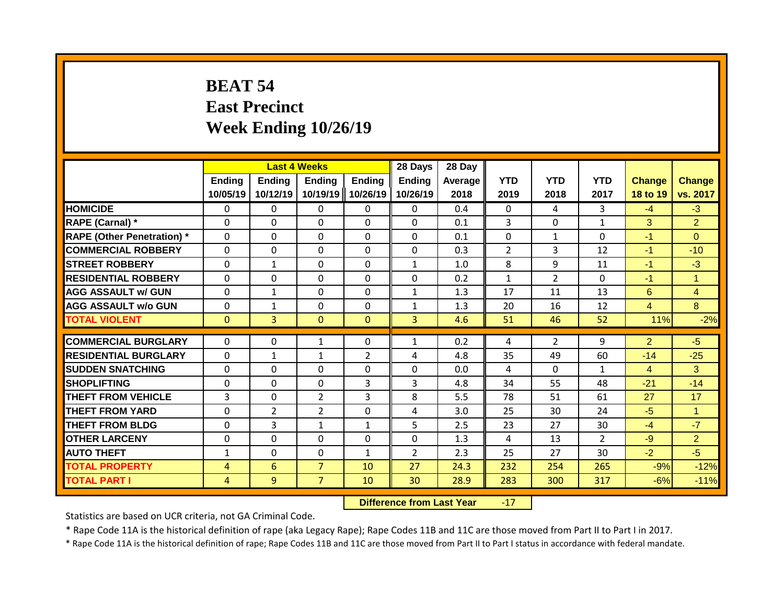# **BEAT 54 East Precinct Week Ending 10/26/19**

|                                   |                    | <b>Last 4 Weeks</b>       |                           |                           | 28 Days                   | 28 Day          |                    |                    |                    |                           |                           |
|-----------------------------------|--------------------|---------------------------|---------------------------|---------------------------|---------------------------|-----------------|--------------------|--------------------|--------------------|---------------------------|---------------------------|
|                                   | Ending<br>10/05/19 | <b>Ending</b><br>10/12/19 | <b>Ending</b><br>10/19/19 | <b>Ending</b><br>10/26/19 | <b>Ending</b><br>10/26/19 | Average<br>2018 | <b>YTD</b><br>2019 | <b>YTD</b><br>2018 | <b>YTD</b><br>2017 | <b>Change</b><br>18 to 19 | <b>Change</b><br>vs. 2017 |
| <b>HOMICIDE</b>                   | $\mathbf{0}$       | $\mathbf{0}$              | $\mathbf{0}$              | 0                         | $\mathbf{0}$              | 0.4             | $\Omega$           | 4                  | 3                  | $-4$                      | $-3$                      |
| RAPE (Carnal) *                   | $\Omega$           | 0                         | $\mathbf{0}$              | $\Omega$                  | $\Omega$                  | 0.1             | 3                  | $\Omega$           | $\mathbf{1}$       | 3                         | $\overline{2}$            |
| <b>RAPE (Other Penetration) *</b> | $\Omega$           | 0                         | $\Omega$                  | $\Omega$                  | $\Omega$                  | 0.1             | $\mathbf{0}$       | $\mathbf{1}$       | $\Omega$           | $-1$                      | $\Omega$                  |
| <b>COMMERCIAL ROBBERY</b>         | $\Omega$           | 0                         | $\Omega$                  | $\Omega$                  | $\Omega$                  | 0.3             | $\overline{2}$     | 3                  | 12                 | $-1$                      | $-10$                     |
| <b>STREET ROBBERY</b>             | $\Omega$           | $\mathbf{1}$              | $\Omega$                  | $\Omega$                  | $\mathbf{1}$              | 1.0             | 8                  | 9                  | 11                 | $-1$                      | $-3$                      |
| <b>RESIDENTIAL ROBBERY</b>        | $\Omega$           | 0                         | $\mathbf{0}$              | 0                         | 0                         | 0.2             | $\mathbf{1}$       | $\overline{2}$     | 0                  | $-1$                      | $\mathbf{1}$              |
| <b>AGG ASSAULT w/ GUN</b>         | $\Omega$           | 1                         | $\mathbf{0}$              | 0                         | $\mathbf{1}$              | 1.3             | 17                 | 11                 | 13                 | 6                         | $\overline{4}$            |
| <b>AGG ASSAULT w/o GUN</b>        | $\Omega$           | $\mathbf 1$               | $\Omega$                  | 0                         | $\mathbf{1}$              | 1.3             | 20                 | 16                 | 12                 | 4                         | 8                         |
| <b>TOTAL VIOLENT</b>              | $\mathbf{0}$       | $\overline{3}$            | $\mathbf{0}$              | $\mathbf{0}$              | $\overline{3}$            | 4.6             | 51                 | 46                 | 52                 | 11%                       | $-2%$                     |
|                                   |                    |                           |                           |                           |                           |                 |                    |                    |                    |                           |                           |
| <b>COMMERCIAL BURGLARY</b>        | $\Omega$           | 0                         | 1                         | 0                         | $\mathbf{1}$              | 0.2             | 4                  | $\overline{2}$     | 9                  | $\overline{2}$            | $-5$                      |
| <b>RESIDENTIAL BURGLARY</b>       | $\Omega$           | 1                         | 1                         | $\overline{2}$            | 4                         | 4.8             | 35                 | 49                 | 60                 | $-14$                     | $-25$                     |
| <b>SUDDEN SNATCHING</b>           | $\Omega$           | 0                         | $\Omega$                  | 0                         | $\Omega$                  | 0.0             | 4                  | $\Omega$           | $\mathbf{1}$       | $\overline{4}$            | 3                         |
| <b>SHOPLIFTING</b>                | $\Omega$           | 0                         | $\mathbf{0}$              | 3                         | 3                         | 4.8             | 34                 | 55                 | 48                 | $-21$                     | $-14$                     |
| <b>THEFT FROM VEHICLE</b>         | 3                  | 0                         | $\overline{2}$            | 3                         | 8                         | 5.5             | 78                 | 51                 | 61                 | 27                        | 17                        |
| <b>THEFT FROM YARD</b>            | 0                  | 2                         | $\overline{2}$            | $\Omega$                  | 4                         | 3.0             | 25                 | 30                 | 24                 | $-5$                      | $\mathbf{1}$              |
| <b>THEFT FROM BLDG</b>            | 0                  | 3                         | 1                         | $\mathbf{1}$              | 5                         | 2.5             | 23                 | 27                 | 30                 | $-4$                      | $-7$                      |
| <b>OTHER LARCENY</b>              | $\Omega$           | 0                         | $\mathbf{0}$              | 0                         | 0                         | 1.3             | 4                  | 13                 | $\overline{2}$     | $-9$                      | $\overline{2}$            |
| <b>AUTO THEFT</b>                 | $\mathbf{1}$       | 0                         | $\mathbf{0}$              | 1                         | $\overline{2}$            | 2.3             | 25                 | 27                 | 30                 | $-2$                      | $-5$                      |
| <b>TOTAL PROPERTY</b>             | 4                  | 6                         | $\overline{7}$            | 10                        | 27                        | 24.3            | 232                | 254                | 265                | $-9%$                     | $-12%$                    |
| <b>TOTAL PART I</b>               | 4                  | 9                         | $\overline{7}$            | 10                        | 30                        | 28.9            | 283                | 300                | 317                | $-6%$                     | $-11%$                    |

**Difference from Last Year** -17

Statistics are based on UCR criteria, not GA Criminal Code.

\* Rape Code 11A is the historical definition of rape (aka Legacy Rape); Rape Codes 11B and 11C are those moved from Part II to Part I in 2017.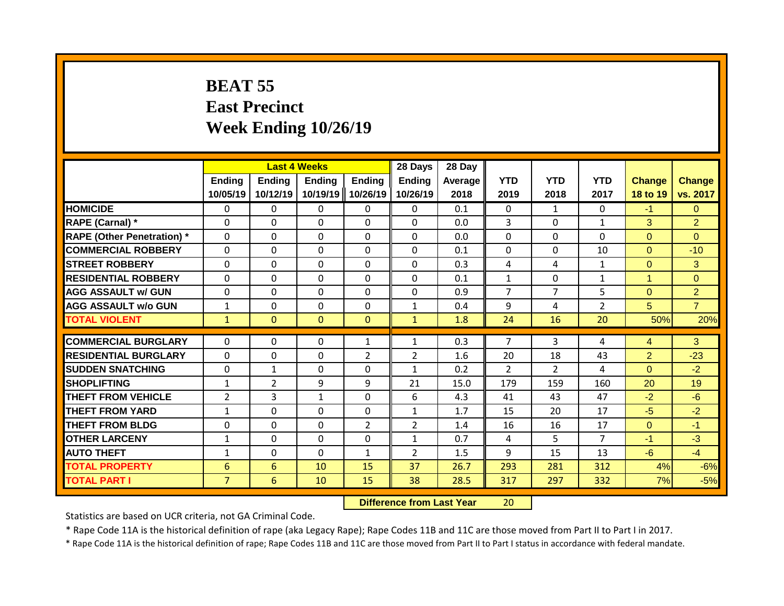### **BEAT 55 East Precinct Week Ending 10/26/19**

|                                   |                           | <b>Last 4 Weeks</b> |                           |                           | 28 Days                   | 28 Day          |                    |                    |                    |                           |                           |
|-----------------------------------|---------------------------|---------------------|---------------------------|---------------------------|---------------------------|-----------------|--------------------|--------------------|--------------------|---------------------------|---------------------------|
|                                   | <b>Ending</b><br>10/05/19 | Ending<br>10/12/19  | <b>Ending</b><br>10/19/19 | <b>Ending</b><br>10/26/19 | <b>Ending</b><br>10/26/19 | Average<br>2018 | <b>YTD</b><br>2019 | <b>YTD</b><br>2018 | <b>YTD</b><br>2017 | <b>Change</b><br>18 to 19 | <b>Change</b><br>vs. 2017 |
| <b>HOMICIDE</b>                   | $\Omega$                  | 0                   | 0                         | $\mathbf{0}$              | $\mathbf{0}$              | 0.1             | $\Omega$           | $\mathbf{1}$       | $\Omega$           | $-1$                      | $\mathbf{0}$              |
| RAPE (Carnal) *                   | $\Omega$                  | $\Omega$            | 0                         | $\Omega$                  | $\Omega$                  | 0.0             | 3                  | $\Omega$           | $\mathbf{1}$       | 3                         | $\overline{2}$            |
| <b>RAPE (Other Penetration) *</b> | $\mathbf{0}$              | $\Omega$            | 0                         | $\Omega$                  | $\Omega$                  | 0.0             | $\Omega$           | $\Omega$           | $\Omega$           | $\Omega$                  | $\Omega$                  |
| <b>COMMERCIAL ROBBERY</b>         | $\mathbf{0}$              | $\Omega$            | $\Omega$                  | $\Omega$                  | $\Omega$                  | 0.1             | $\mathbf{0}$       | $\Omega$           | 10                 | $\Omega$                  | $-10$                     |
| <b>STREET ROBBERY</b>             | $\Omega$                  | $\Omega$            | $\Omega$                  | $\mathbf{0}$              | $\Omega$                  | 0.3             | 4                  | 4                  | $\mathbf{1}$       | $\Omega$                  | 3                         |
| <b>RESIDENTIAL ROBBERY</b>        | $\Omega$                  | 0                   | 0                         | $\mathbf{0}$              | 0                         | 0.1             | $\mathbf{1}$       | $\Omega$           | 1                  | 1                         | $\Omega$                  |
| <b>AGG ASSAULT w/ GUN</b>         | $\Omega$                  | 0                   | 0                         | $\mathbf{0}$              | $\Omega$                  | 0.9             | 7                  | 7                  | 5                  | $\Omega$                  | $\overline{2}$            |
| <b>AGG ASSAULT w/o GUN</b>        | $\mathbf{1}$              | 0                   | $\Omega$                  | $\mathbf{0}$              | $\mathbf{1}$              | 0.4             | 9                  | 4                  | $\overline{2}$     | 5                         | $\overline{7}$            |
| <b>TOTAL VIOLENT</b>              | $\mathbf{1}$              | $\mathbf{0}$        | $\mathbf{0}$              | $\mathbf{0}$              | $\mathbf{1}$              | 1.8             | 24                 | 16                 | 20                 | 50%                       | 20%                       |
|                                   |                           |                     |                           |                           |                           |                 |                    |                    |                    |                           |                           |
| <b>COMMERCIAL BURGLARY</b>        | 0                         | 0                   | 0                         | $\mathbf{1}$              | 1                         | 0.3             | 7                  | 3                  | 4                  | 4                         | 3                         |
| <b>RESIDENTIAL BURGLARY</b>       | $\Omega$                  | $\Omega$            | $\Omega$                  | $\overline{2}$            | $\overline{2}$            | 1.6             | 20                 | 18                 | 43                 | $\overline{2}$            | $-23$                     |
| <b>SUDDEN SNATCHING</b>           | $\Omega$                  | $\mathbf{1}$        | $\Omega$                  | $\mathbf{0}$              | 1                         | 0.2             | $\mathcal{P}$      | $\mathcal{P}$      | 4                  | $\Omega$                  | $-2$                      |
| <b>SHOPLIFTING</b>                | $\mathbf{1}$              | 2                   | 9                         | 9                         | 21                        | 15.0            | 179                | 159                | 160                | 20                        | 19                        |
| THEFT FROM VEHICLE                | 2                         | 3                   | $\mathbf{1}$              | 0                         | 6                         | 4.3             | 41                 | 43                 | 47                 | $-2$                      | $-6$                      |
| <b>THEFT FROM YARD</b>            | $\mathbf{1}$              | $\Omega$            | $\Omega$                  | $\Omega$                  | $\mathbf{1}$              | 1.7             | 15                 | 20                 | 17                 | $-5$                      | $-2$                      |
| <b>THEFT FROM BLDG</b>            | 0                         | 0                   | 0                         | $\overline{2}$            | $\overline{2}$            | 1.4             | 16                 | 16                 | 17                 | $\Omega$                  | $-1$                      |
| <b>OTHER LARCENY</b>              | $\mathbf{1}$              | 0                   | 0                         | 0                         | 1                         | 0.7             | 4                  | 5.                 | $\overline{7}$     | $-1$                      | $-3$                      |
| <b>AUTO THEFT</b>                 | 1                         | 0                   | 0                         | 1                         | 2                         | 1.5             | 9                  | 15                 | 13                 | $-6$                      | $-4$                      |
| <b>TOTAL PROPERTY</b>             | 6                         | 6                   | 10                        | 15                        | 37                        | 26.7            | 293                | 281                | 312                | 4%                        | $-6%$                     |
| <b>TOTAL PART I</b>               | $\overline{7}$            | 6                   | 10                        | 15                        | 38                        | 28.5            | 317                | 297                | 332                | 7%                        | $-5%$                     |

**Difference from Last Year** 20

Statistics are based on UCR criteria, not GA Criminal Code.

\* Rape Code 11A is the historical definition of rape (aka Legacy Rape); Rape Codes 11B and 11C are those moved from Part II to Part I in 2017.